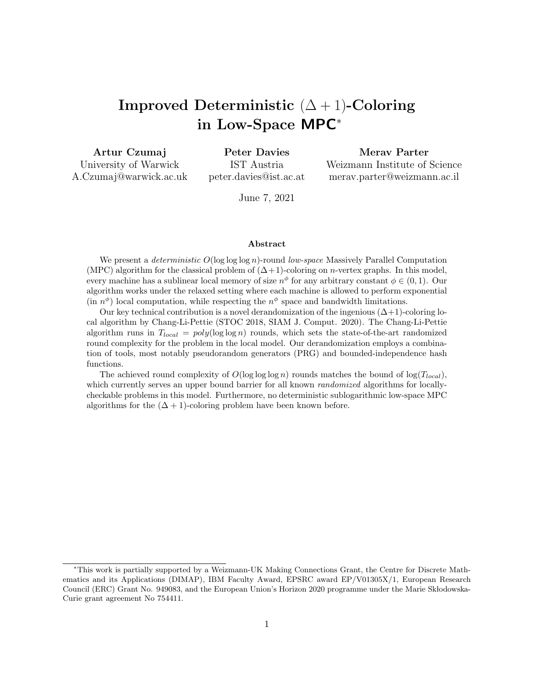# Improved Deterministic  $(\Delta + 1)$ -Coloring in Low-Space MPC<sup>∗</sup>

Artur Czumaj

Peter Davies

University of Warwick A.Czumaj@warwick.ac.uk

IST Austria peter.davies@ist.ac.at Merav Parter

Weizmann Institute of Science merav.parter@weizmann.ac.il

June 7, 2021

#### Abstract

We present a *deterministic*  $O(\log \log n)$ -round low-space Massively Parallel Computation (MPC) algorithm for the classical problem of  $(\Delta+1)$ -coloring on *n*-vertex graphs. In this model, every machine has a sublinear local memory of size  $n^{\phi}$  for any arbitrary constant  $\phi \in (0,1)$ . Our algorithm works under the relaxed setting where each machine is allowed to perform exponential (in  $n^{\phi}$ ) local computation, while respecting the  $n^{\phi}$  space and bandwidth limitations.

Our key technical contribution is a novel derandomization of the ingenious  $(\Delta+1)$ -coloring local algorithm by Chang-Li-Pettie (STOC 2018, SIAM J. Comput. 2020). The Chang-Li-Pettie algorithm runs in  $T_{local} = poly(log \log n)$  rounds, which sets the state-of-the-art randomized round complexity for the problem in the local model. Our derandomization employs a combination of tools, most notably pseudorandom generators (PRG) and bounded-independence hash functions.

The achieved round complexity of  $O(\log \log \log n)$  rounds matches the bound of  $\log(T_{local})$ , which currently serves an upper bound barrier for all known *randomized* algorithms for locallycheckable problems in this model. Furthermore, no deterministic sublogarithmic low-space MPC algorithms for the  $(\Delta + 1)$ -coloring problem have been known before.

<sup>∗</sup>This work is partially supported by a Weizmann-UK Making Connections Grant, the Centre for Discrete Mathematics and its Applications (DIMAP), IBM Faculty Award, EPSRC award EP/V01305X/1, European Research Council (ERC) Grant No. 949083, and the European Union's Horizon 2020 programme under the Marie Skłodowska-Curie grant agreement No 754411.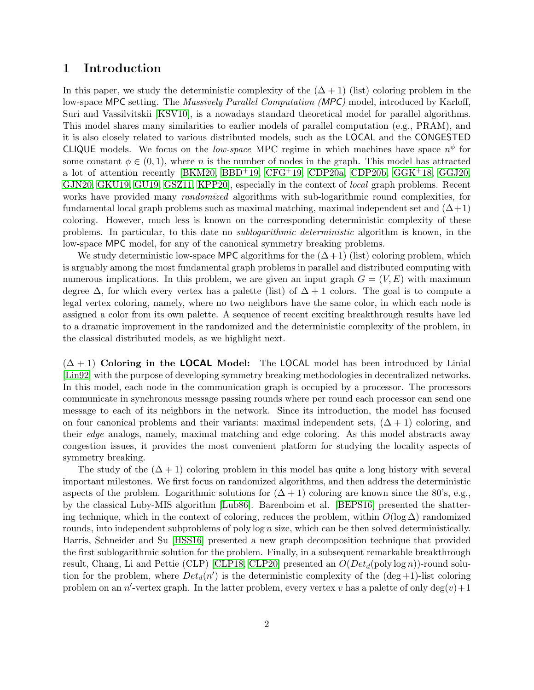### 1 Introduction

In this paper, we study the deterministic complexity of the  $(\Delta + 1)$  (list) coloring problem in the low-space MPC setting. The Massively Parallel Computation (MPC) model, introduced by Karloff. Suri and Vassilvitskii [\[KSV10\]](#page-30-0), is a nowadays standard theoretical model for parallel algorithms. This model shares many similarities to earlier models of parallel computation (e.g., PRAM), and it is also closely related to various distributed models, such as the LOCAL and the CONGESTED CLIQUE models. We focus on the low-space MPC regime in which machines have space  $n^{\phi}$  for some constant  $\phi \in (0,1)$ , where *n* is the number of nodes in the graph. This model has attracted a lot of attention recently [\[BKM20,](#page-28-0) [BBD](#page-28-1)+19, [CFG](#page-28-2)+19, [CDP20a,](#page-28-3) [CDP20b,](#page-28-4) [GGK](#page-29-0)+18, [GGJ20,](#page-29-1) [GJN20,](#page-29-2) [GKU19,](#page-29-3) [GU19,](#page-30-1) [GSZ11,](#page-29-4) KPP20, especially in the context of *local* graph problems. Recent works have provided many *randomized* algorithms with sub-logarithmic round complexities, for fundamental local graph problems such as maximal matching, maximal independent set and  $(\Delta+1)$ coloring. However, much less is known on the corresponding deterministic complexity of these problems. In particular, to this date no sublogarithmic deterministic algorithm is known, in the low-space MPC model, for any of the canonical symmetry breaking problems.

We study deterministic low-space MPC algorithms for the  $(\Delta+1)$  (list) coloring problem, which is arguably among the most fundamental graph problems in parallel and distributed computing with numerous implications. In this problem, we are given an input graph  $G = (V, E)$  with maximum degree  $\Delta$ , for which every vertex has a palette (list) of  $\Delta + 1$  colors. The goal is to compute a legal vertex coloring, namely, where no two neighbors have the same color, in which each node is assigned a color from its own palette. A sequence of recent exciting breakthrough results have led to a dramatic improvement in the randomized and the deterministic complexity of the problem, in the classical distributed models, as we highlight next.

 $(\Delta + 1)$  Coloring in the LOCAL Model: The LOCAL model has been introduced by Linial [\[Lin92\]](#page-30-3) with the purpose of developing symmetry breaking methodologies in decentralized networks. In this model, each node in the communication graph is occupied by a processor. The processors communicate in synchronous message passing rounds where per round each processor can send one message to each of its neighbors in the network. Since its introduction, the model has focused on four canonical problems and their variants: maximal independent sets,  $(\Delta + 1)$  coloring, and their edge analogs, namely, maximal matching and edge coloring. As this model abstracts away congestion issues, it provides the most convenient platform for studying the locality aspects of symmetry breaking.

The study of the  $(\Delta + 1)$  coloring problem in this model has quite a long history with several important milestones. We first focus on randomized algorithms, and then address the deterministic aspects of the problem. Logarithmic solutions for  $(\Delta + 1)$  coloring are known since the 80's, e.g., by the classical Luby-MIS algorithm [\[Lub86\]](#page-30-4). Barenboim et al. [\[BEPS16\]](#page-28-5) presented the shattering technique, which in the context of coloring, reduces the problem, within  $O(\log \Delta)$  randomized rounds, into independent subproblems of poly  $\log n$  size, which can be then solved deterministically. Harris, Schneider and Su [\[HSS16\]](#page-30-5) presented a new graph decomposition technique that provided the first sublogarithmic solution for the problem. Finally, in a subsequent remarkable breakthrough result, Chang, Li and Pettie (CLP) [\[CLP18,](#page-29-5) [CLP20\]](#page-29-6) presented an  $O(Det_d(\text{poly}\log n))$ -round solution for the problem, where  $Det_d(n')$  is the deterministic complexity of the  $(\text{deg}+1)$ -list coloring problem on an n'-vertex graph. In the latter problem, every vertex v has a palette of only  $\deg(v) + 1$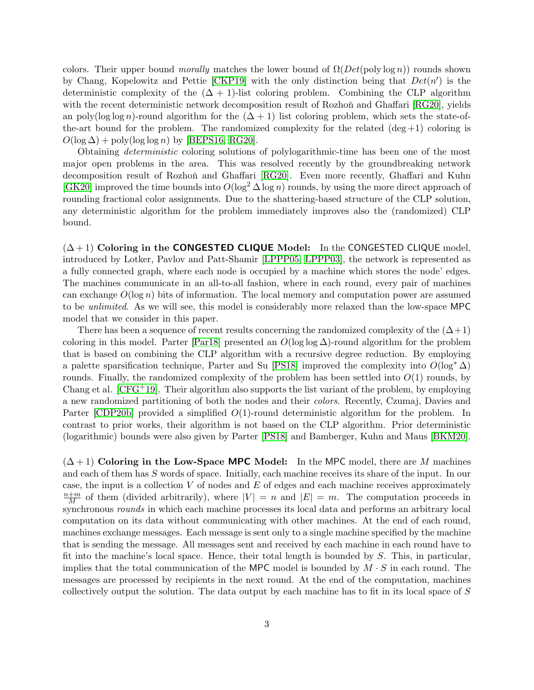colors. Their upper bound morally matches the lower bound of  $\Omega(Det(\text{poly}\log n))$  rounds shown by Chang, Kopelowitz and Pettie [\[CKP19\]](#page-28-6) with the only distinction being that  $Det(n')$  is the deterministic complexity of the  $(\Delta + 1)$ -list coloring problem. Combining the CLP algorithm with the recent deterministic network decomposition result of Rozhoň and Ghaffari [\[RG20\]](#page-31-0), yields an poly(log log n)-round algorithm for the  $(\Delta + 1)$  list coloring problem, which sets the state-ofthe-art bound for the problem. The randomized complexity for the related  $(\text{deg}+1)$  coloring is  $O(\log \Delta) + \text{poly}(\log \log n)$  by [\[BEPS16,](#page-28-5) [RG20\]](#page-31-0).

Obtaining deterministic coloring solutions of polylogarithmic-time has been one of the most major open problems in the area. This was resolved recently by the groundbreaking network decomposition result of Rozhoň and Ghaffari [\[RG20\]](#page-31-0). Even more recently, Ghaffari and Kuhn [\[GK20\]](#page-29-7) improved the time bounds into  $O(\log^2 \Delta \log n)$  rounds, by using the more direct approach of rounding fractional color assignments. Due to the shattering-based structure of the CLP solution, any deterministic algorithm for the problem immediately improves also the (randomized) CLP bound.

 $(\Delta+1)$  Coloring in the CONGESTED CLIQUE Model: In the CONGESTED CLIQUE model. introduced by Lotker, Pavlov and Patt-Shamir [\[LPPP05,](#page-30-6) [LPPP03\]](#page-30-7), the network is represented as a fully connected graph, where each node is occupied by a machine which stores the node' edges. The machines communicate in an all-to-all fashion, where in each round, every pair of machines can exchange  $O(\log n)$  bits of information. The local memory and computation power are assumed to be unlimited. As we will see, this model is considerably more relaxed than the low-space MPC model that we consider in this paper.

There has been a sequence of recent results concerning the randomized complexity of the  $(\Delta+1)$ coloring in this model. Parter [\[Par18\]](#page-31-1) presented an  $O(\log \log \Delta)$ -round algorithm for the problem that is based on combining the CLP algorithm with a recursive degree reduction. By employing a palette sparsification technique, Parter and Su [\[PS18\]](#page-31-2) improved the complexity into  $O(\log^* \Delta)$ rounds. Finally, the randomized complexity of the problem has been settled into  $O(1)$  rounds, by Chang et al.  $[CFG+19]$  $[CFG+19]$ . Their algorithm also supports the list variant of the problem, by employing a new randomized partitioning of both the nodes and their colors. Recently, Czumaj, Davies and Parter  $[CDP20b]$  provided a simplified  $O(1)$ -round deterministic algorithm for the problem. In contrast to prior works, their algorithm is not based on the CLP algorithm. Prior deterministic (logarithmic) bounds were also given by Parter [\[PS18\]](#page-31-2) and Bamberger, Kuhn and Maus [\[BKM20\]](#page-28-0).

 $(\Delta + 1)$  Coloring in the Low-Space MPC Model: In the MPC model, there are M machines and each of them has S words of space. Initially, each machine receives its share of the input. In our case, the input is a collection  $V$  of nodes and  $E$  of edges and each machine receives approximately  $\frac{n+m}{M}$  of them (divided arbitrarily), where  $|V| = n$  and  $|E| = m$ . The computation proceeds in synchronous *rounds* in which each machine processes its local data and performs an arbitrary local computation on its data without communicating with other machines. At the end of each round, machines exchange messages. Each message is sent only to a single machine specified by the machine that is sending the message. All messages sent and received by each machine in each round have to fit into the machine's local space. Hence, their total length is bounded by S. This, in particular, implies that the total communication of the MPC model is bounded by  $M \cdot S$  in each round. The messages are processed by recipients in the next round. At the end of the computation, machines collectively output the solution. The data output by each machine has to fit in its local space of S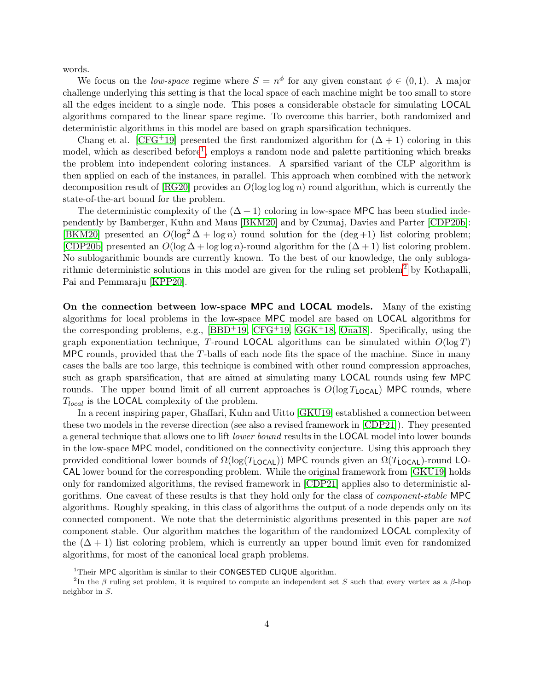words.

We focus on the *low-space* regime where  $S = n^{\phi}$  for any given constant  $\phi \in (0, 1)$ . A major challenge underlying this setting is that the local space of each machine might be too small to store all the edges incident to a single node. This poses a considerable obstacle for simulating LOCAL algorithms compared to the linear space regime. To overcome this barrier, both randomized and deterministic algorithms in this model are based on graph sparsification techniques.

Chang et al. [\[CFG](#page-28-2)<sup>+</sup>19] presented the first randomized algorithm for  $(\Delta + 1)$  coloring in this model, which as described before<sup>[1](#page-3-0)</sup>, employs a random node and palette partitioning which breaks the problem into independent coloring instances. A sparsified variant of the CLP algorithm is then applied on each of the instances, in parallel. This approach when combined with the network decomposition result of [\[RG20\]](#page-31-0) provides an  $O(\log \log \log n)$  round algorithm, which is currently the state-of-the-art bound for the problem.

The deterministic complexity of the  $(\Delta + 1)$  coloring in low-space MPC has been studied independently by Bamberger, Kuhn and Maus [\[BKM20\]](#page-28-0) and by Czumaj, Davies and Parter [\[CDP20b\]](#page-28-4): [\[BKM20\]](#page-28-0) presented an  $O(\log^2 \Delta + \log n)$  round solution for the  $(\deg +1)$  list coloring problem; [\[CDP20b\]](#page-28-4) presented an  $O(\log \Delta + \log \log n)$ -round algorithm for the  $(\Delta + 1)$  list coloring problem. No sublogarithmic bounds are currently known. To the best of our knowledge, the only sublogarithmic deterministic solutions in this model are given for the ruling set problem[2](#page-3-1) by Kothapalli, Pai and Pemmaraju [\[KPP20\]](#page-30-2).

On the connection between low-space MPC and LOCAL models. Many of the existing algorithms for local problems in the low-space MPC model are based on LOCAL algorithms for the corresponding problems, e.g.,  $[BBD^+19, CFG^+19, GGK^+18, Ona18]$  $[BBD^+19, CFG^+19, GGK^+18, Ona18]$  $[BBD^+19, CFG^+19, GGK^+18, Ona18]$  $[BBD^+19, CFG^+19, GGK^+18, Ona18]$  $[BBD^+19, CFG^+19, GGK^+18, Ona18]$  $[BBD^+19, CFG^+19, GGK^+18, Ona18]$  $[BBD^+19, CFG^+19, GGK^+18, Ona18]$ . Specifically, using the graph exponentiation technique, T-round LOCAL algorithms can be simulated within  $O(\log T)$ MPC rounds, provided that the  $T$ -balls of each node fits the space of the machine. Since in many cases the balls are too large, this technique is combined with other round compression approaches, such as graph sparsification, that are aimed at simulating many LOCAL rounds using few MPC rounds. The upper bound limit of all current approaches is  $O(\log T_{\text{LOCAL}})$  MPC rounds, where  $T_{local}$  is the LOCAL complexity of the problem.

In a recent inspiring paper, Ghaffari, Kuhn and Uitto [\[GKU19\]](#page-29-3) established a connection between these two models in the reverse direction (see also a revised framework in [\[CDP21\]](#page-28-7)). They presented a general technique that allows one to lift *lower bound* results in the **LOCAL** model into lower bounds in the low-space MPC model, conditioned on the connectivity conjecture. Using this approach they provided conditional lower bounds of  $\Omega(\log(T_{\text{LOCAL}}))$  MPC rounds given an  $\Omega(T_{\text{LOCAL}})$ -round LO-CAL lower bound for the corresponding problem. While the original framework from [\[GKU19\]](#page-29-3) holds only for randomized algorithms, the revised framework in [\[CDP21\]](#page-28-7) applies also to deterministic algorithms. One caveat of these results is that they hold only for the class of component-stable MPC algorithms. Roughly speaking, in this class of algorithms the output of a node depends only on its connected component. We note that the deterministic algorithms presented in this paper are not component stable. Our algorithm matches the logarithm of the randomized LOCAL complexity of the  $(\Delta + 1)$  list coloring problem, which is currently an upper bound limit even for randomized algorithms, for most of the canonical local graph problems.

<span id="page-3-1"></span><span id="page-3-0"></span><sup>&</sup>lt;sup>1</sup>Their MPC algorithm is similar to their CONGESTED CLIQUE algorithm.

<sup>&</sup>lt;sup>2</sup>In the β ruling set problem, it is required to compute an independent set S such that every vertex as a β-hop neighbor in S.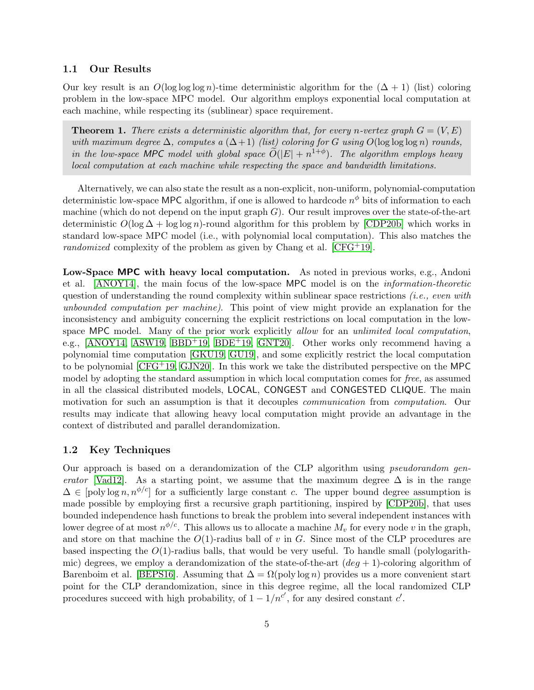#### 1.1 Our Results

Our key result is an  $O(\log \log \log n)$ -time deterministic algorithm for the  $(\Delta + 1)$  (list) coloring problem in the low-space MPC model. Our algorithm employs exponential local computation at each machine, while respecting its (sublinear) space requirement.

<span id="page-4-0"></span>**Theorem 1.** There exists a deterministic algorithm that, for every n-vertex graph  $G = (V, E)$ with maximum degree  $\Delta$ , computes a  $(\Delta+1)$  (list) coloring for G using  $O(\log \log \log n)$  rounds, in the low-space MPC model with global space  $\widetilde{O}(|E| + n^{1+\phi})$ . The algorithm employs heavy local computation at each machine while respecting the space and bandwidth limitations.

Alternatively, we can also state the result as a non-explicit, non-uniform, polynomial-computation deterministic low-space MPC algorithm, if one is allowed to hardcode  $n^{\phi}$  bits of information to each machine (which do not depend on the input graph  $G$ ). Our result improves over the state-of-the-art deterministic  $O(\log \Delta + \log \log n)$ -round algorithm for this problem by [\[CDP20b\]](#page-28-4) which works in standard low-space MPC model (i.e., with polynomial local computation). This also matches the randomized complexity of the problem as given by Chang et al.  $[CFG^+19]$  $[CFG^+19]$ .

Low-Space MPC with heavy local computation. As noted in previous works, e.g., Andoni et al. [\[ANOY14\]](#page-27-0), the main focus of the low-space MPC model is on the information-theoretic question of understanding the round complexity within sublinear space restrictions  $(i.e., even with$ unbounded computation per machine). This point of view might provide an explanation for the inconsistency and ambiguity concerning the explicit restrictions on local computation in the lowspace MPC model. Many of the prior work explicitly allow for an unlimited local computation, e.g., [\[ANOY14,](#page-27-0) [ASW19,](#page-27-1) [BBD](#page-28-1)<sup>+</sup>19, [BDE](#page-28-8)<sup>+</sup>19, [GNT20\]](#page-29-8). Other works only recommend having a polynomial time computation [\[GKU19,](#page-29-3) [GU19\]](#page-30-1), and some explicitly restrict the local computation to be polynomial  $[\text{CFG}^+19, \text{GJN20}]$ . In this work we take the distributed perspective on the MPC model by adopting the standard assumption in which local computation comes for free, as assumed in all the classical distributed models, **LOCAL, CONGEST** and **CONGESTED CLIQUE**. The main motivation for such an assumption is that it decouples *communication* from *computation*. Our results may indicate that allowing heavy local computation might provide an advantage in the context of distributed and parallel derandomization.

### 1.2 Key Techniques

Our approach is based on a derandomization of the CLP algorithm using pseudorandom gen-erator [\[Vad12\]](#page-31-3). As a starting point, we assume that the maximum degree  $\Delta$  is in the range  $\Delta \in [\text{poly}\log n, n^{\phi/c}]$  for a sufficiently large constant c. The upper bound degree assumption is made possible by employing first a recursive graph partitioning, inspired by [\[CDP20b\]](#page-28-4), that uses bounded independence hash functions to break the problem into several independent instances with lower degree of at most  $n^{\phi/c}$ . This allows us to allocate a machine  $M_v$  for every node v in the graph, and store on that machine the  $O(1)$ -radius ball of v in G. Since most of the CLP procedures are based inspecting the  $O(1)$ -radius balls, that would be very useful. To handle small (polylogarithmic) degrees, we employ a derandomization of the state-of-the-art  $(\text{deg} + 1)$ -coloring algorithm of Barenboim et al. [\[BEPS16\]](#page-28-5). Assuming that  $\Delta = \Omega(\text{poly}\log n)$  provides us a more convenient start point for the CLP derandomization, since in this degree regime, all the local randomized CLP procedures succeed with high probability, of  $1 - 1/n^{c'}$ , for any desired constant c'.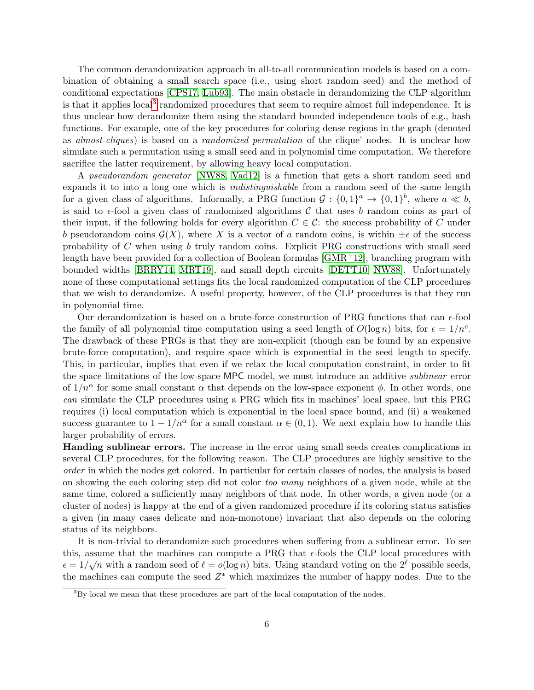The common derandomization approach in all-to-all communication models is based on a combination of obtaining a small search space (i.e., using short random seed) and the method of conditional expectations [\[CPS17,](#page-29-9) [Lub93\]](#page-30-9). The main obstacle in derandomizing the CLP algorithm is that it applies  $local<sup>3</sup>$  $local<sup>3</sup>$  $local<sup>3</sup>$  randomized procedures that seem to require almost full independence. It is thus unclear how derandomize them using the standard bounded independence tools of e.g., hash functions. For example, one of the key procedures for coloring dense regions in the graph (denoted as almost-cliques) is based on a randomized permutation of the clique' nodes. It is unclear how simulate such a permutation using a small seed and in polynomial time computation. We therefore sacrifice the latter requirement, by allowing heavy local computation.

A pseudorandom generator [\[NW88,](#page-30-10) [Vad12\]](#page-31-3) is a function that gets a short random seed and expands it to into a long one which is *indistinguishable* from a random seed of the same length for a given class of algorithms. Informally, a PRG function  $G: \{0,1\}^a \to \{0,1\}^b$ , where  $a \ll b$ , is said to  $\epsilon$ -fool a given class of randomized algorithms C that uses b random coins as part of their input, if the following holds for every algorithm  $C \in \mathcal{C}$ : the success probability of C under b pseudorandom coins  $\mathcal{G}(X)$ , where X is a vector of a random coins, is within  $\pm \epsilon$  of the success probability of  $C$  when using  $b$  truly random coins. Explicit PRG constructions with small seed length have been provided for a collection of Boolean formulas [\[GMR](#page-29-10)+12], branching program with bounded widths [\[BRRY14,](#page-28-9) [MRT19\]](#page-30-11), and small depth circuits [\[DETT10,](#page-29-11) [NW88\]](#page-30-10). Unfortunately none of these computational settings fits the local randomized computation of the CLP procedures that we wish to derandomize. A useful property, however, of the CLP procedures is that they run in polynomial time.

Our derandomization is based on a brute-force construction of PRG functions that can  $\epsilon$ -fool the family of all polynomial time computation using a seed length of  $O(\log n)$  bits, for  $\epsilon = 1/n^c$ . The drawback of these PRGs is that they are non-explicit (though can be found by an expensive brute-force computation), and require space which is exponential in the seed length to specify. This, in particular, implies that even if we relax the local computation constraint, in order to fit the space limitations of the low-space MPC model, we must introduce an additive *sublinear* error of  $1/n^{\alpha}$  for some small constant  $\alpha$  that depends on the low-space exponent  $\phi$ . In other words, one can simulate the CLP procedures using a PRG which fits in machines' local space, but this PRG requires (i) local computation which is exponential in the local space bound, and (ii) a weakened success guarantee to  $1 - 1/n^{\alpha}$  for a small constant  $\alpha \in (0,1)$ . We next explain how to handle this larger probability of errors.

Handing sublinear errors. The increase in the error using small seeds creates complications in several CLP procedures, for the following reason. The CLP procedures are highly sensitive to the order in which the nodes get colored. In particular for certain classes of nodes, the analysis is based on showing the each coloring step did not color too many neighbors of a given node, while at the same time, colored a sufficiently many neighbors of that node. In other words, a given node (or a cluster of nodes) is happy at the end of a given randomized procedure if its coloring status satisfies a given (in many cases delicate and non-monotone) invariant that also depends on the coloring status of its neighbors.

It is non-trivial to derandomize such procedures when suffering from a sublinear error. To see this, assume that the machines can compute a PRG that  $\epsilon$ -fools the CLP local procedures with  $\epsilon = 1/\sqrt{n}$  with a random seed of  $\ell = o(\log n)$  bits. Using standard voting on the  $2^{\ell}$  possible seeds, the machines can compute the seed  $Z^*$  which maximizes the number of happy nodes. Due to the

<span id="page-5-0"></span> ${}^{3}$ By local we mean that these procedures are part of the local computation of the nodes.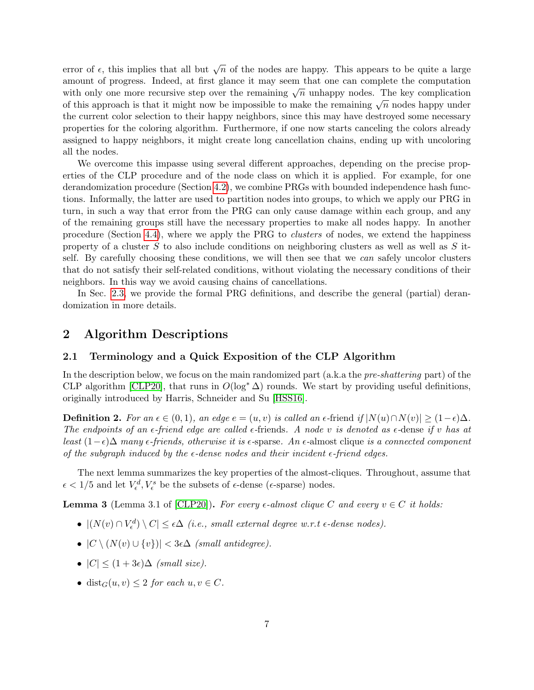error of  $\epsilon$ , this implies that all but  $\sqrt{n}$  of the nodes are happy. This appears to be quite a large amount of progress. Indeed, at first glance it may seem that one can complete the computation amount of progress. Indeed, at mst grande it may seem that one can complete the complication with only one more recursive step over the remaining  $\sqrt{n}$  unhappy nodes. The key complication of this approach is that it might now be impossible to make the remaining  $\sqrt{n}$  nodes happy under the current color selection to their happy neighbors, since this may have destroyed some necessary properties for the coloring algorithm. Furthermore, if one now starts canceling the colors already assigned to happy neighbors, it might create long cancellation chains, ending up with uncoloring all the nodes.

We overcome this impasse using several different approaches, depending on the precise properties of the CLP procedure and of the node class on which it is applied. For example, for one derandomization procedure (Section [4.2\)](#page-14-0), we combine PRGs with bounded independence hash functions. Informally, the latter are used to partition nodes into groups, to which we apply our PRG in turn, in such a way that error from the PRG can only cause damage within each group, and any of the remaining groups still have the necessary properties to make all nodes happy. In another procedure (Section [4.4\)](#page-18-0), where we apply the PRG to clusters of nodes, we extend the happiness property of a cluster S to also include conditions on neighboring clusters as well as well as  $S$  itself. By carefully choosing these conditions, we will then see that we can safely uncolor clusters that do not satisfy their self-related conditions, without violating the necessary conditions of their neighbors. In this way we avoid causing chains of cancellations.

In Sec. [2.3,](#page-8-0) we provide the formal PRG definitions, and describe the general (partial) derandomization in more details.

### 2 Algorithm Descriptions

#### 2.1 Terminology and a Quick Exposition of the CLP Algorithm

In the description below, we focus on the main randomized part (a.k.a the *pre-shattering* part) of the CLP algorithm [\[CLP20\]](#page-29-6), that runs in  $O(\log^* \Delta)$  rounds. We start by providing useful definitions, originally introduced by Harris, Schneider and Su [\[HSS16\]](#page-30-5).

**Definition 2.** For an  $\epsilon \in (0,1)$ , an edge  $e = (u, v)$  is called an  $\epsilon$ -friend if  $|N(u) \cap N(v)| \geq (1-\epsilon)\Delta$ . The endpoints of an  $\epsilon$ -friend edge are called  $\epsilon$ -friends. A node v is denoted as  $\epsilon$ -dense if v has at least  $(1-\epsilon)\Delta$  many  $\epsilon$ -friends, otherwise it is  $\epsilon$ -sparse. An  $\epsilon$ -almost clique is a connected component of the subgraph induced by the  $\epsilon$ -dense nodes and their incident  $\epsilon$ -friend edges.

The next lemma summarizes the key properties of the almost-cliques. Throughout, assume that  $\epsilon < 1/5$  and let  $V_{\epsilon}^{d}$ ,  $V_{\epsilon}^{s}$  be the subsets of  $\epsilon$ -dense ( $\epsilon$ -sparse) nodes.

<span id="page-6-0"></span>**Lemma 3** (Lemma 3.1 of [\[CLP20\]](#page-29-6)). For every  $\epsilon$ -almost clique C and every  $v \in C$  it holds:

- $|(N(v) \cap V_{\epsilon}^d) \setminus C|$  ≤  $\epsilon \Delta$  (i.e., small external degree w.r.t  $\epsilon$ -dense nodes).
- $|C \setminus (N(v) \cup \{v\})| < 3\epsilon\Delta$  (small antidegree).
- $|C| \leq (1+3\epsilon)\Delta$  (small size).
- dist<sub>G</sub> $(u, v) \leq 2$  for each  $u, v \in C$ .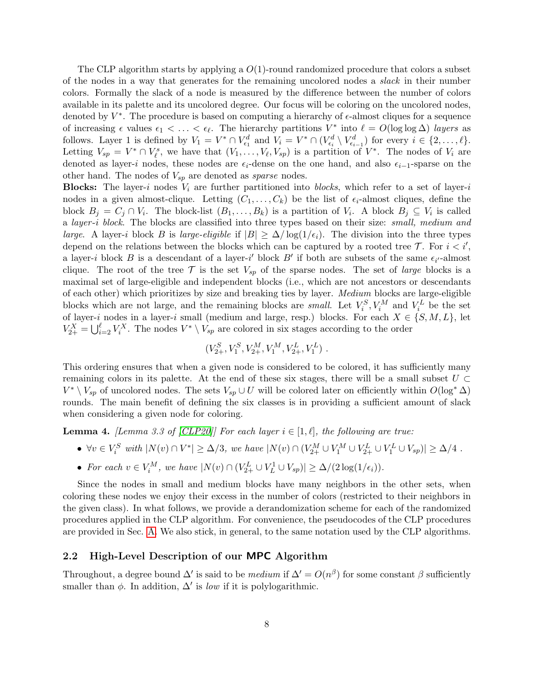The CLP algorithm starts by applying a  $O(1)$ -round randomized procedure that colors a subset of the nodes in a way that generates for the remaining uncolored nodes a *slack* in their number colors. Formally the slack of a node is measured by the difference between the number of colors available in its palette and its uncolored degree. Our focus will be coloring on the uncolored nodes, denoted by  $V^*$ . The procedure is based on computing a hierarchy of  $\epsilon$ -almost cliques for a sequence of increasing  $\epsilon$  values  $\epsilon_1 < \ldots < \epsilon_{\ell}$ . The hierarchy partitions  $V^*$  into  $\ell = O(\log \log \Delta)$  layers as follows. Layer 1 is defined by  $V_1 = V^* \cap V_{\epsilon_1}^d$  and  $V_i = V^* \cap (V_{\epsilon_i}^d \setminus V_{\epsilon_{i-1}}^d)$  for every  $i \in \{2, ..., \ell\}$ . Letting  $V_{sp} = V^* \cap V_{\ell}^s$ , we have that  $(V_1, \ldots, V_{\ell}, V_{sp})$  is a partition of  $V^*$ . The nodes of  $V_i$  are denoted as layer-i nodes, these nodes are  $\epsilon_i$ -dense on the one hand, and also  $\epsilon_{i-1}$ -sparse on the other hand. The nodes of  $V_{sp}$  are denoted as *sparse* nodes.

**Blocks:** The layer-i nodes  $V_i$  are further partitioned into blocks, which refer to a set of layer-i nodes in a given almost-clique. Letting  $(C_1, \ldots, C_k)$  be the list of  $\epsilon_i$ -almost cliques, define the block  $B_j = C_j \cap V_i$ . The block-list  $(B_1, \ldots, B_k)$  is a partition of  $V_i$ . A block  $B_j \subseteq V_i$  is called a layer -i block. The blocks are classified into three types based on their size: small, medium and large. A layer-i block B is large-eligible if  $|B| \geq \Delta/\log(1/\epsilon_i)$ . The division into the three types depend on the relations between the blocks which can be captured by a rooted tree  $\mathcal{T}$ . For  $i < i'$ , a layer-i block B is a descendant of a layer-i' block B' if both are subsets of the same  $\epsilon_{i'}$ -almost clique. The root of the tree  $\mathcal T$  is the set  $V_{sp}$  of the sparse nodes. The set of *large* blocks is a maximal set of large-eligible and independent blocks (i.e., which are not ancestors or descendants of each other) which prioritizes by size and breaking ties by layer. Medium blocks are large-eligible blocks which are not large, and the remaining blocks are *small*. Let  $V_i^S$ ,  $V_i^M$  and  $V_i^L$  be the set of layer-i nodes in a layer-i small (medium and large, resp.) blocks. For each  $X \in \{S, M, L\}$ , let  $V_{2+}^X = \bigcup_{i=2}^{\ell} V_i^X$ . The nodes  $V^* \setminus V_{sp}$  are colored in six stages according to the order

$$
(V_{2+}^S, V_1^S, V_{2+}^M, V_1^M, V_{2+}^L, V_1^L) .
$$

This ordering ensures that when a given node is considered to be colored, it has sufficiently many remaining colors in its palette. At the end of these six stages, there will be a small subset  $U \subset$  $V^* \setminus V_{sp}$  of uncolored nodes. The sets  $V_{sp} \cup U$  will be colored later on efficiently within  $O(\log^* \Delta)$ rounds. The main benefit of defining the six classes is in providing a sufficient amount of slack when considering a given node for coloring.

**Lemma 4.** [Lemma 3.3 of [\[CLP20\]](#page-29-6)] For each layer  $i \in [1, \ell]$ , the following are true:

- $\forall v \in V_i^S$  with  $|N(v) \cap V^*| \geq \Delta/3$ , we have  $|N(v) \cap (V_{2+}^M \cup V_1^M \cup V_{2+}^L \cup V_1^L \cup V_{sp})| \geq \Delta/4$ .
- For each  $v \in V_i^M$ , we have  $|N(v) \cap (V_{2+}^L \cup V_L^1 \cup V_{sp})| \geq \Delta/(2 \log(1/\epsilon_i)).$

Since the nodes in small and medium blocks have many neighbors in the other sets, when coloring these nodes we enjoy their excess in the number of colors (restricted to their neighbors in the given class). In what follows, we provide a derandomization scheme for each of the randomized procedures applied in the CLP algorithm. For convenience, the pseudocodes of the CLP procedures are provided in Sec. [A.](#page-32-0) We also stick, in general, to the same notation used by the CLP algorithms.

#### 2.2 High-Level Description of our MPC Algorithm

Throughout, a degree bound  $\Delta'$  is said to be *medium* if  $\Delta' = O(n^{\beta})$  for some constant  $\beta$  sufficiently smaller than  $\phi$ . In addition,  $\Delta'$  is low if it is polylogarithmic.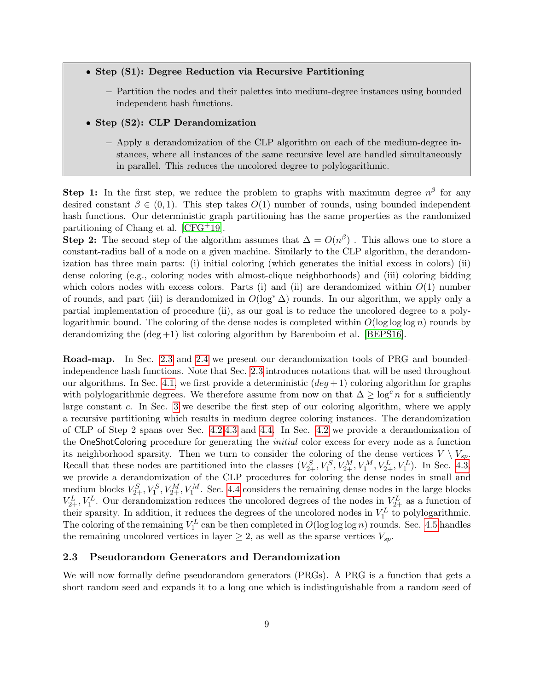- Step (S1): Degree Reduction via Recursive Partitioning
	- Partition the nodes and their palettes into medium-degree instances using bounded independent hash functions.

#### • Step (S2): CLP Derandomization

– Apply a derandomization of the CLP algorithm on each of the medium-degree instances, where all instances of the same recursive level are handled simultaneously in parallel. This reduces the uncolored degree to polylogarithmic.

**Step 1:** In the first step, we reduce the problem to graphs with maximum degree  $n^{\beta}$  for any desired constant  $\beta \in (0,1)$ . This step takes  $O(1)$  number of rounds, using bounded independent hash functions. Our deterministic graph partitioning has the same properties as the randomized partitioning of Chang et al. [\[CFG](#page-28-2)+19].

Step 2: The second step of the algorithm assumes that  $\Delta = O(n^{\beta})$ . This allows one to store a constant-radius ball of a node on a given machine. Similarly to the CLP algorithm, the derandomization has three main parts: (i) initial coloring (which generates the initial excess in colors) (ii) dense coloring (e.g., coloring nodes with almost-clique neighborhoods) and (iii) coloring bidding which colors nodes with excess colors. Parts (i) and (ii) are derandomized within  $O(1)$  number of rounds, and part (iii) is derandomized in  $O(\log^* \Delta)$  rounds. In our algorithm, we apply only a partial implementation of procedure (ii), as our goal is to reduce the uncolored degree to a polylogarithmic bound. The coloring of the dense nodes is completed within  $O(\log \log \log n)$  rounds by derandomizing the  $(\text{deg} + 1)$  list coloring algorithm by Barenboim et al. [\[BEPS16\]](#page-28-5).

Road-map. In Sec. [2.3](#page-8-0) and [2.4](#page-11-0) we present our derandomization tools of PRG and boundedindependence hash functions. Note that Sec. [2.3](#page-8-0) introduces notations that will be used throughout our algorithms. In Sec. [4.1,](#page-14-1) we first provide a deterministic  $deg+1$  coloring algorithm for graphs with polylogarithmic degrees. We therefore assume from now on that  $\Delta \geq \log^c n$  for a sufficiently large constant c. In Sec. [3](#page-12-0) we describe the first step of our coloring algorithm, where we apply a recursive partitioning which results in medium degree coloring instances. The derandomization of CLP of Step 2 spans over Sec. [4.2,](#page-14-0)[4.3](#page-15-0) and [4.4.](#page-18-0) In Sec. [4.2](#page-14-0) we provide a derandomization of the OneShotColoring procedure for generating the initial color excess for every node as a function its neighborhood sparsity. Then we turn to consider the coloring of the dense vertices  $V \setminus V_{sp}$ . Recall that these nodes are partitioned into the classes  $(V_{2+}^S, V_1^S, V_{2+}^M, V_1^M, V_{2+}^L, V_1^L)$ . In Sec. [4.3,](#page-15-0) we provide a derandomization of the CLP procedures for coloring the dense nodes in small and medium blocks  $V_{2+}^S, V_1^S, V_{2+}^M, V_1^M$ . Sec. [4.4](#page-18-0) considers the remaining dense nodes in the large blocks  $V_{2+}^L, V_1^L$ . Our derandomization reduces the uncolored degrees of the nodes in  $V_{2+}^L$  as a function of their sparsity. In addition, it reduces the degrees of the uncolored nodes in  $V_1^L$  to polylogarithmic. The coloring of the remaining  $V_1^L$  can be then completed in  $O(\log \log \log n)$  rounds. Sec. [4.5](#page-24-0) handles the remaining uncolored vertices in layer  $\geq 2$ , as well as the sparse vertices  $V_{sp}$ .

#### <span id="page-8-0"></span>2.3 Pseudorandom Generators and Derandomization

We will now formally define pseudorandom generators (PRGs). A PRG is a function that gets a short random seed and expands it to a long one which is indistinguishable from a random seed of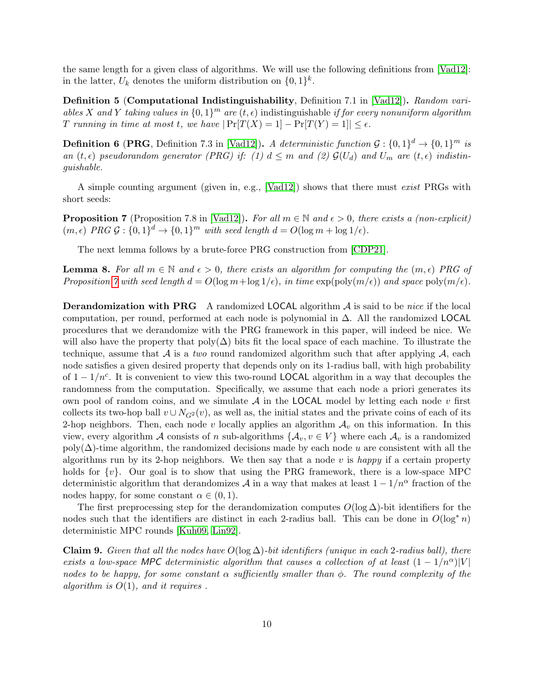the same length for a given class of algorithms. We will use the following definitions from [\[Vad12\]](#page-31-3): in the latter,  $U_k$  denotes the uniform distribution on  $\{0,1\}^k$ .

Definition 5 (Computational Indistinguishability, Definition 7.1 in [\[Vad12\]](#page-31-3)). Random variables X and Y taking values in  $\{0,1\}^m$  are  $(t,\epsilon)$  indistinguishable if for every nonuniform algorithm T running in time at most t, we have  $|\Pr[T(X) = 1] - \Pr[T(Y) = 1]| \le \epsilon$ .

**Definition 6** (PRG, Definition 7.3 in [\[Vad12\]](#page-31-3)). A deterministic function  $\mathcal{G}: \{0,1\}^d \to \{0,1\}^m$  is an  $(t, \epsilon)$  pseudorandom generator (PRG) if: (1)  $d \leq m$  and (2)  $\mathcal{G}(U_d)$  and  $U_m$  are  $(t, \epsilon)$  indistinguishable.

A simple counting argument (given in, e.g., [\[Vad12\]](#page-31-3)) shows that there must exist PRGs with short seeds:

<span id="page-9-0"></span>**Proposition 7** (Proposition 7.8 in [\[Vad12\]](#page-31-3)). For all  $m \in \mathbb{N}$  and  $\epsilon > 0$ , there exists a (non-explicit)  $(m, \epsilon)$  PRG  $\mathcal{G}: \{0,1\}^d \to \{0,1\}^m$  with seed length  $d = O(\log m + \log 1/\epsilon)$ .

The next lemma follows by a brute-force PRG construction from [\[CDP21\]](#page-28-7).

<span id="page-9-1"></span>**Lemma 8.** For all  $m \in \mathbb{N}$  and  $\epsilon > 0$ , there exists an algorithm for computing the  $(m, \epsilon)$  PRG of Proposition [7](#page-9-0) with seed length  $d = O(\log m + \log 1/\epsilon)$ , in time  $\exp(\text{poly}(m/\epsilon))$  and space  $\text{poly}(m/\epsilon)$ .

**Derandomization with PRG** A randomized LOCAL algorithm  $A$  is said to be nice if the local computation, per round, performed at each node is polynomial in ∆. All the randomized LOCAL procedures that we derandomize with the PRG framework in this paper, will indeed be nice. We will also have the property that  $poly(\Delta)$  bits fit the local space of each machine. To illustrate the technique, assume that  $A$  is a two round randomized algorithm such that after applying  $A$ , each node satisfies a given desired property that depends only on its 1-radius ball, with high probability of  $1 - 1/n^c$ . It is convenient to view this two-round LOCAL algorithm in a way that decouples the randomness from the computation. Specifically, we assume that each node a priori generates its own pool of random coins, and we simulate  $A$  in the **LOCAL** model by letting each node v first collects its two-hop ball  $v \cup N_{G^2}(v)$ , as well as, the initial states and the private coins of each of its 2-hop neighbors. Then, each node v locally applies an algorithm  $A_v$  on this information. In this view, every algorithm A consists of n sub-algorithms  $\{\mathcal{A}_v, v \in V\}$  where each  $\mathcal{A}_v$  is a randomized  $poly(\Delta)$ -time algorithm, the randomized decisions made by each node u are consistent with all the algorithms run by its 2-hop neighbors. We then say that a node  $v$  is happy if a certain property holds for  $\{v\}$ . Our goal is to show that using the PRG framework, there is a low-space MPC deterministic algorithm that derandomizes A in a way that makes at least  $1 - 1/n^{\alpha}$  fraction of the nodes happy, for some constant  $\alpha \in (0,1)$ .

The first preprocessing step for the derandomization computes  $O(\log \Delta)$ -bit identifiers for the nodes such that the identifiers are distinct in each 2-radius ball. This can be done in  $O(\log^* n)$ deterministic MPC rounds [\[Kuh09,](#page-30-12) [Lin92\]](#page-30-3).

<span id="page-9-2"></span>Claim 9. Given that all the nodes have  $O(\log \Delta)$ -bit identifiers (unique in each 2-radius ball), there exists a low-space MPC deterministic algorithm that causes a collection of at least  $(1 - 1/n^{\alpha})|V|$ nodes to be happy, for some constant  $\alpha$  sufficiently smaller than  $\phi$ . The round complexity of the algorithm is  $O(1)$ , and it requires.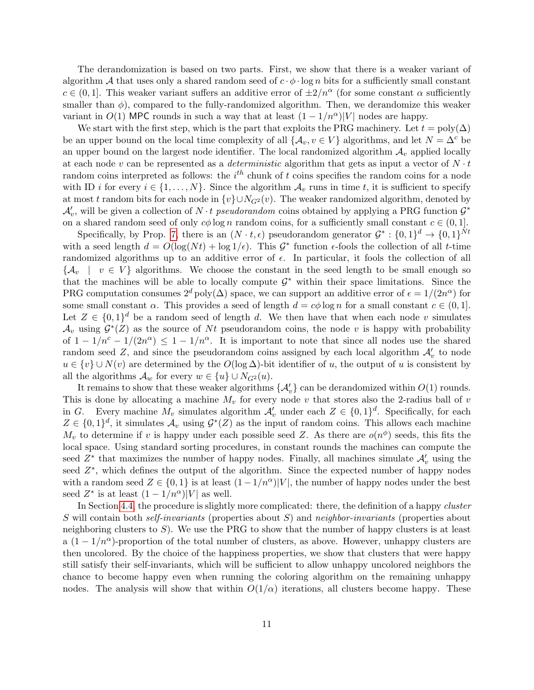The derandomization is based on two parts. First, we show that there is a weaker variant of algorithm A that uses only a shared random seed of  $c \cdot \phi \cdot \log n$  bits for a sufficiently small constant  $c \in (0,1]$ . This weaker variant suffers an additive error of  $\pm 2/n^{\alpha}$  (for some constant  $\alpha$  sufficiently smaller than  $\phi$ ), compared to the fully-randomized algorithm. Then, we derandomize this weaker variant in  $O(1)$  MPC rounds in such a way that at least  $(1 - 1/n^{\alpha})|V|$  nodes are happy.

We start with the first step, which is the part that exploits the PRG machinery. Let  $t = poly(\Delta)$ be an upper bound on the local time complexity of all  $\{\mathcal{A}_v, v \in V\}$  algorithms, and let  $N = \Delta^c$  be an upper bound on the largest node identifier. The local randomized algorithm  $A<sub>v</sub>$  applied locally at each node v can be represented as a *deterministic* algorithm that gets as input a vector of  $N \cdot t$ random coins interpreted as follows: the  $i<sup>th</sup>$  chunk of t coins specifies the random coins for a node with ID i for every  $i \in \{1, \ldots, N\}$ . Since the algorithm  $\mathcal{A}_v$  runs in time t, it is sufficient to specify at most t random bits for each node in  $\{v\} \cup N_{G^2}(v)$ . The weaker randomized algorithm, denoted by  $\mathcal{A}'_v$ , will be given a collection of  $N \cdot t$  pseudorandom coins obtained by applying a PRG function  $\mathcal{G}^*$ on a shared random seed of only  $c\phi \log n$  random coins, for a sufficiently small constant  $c \in (0,1]$ .

Specifically, by Prop. [7,](#page-9-0) there is an  $(N \cdot t, \epsilon)$  pseudorandom generator  $\mathcal{G}^* : \{0,1\}^d \to \{0,1\}^{Nt}$ with a seed length  $d = O(\log(Nt) + \log 1/\epsilon)$ . This  $\mathcal{G}^*$  function  $\epsilon$ -fools the collection of all t-time randomized algorithms up to an additive error of  $\epsilon$ . In particular, it fools the collection of all  ${A_v \mid v \in V}$  algorithms. We choose the constant in the seed length to be small enough so that the machines will be able to locally compute  $\mathcal{G}^*$  within their space limitations. Since the PRG computation consumes  $2^d$  poly $(\Delta)$  space, we can support an additive error of  $\epsilon = 1/(2n^{\alpha})$  for some small constant  $\alpha$ . This provides a seed of length  $d = c\phi \log n$  for a small constant  $c \in (0,1]$ . Let  $Z \in \{0,1\}^d$  be a random seed of length d. We then have that when each node v simulates  $\mathcal{A}_v$  using  $\mathcal{G}^*(Z)$  as the source of Nt pseudorandom coins, the node v is happy with probability of  $1 - 1/n^c - 1/(2n^{\alpha}) \leq 1 - 1/n^{\alpha}$ . It is important to note that since all nodes use the shared random seed Z, and since the pseudorandom coins assigned by each local algorithm  $\mathcal{A}'_v$  to node  $u \in \{v\} \cup N(v)$  are determined by the  $O(\log \Delta)$ -bit identifier of u, the output of u is consistent by all the algorithms  $\mathcal{A}_w$  for every  $w \in \{u\} \cup N_{G^2}(u)$ .

It remains to show that these weaker algorithms  $\{\mathcal{A}'_v\}$  can be derandomized within  $O(1)$  rounds. This is done by allocating a machine  $M_v$  for every node v that stores also the 2-radius ball of v in G. Every machine  $M_v$  simulates algorithm  $\mathcal{A}'_v$  under each  $Z \in \{0,1\}^d$ . Specifically, for each  $Z \in \{0,1\}^d$ , it simulates  $\mathcal{A}_v$  using  $\mathcal{G}^*(Z)$  as the input of random coins. This allows each machine  $M_v$  to determine if v is happy under each possible seed Z. As there are  $o(n^{\phi})$  seeds, this fits the local space. Using standard sorting procedures, in constant rounds the machines can compute the seed  $Z^*$  that maximizes the number of happy nodes. Finally, all machines simulate  $\mathcal{A}'_v$  using the seed  $Z^*$ , which defines the output of the algorithm. Since the expected number of happy nodes with a random seed  $Z \in \{0,1\}$  is at least  $(1 - 1/n^{\alpha})|V|$ , the number of happy nodes under the best seed  $Z^*$  is at least  $(1 - 1/n^{\alpha})|V|$  as well.

In Section [4.4,](#page-18-0) the procedure is slightly more complicated: there, the definition of a happy *cluster* S will contain both *self-invariants* (properties about S) and *neighbor-invariants* (properties about neighboring clusters to  $S$ ). We use the PRG to show that the number of happy clusters is at least a  $(1 - 1/n^{\alpha})$ -proportion of the total number of clusters, as above. However, unhappy clusters are then uncolored. By the choice of the happiness properties, we show that clusters that were happy still satisfy their self-invariants, which will be sufficient to allow unhappy uncolored neighbors the chance to become happy even when running the coloring algorithm on the remaining unhappy nodes. The analysis will show that within  $O(1/\alpha)$  iterations, all clusters become happy. These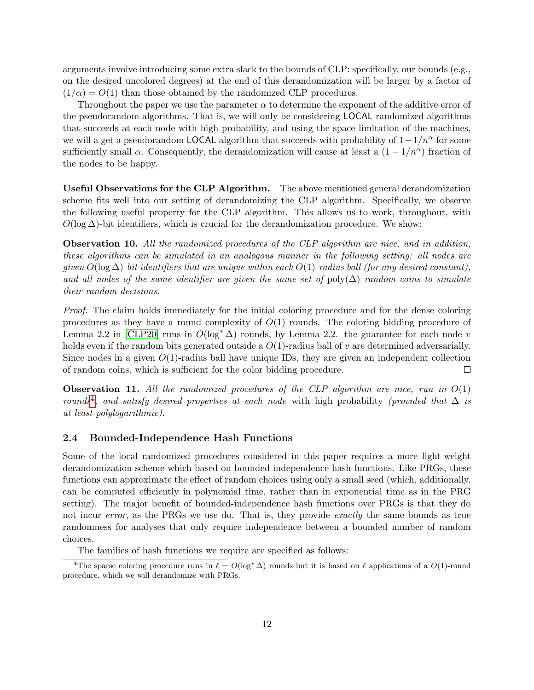arguments involve introducing some extra slack to the bounds of CLP: specifically, our bounds (e.g., on the desired uncolored degrees) at the end of this derandomization will be larger by a factor of  $(1/\alpha) = O(1)$  than those obtained by the randomized CLP procedures.

Throughout the paper we use the parameter  $\alpha$  to determine the exponent of the additive error of the pseudorandom algorithms. That is, we will only be considering LOCAL randomized algorithms that succeeds at each node with high probability, and using the space limitation of the machines, we will a get a pseudorandom LOCAL algorithm that succeeds with probability of  $1-1/n^{\alpha}$  for some sufficiently small  $\alpha$ . Consequently, the derandomization will cause at least a  $(1 - 1/n^{\alpha})$  fraction of the nodes to be happy.

Useful Observations for the CLP Algorithm. The above mentioned general derandomization scheme fits well into our setting of derandomizing the CLP algorithm. Specifically, we observe the following useful property for the CLP algorithm. This allows us to work, throughout, with  $O(\log \Delta)$ -bit identifiers, which is crucial for the derandomization procedure. We show:

Observation 10. All the randomized procedures of the CLP algorithm are nice, and in addition, these algorithms can be simulated in an analogous manner in the following setting: all nodes are given  $O(\log \Delta)$ -bit identifiers that are unique within each  $O(1)$ -radius ball (for any desired constant), and all nodes of the same identifier are given the same set of  $\text{poly}(\Delta)$  random coins to simulate their random decisions.

Proof. The claim holds immediately for the initial coloring procedure and for the dense coloring procedures as they have a round complexity of  $O(1)$  rounds. The coloring bidding procedure of Lemma 2.2 in [\[CLP20\]](#page-29-6) runs in  $O(\log^* \Delta)$  rounds, by Lemma 2.2. the guarantee for each node v holds even if the random bits generated outside a  $O(1)$ -radius ball of v are determined adversarially. Since nodes in a given  $O(1)$ -radius ball have unique IDs, they are given an independent collection of random coins, which is sufficient for the color bidding procedure.  $\Box$ 

**Observation 11.** All the randomized procedures of the CLP algorithm are nice, run in  $O(1)$ rounds<sup>[4](#page-11-1)</sup>, and satisfy desired properties at each node with high probability (provided that  $\Delta$  is at least polylogarithmic).

#### <span id="page-11-0"></span>2.4 Bounded-Independence Hash Functions

Some of the local randomized procedures considered in this paper requires a more light-weight derandomization scheme which based on bounded-independence hash functions. Like PRGs, these functions can approximate the effect of random choices using only a small seed (which, additionally, can be computed efficiently in polynomial time, rather than in exponential time as in the PRG setting). The major benefit of bounded-independence hash functions over PRGs is that they do not incur error, as the PRGs we use do. That is, they provide exactly the same bounds as true randomness for analyses that only require independence between a bounded number of random choices.

<span id="page-11-1"></span>The families of hash functions we require are specified as follows:

<sup>&</sup>lt;sup>4</sup>The sparse coloring procedure runs in  $\ell = O(\log^* \Delta)$  rounds but it is based on  $\ell$  applications of a  $O(1)$ -round procedure, which we will derandomize with PRGs.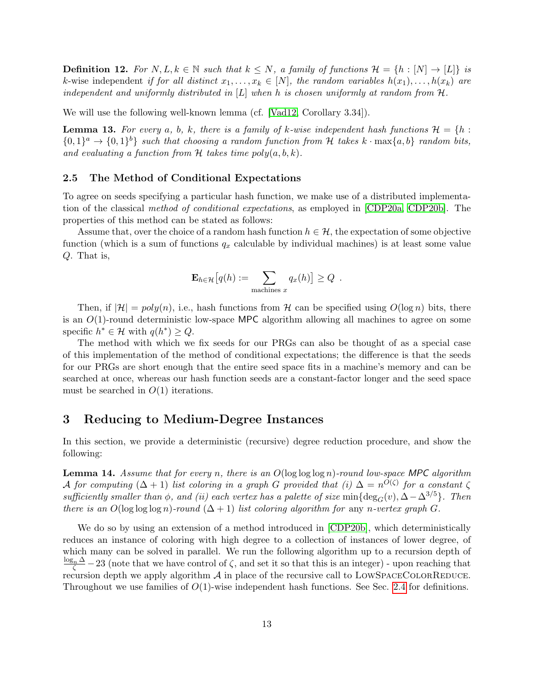**Definition 12.** For  $N, L, k \in \mathbb{N}$  such that  $k \leq N$ , a family of functions  $\mathcal{H} = \{h : [N] \to [L]\}$  is k-wise independent if for all distinct  $x_1, \ldots, x_k \in [N]$ , the random variables  $h(x_1), \ldots, h(x_k)$  are independent and uniformly distributed in  $[L]$  when h is chosen uniformly at random from  $H$ .

We will use the following well-known lemma (cf. [\[Vad12,](#page-31-3) Corollary 3.34]).

<span id="page-12-2"></span>**Lemma 13.** For every a, b, k, there is a family of k-wise independent hash functions  $\mathcal{H} = \{h :$  $\{0,1\}^a \rightarrow \{0,1\}^b$  such that choosing a random function from H takes  $k \cdot \max\{a,b\}$  random bits, and evaluating a function from  $H$  takes time  $poly(a, b, k)$ .

#### 2.5 The Method of Conditional Expectations

To agree on seeds specifying a particular hash function, we make use of a distributed implementation of the classical method of conditional expectations, as employed in [\[CDP20a,](#page-28-3) [CDP20b\]](#page-28-4). The properties of this method can be stated as follows:

Assume that, over the choice of a random hash function  $h \in \mathcal{H}$ , the expectation of some objective function (which is a sum of functions  $q_x$  calculable by individual machines) is at least some value Q. That is,

$$
\mathbf{E}_{h \in \mathcal{H}}[q(h) := \sum_{\text{machines } x} q_x(h)] \ge Q .
$$

Then, if  $|\mathcal{H}| = poly(n)$ , i.e., hash functions from H can be specified using  $O(\log n)$  bits, there is an  $O(1)$ -round deterministic low-space MPC algorithm allowing all machines to agree on some specific  $h^* \in \mathcal{H}$  with  $q(h^*) \geq Q$ .

The method with which we fix seeds for our PRGs can also be thought of as a special case of this implementation of the method of conditional expectations; the difference is that the seeds for our PRGs are short enough that the entire seed space fits in a machine's memory and can be searched at once, whereas our hash function seeds are a constant-factor longer and the seed space must be searched in  $O(1)$  iterations.

### <span id="page-12-0"></span>3 Reducing to Medium-Degree Instances

In this section, we provide a deterministic (recursive) degree reduction procedure, and show the following:

<span id="page-12-1"></span>**Lemma 14.** Assume that for every n, there is an  $O(\log \log n)$ -round low-space MPC algorithm A for computing  $(\Delta + 1)$  list coloring in a graph G provided that  $(i)$   $\Delta = n^{O(\zeta)}$  for a constant  $\zeta$ sufficiently smaller than  $\phi$ , and (ii) each vertex has a palette of size min{deg<sub>G</sub>(v),  $\Delta - \Delta^{3/5}$ . Then there is an  $O(\log \log \log n)$ -round  $(\Delta + 1)$  list coloring algorithm for any n-vertex graph G.

We do so by using an extension of a method introduced in [\[CDP20b\]](#page-28-4), which deterministically reduces an instance of coloring with high degree to a collection of instances of lower degree, of which many can be solved in parallel. We run the following algorithm up to a recursion depth of  $\frac{\log_n \Delta}{\zeta} - 23$  (note that we have control of  $\zeta$ , and set it so that this is an integer) - upon reaching that recursion depth we apply algorithm  $A$  in place of the recursive call to LOWSPACECOLORREDUCE. Throughout we use families of  $O(1)$ -wise independent hash functions. See Sec. [2.4](#page-11-0) for definitions.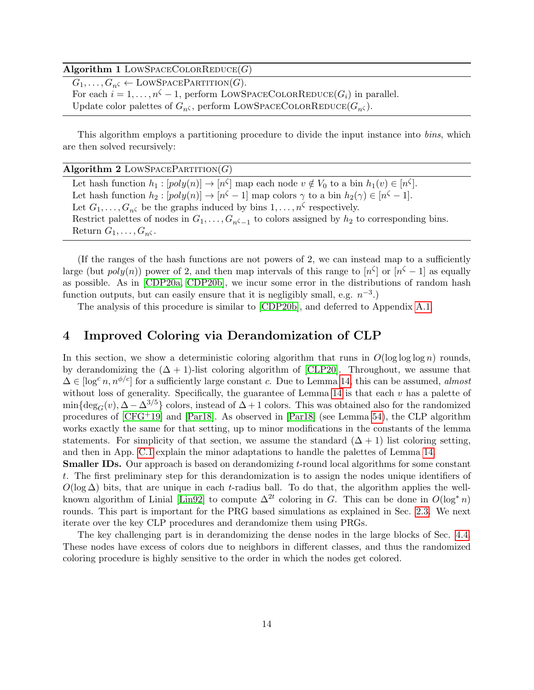#### Algorithm 1 LOWSPACECOLORREDUCE $(G)$

 $G_1, \ldots, G_n$ <sub> $\zeta$ </sub>  $\leftarrow$  LOWSPACEPARTITION(*G*). For each  $i = 1, ..., n^{\zeta} - 1$ , perform LOWSPACECOLORREDUCE $(G_i)$  in parallel. Update color palettes of  $G_{n\zeta}$ , perform LOWSPACECOLORREDUCE $(G_{n\zeta})$ .

This algorithm employs a partitioning procedure to divide the input instance into bins, which are then solved recursively:

| Algorithm 2 LOWSPACEPARTITION( $G$ ) |  |
|--------------------------------------|--|
|--------------------------------------|--|

Let hash function  $h_1 : [poly(n)] \to [n^{\zeta}]$  map each node  $v \notin V_0$  to a bin  $h_1(v) \in [n^{\zeta}]$ . Let hash function  $h_2: [poly(n)] \to [n^{\zeta} - 1]$  map colors  $\gamma$  to a bin  $h_2(\gamma) \in [n^{\zeta} - 1]$ . Let  $G_1, \ldots, G_{n^{\zeta}}$  be the graphs induced by bins  $1, \ldots, n^{\zeta}$  respectively. Restrict palettes of nodes in  $G_1, \ldots, G_{n\zeta-1}$  to colors assigned by  $h_2$  to corresponding bins. Return  $G_1, \ldots, G_n$ .

(If the ranges of the hash functions are not powers of 2, we can instead map to a sufficiently large (but  $poly(n)$ ) power of 2, and then map intervals of this range to  $[n^{\zeta}]$  or  $[n^{\zeta}-1]$  as equally as possible. As in [\[CDP20a,](#page-28-3) [CDP20b\]](#page-28-4), we incur some error in the distributions of random hash function outputs, but can easily ensure that it is negligibly small, e.g.  $n^{-3}$ .)

The analysis of this procedure is similar to [\[CDP20b\]](#page-28-4), and deferred to Appendix [A.1.](#page-32-1)

### 4 Improved Coloring via Derandomization of CLP

In this section, we show a deterministic coloring algorithm that runs in  $O(\log \log \log n)$  rounds, by derandomizing the  $(\Delta + 1)$ -list coloring algorithm of [\[CLP20\]](#page-29-6). Throughout, we assume that  $\Delta \in [\log^c n, n^{\phi/c}]$  for a sufficiently large constant c. Due to Lemma [14,](#page-12-1) this can be assumed, almost without loss of generality. Specifically, the guarantee of Lemma [14](#page-12-1) is that each  $v$  has a palette of min{deg<sub>G</sub>(v),  $\Delta - \Delta^{3/5}$ } colors, instead of  $\Delta + 1$  colors. This was obtained also for the randomized procedures of [\[CFG](#page-28-2)+19] and [\[Par18\]](#page-31-1). As observed in [\[Par18\]](#page-31-1) (see Lemma [54\)](#page-41-0), the CLP algorithm works exactly the same for that setting, up to minor modifications in the constants of the lemma statements. For simplicity of that section, we assume the standard  $(\Delta + 1)$  list coloring setting, and then in App. [C.1](#page-41-1) explain the minor adaptations to handle the palettes of Lemma [14.](#page-12-1)

**Smaller IDs.** Our approach is based on derandomizing t-round local algorithms for some constant t. The first preliminary step for this derandomization is to assign the nodes unique identifiers of  $O(\log \Delta)$  bits, that are unique in each t-radius ball. To do that, the algorithm applies the well-known algorithm of Linial [\[Lin92\]](#page-30-3) to compute  $\Delta^{2t}$  coloring in G. This can be done in  $O(\log^* n)$ rounds. This part is important for the PRG based simulations as explained in Sec. [2.3.](#page-8-0) We next iterate over the key CLP procedures and derandomize them using PRGs.

The key challenging part is in derandomizing the dense nodes in the large blocks of Sec. [4.4.](#page-18-0) These nodes have excess of colors due to neighbors in different classes, and thus the randomized coloring procedure is highly sensitive to the order in which the nodes get colored.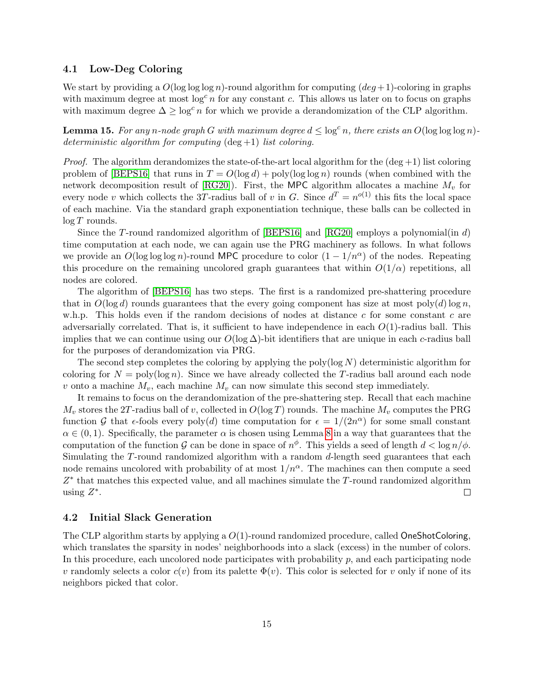#### <span id="page-14-1"></span>4.1 Low-Deg Coloring

We start by providing a  $O(\log \log \log n)$ -round algorithm for computing  $(deq+1)$ -coloring in graphs with maximum degree at most  $\log^c n$  for any constant c. This allows us later on to focus on graphs with maximum degree  $\Delta \geq \log^c n$  for which we provide a derandomization of the CLP algorithm.

<span id="page-14-2"></span>**Lemma 15.** For any n-node graph G with maximum degree  $d \leq \log^c n$ , there exists an  $O(\log \log \log n)$ deterministic algorithm for computing  $(\text{deg} + 1)$  list coloring.

*Proof.* The algorithm derandomizes the state-of-the-art local algorithm for the  $(\text{deg} + 1)$  list coloring problem of [\[BEPS16\]](#page-28-5) that runs in  $T = O(\log d) + \text{poly}(\log \log n)$  rounds (when combined with the network decomposition result of [\[RG20\]](#page-31-0)). First, the MPC algorithm allocates a machine  $M_v$  for every node v which collects the 3T-radius ball of v in G. Since  $d^T = n^{o(1)}$  this fits the local space of each machine. Via the standard graph exponentiation technique, these balls can be collected in  $log T$  rounds.

Since the T-round randomized algorithm of [\[BEPS16\]](#page-28-5) and [\[RG20\]](#page-31-0) employs a polynomial(in d) time computation at each node, we can again use the PRG machinery as follows. In what follows we provide an  $O(\log \log \log n)$ -round MPC procedure to color  $(1 - 1/n^{\alpha})$  of the nodes. Repeating this procedure on the remaining uncolored graph guarantees that within  $O(1/\alpha)$  repetitions, all nodes are colored.

The algorithm of [\[BEPS16\]](#page-28-5) has two steps. The first is a randomized pre-shattering procedure that in  $O(\log d)$  rounds guarantees that the every going component has size at most poly(d) log n. w.h.p. This holds even if the random decisions of nodes at distance  $c$  for some constant  $c$  are adversarially correlated. That is, it sufficient to have independence in each  $O(1)$ -radius ball. This implies that we can continue using our  $O(\log \Delta)$ -bit identifiers that are unique in each c-radius ball for the purposes of derandomization via PRG.

The second step completes the coloring by applying the poly( $log N$ ) deterministic algorithm for coloring for  $N = \text{poly}(\log n)$ . Since we have already collected the T-radius ball around each node v onto a machine  $M_v$ , each machine  $M_v$  can now simulate this second step immediately.

It remains to focus on the derandomization of the pre-shattering step. Recall that each machine  $M_v$  stores the 2T-radius ball of v, collected in  $O(\log T)$  rounds. The machine  $M_v$  computes the PRG function G that  $\epsilon$ -fools every poly(d) time computation for  $\epsilon = 1/(2n^{\alpha})$  for some small constant  $\alpha \in (0,1)$ . Specifically, the parameter  $\alpha$  is chosen using Lemma [8](#page-9-1) in a way that guarantees that the computation of the function G can be done in space of  $n^{\phi}$ . This yields a seed of length  $d < \log n/\phi$ . Simulating the T-round randomized algorithm with a random d-length seed guarantees that each node remains uncolored with probability of at most  $1/n^{\alpha}$ . The machines can then compute a seed Z<sup>\*</sup> that matches this expected value, and all machines simulate the T-round randomized algorithm using  $Z^*$ .  $\Box$ 

#### <span id="page-14-0"></span>4.2 Initial Slack Generation

The CLP algorithm starts by applying a  $O(1)$ -round randomized procedure, called OneShotColoring, which translates the sparsity in nodes' neighborhoods into a slack (excess) in the number of colors. In this procedure, each uncolored node participates with probability  $p$ , and each participating node v randomly selects a color  $c(v)$  from its palette  $\Phi(v)$ . This color is selected for v only if none of its neighbors picked that color.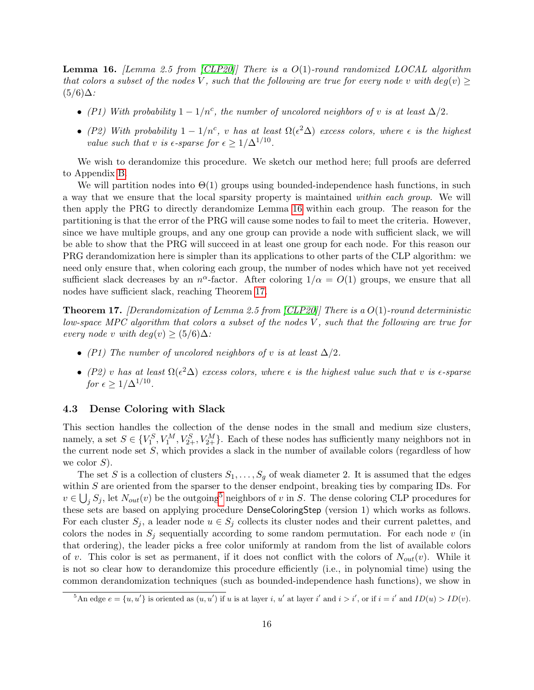<span id="page-15-1"></span>**Lemma 16.** Lemma 2.5 from  $|CLP20|$  There is a  $O(1)$ -round randomized LOCAL algorithm that colors a subset of the nodes V, such that the following are true for every node v with  $deg(v) \geq$  $(5/6)\Delta$ :

- (P1) With probability  $1 1/n^c$ , the number of uncolored neighbors of v is at least  $\Delta/2$ .
- (P2) With probability  $1-1/n^c$ , v has at least  $\Omega(\epsilon^2\Delta)$  excess colors, where  $\epsilon$  is the highest value such that v is  $\epsilon$ -sparse for  $\epsilon \geq 1/\Delta^{1/10}$ .

We wish to derandomize this procedure. We sketch our method here; full proofs are deferred to Appendix [B.](#page-37-0)

We will partition nodes into  $\Theta(1)$  groups using bounded-independence hash functions, in such a way that we ensure that the local sparsity property is maintained within each group. We will then apply the PRG to directly derandomize Lemma [16](#page-15-1) within each group. The reason for the partitioning is that the error of the PRG will cause some nodes to fail to meet the criteria. However, since we have multiple groups, and any one group can provide a node with sufficient slack, we will be able to show that the PRG will succeed in at least one group for each node. For this reason our PRG derandomization here is simpler than its applications to other parts of the CLP algorithm: we need only ensure that, when coloring each group, the number of nodes which have not yet received sufficient slack decreases by an  $n^{\alpha}$ -factor. After coloring  $1/\alpha = O(1)$  groups, we ensure that all nodes have sufficient slack, reaching Theorem [17.](#page-15-2)

<span id="page-15-2"></span>**Theorem 17.** [Derandomization of Lemma 2.5 from [\[CLP20\]](#page-29-6)] There is a  $O(1)$ -round deterministic low-space MPC algorithm that colors a subset of the nodes  $V$ , such that the following are true for every node v with  $deg(v) \geq (5/6)\Delta$ :

- (P1) The number of uncolored neighbors of v is at least  $\Delta/2$ .
- (P2) v has at least  $\Omega(\epsilon^2 \Delta)$  excess colors, where  $\epsilon$  is the highest value such that v is  $\epsilon$ -sparse for  $\epsilon \geq 1/\Delta^{1/10}$ .

#### <span id="page-15-0"></span>4.3 Dense Coloring with Slack

This section handles the collection of the dense nodes in the small and medium size clusters, namely, a set  $S \in \{V_1^S, V_1^M, V_{2+}^S, V_{2+}^M\}$ . Each of these nodes has sufficiently many neighbors not in the current node set S, which provides a slack in the number of available colors (regardless of how we color  $S$ ).

The set S is a collection of clusters  $S_1, \ldots, S_q$  of weak diameter 2. It is assumed that the edges within  $S$  are oriented from the sparser to the denser endpoint, breaking ties by comparing IDs. For  $v \in \bigcup_j S_j$ , let  $N_{out}(v)$  be the outgoing<sup>[5](#page-15-3)</sup> neighbors of v in S. The dense coloring CLP procedures for these sets are based on applying procedure DenseColoringStep (version 1) which works as follows. For each cluster  $S_i$ , a leader node  $u \in S_j$  collects its cluster nodes and their current palettes, and colors the nodes in  $S_i$  sequentially according to some random permutation. For each node v (in that ordering), the leader picks a free color uniformly at random from the list of available colors of v. This color is set as permanent, if it does not conflict with the colors of  $N_{out}(v)$ . While it is not so clear how to derandomize this procedure efficiently (i.e., in polynomial time) using the common derandomization techniques (such as bounded-independence hash functions), we show in

<span id="page-15-3"></span><sup>&</sup>lt;sup>5</sup>An edge  $e = \{u, u'\}$  is oriented as  $(u, u')$  if u is at layer i, u' at layer i' and  $i > i'$ , or if  $i = i'$  and  $ID(u) > ID(v)$ .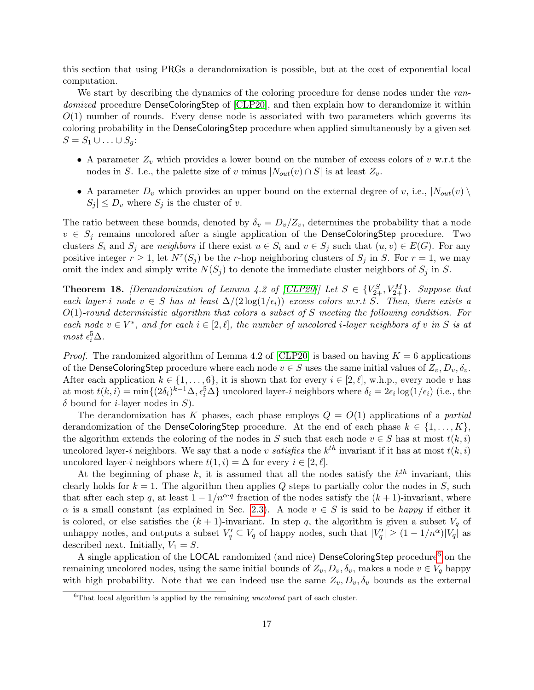this section that using PRGs a derandomization is possible, but at the cost of exponential local computation.

We start by describing the dynamics of the coloring procedure for dense nodes under the ran-domized procedure DenseColoringStep of [\[CLP20\]](#page-29-6), and then explain how to derandomize it within  $O(1)$  number of rounds. Every dense node is associated with two parameters which governs its coloring probability in the DenseColoringStep procedure when applied simultaneously by a given set  $S = S_1 \cup \ldots \cup S_q$ :

- A parameter  $Z_v$  which provides a lower bound on the number of excess colors of v w.r.t the nodes in S. I.e., the palette size of v minus  $|N_{out}(v) \cap S|$  is at least  $Z_v$ .
- A parameter  $D_v$  which provides an upper bound on the external degree of v, i.e.,  $|N_{out}(v) \setminus$  $|S_i| \leq D_v$  where  $S_i$  is the cluster of v.

The ratio between these bounds, denoted by  $\delta_v = D_v/Z_v$ , determines the probability that a node  $v \in S_j$  remains uncolored after a single application of the DenseColoringStep procedure. Two clusters  $S_i$  and  $S_j$  are neighbors if there exist  $u \in S_i$  and  $v \in S_j$  such that  $(u, v) \in E(G)$ . For any positive integer  $r \geq 1$ , let  $N^r(S_j)$  be the r-hop neighboring clusters of  $S_j$  in S. For  $r = 1$ , we may omit the index and simply write  $N(S_j)$  to denote the immediate cluster neighbors of  $S_j$  in S.

<span id="page-16-1"></span>**Theorem 18.** [Derandomization of Lemma 4.2 of [\[CLP20\]](#page-29-6)] Let  $S \in \{V_{2+}^S, V_{2+}^M\}$ . Suppose that each layer-i node  $v \in S$  has at least  $\Delta/(2 \log(1/\epsilon_i))$  excess colors w.r.t S. Then, there exists a  $O(1)$ -round deterministic algorithm that colors a subset of S meeting the following condition. For each node  $v \in V^*$ , and for each  $i \in [2, \ell]$ , the number of uncolored *i*-layer neighbors of v in S is at most  $\epsilon_i^5 \Delta$ .

*Proof.* The randomized algorithm of Lemma 4.2 of [\[CLP20\]](#page-29-6) is based on having  $K = 6$  applications of the DenseColoringStep procedure where each node  $v \in S$  uses the same initial values of  $Z_v, D_v, \delta_v$ . After each application  $k \in \{1, \ldots, 6\}$ , it is shown that for every  $i \in [2, \ell]$ , w.h.p., every node v has at most  $t(k, i) = \min\{(2\delta_i)^{k-1}\Delta, \epsilon_i^5\Delta\}$  uncolored layer-*i* neighbors where  $\delta_i = 2\epsilon_i \log(1/\epsilon_i)$  (i.e., the  $\delta$  bound for *i*-layer nodes in S).

The derandomization has K phases, each phase employs  $Q = O(1)$  applications of a partial derandomization of the DenseColoringStep procedure. At the end of each phase  $k \in \{1, \ldots, K\}$ , the algorithm extends the coloring of the nodes in S such that each node  $v \in S$  has at most  $t(k, i)$ uncolored layer-i neighbors. We say that a node v satisfies the  $k^{th}$  invariant if it has at most  $t(k, i)$ uncolored layer-i neighbors where  $t(1, i) = \Delta$  for every  $i \in [2, \ell]$ .

At the beginning of phase  $k$ , it is assumed that all the nodes satisfy the  $k^{th}$  invariant, this clearly holds for  $k = 1$ . The algorithm then applies Q steps to partially color the nodes in S, such that after each step q, at least  $1 - 1/n^{\alpha q}$  fraction of the nodes satisfy the  $(k + 1)$ -invariant, where  $\alpha$  is a small constant (as explained in Sec. [2.3\)](#page-8-0). A node  $v \in S$  is said to be happy if either it is colored, or else satisfies the  $(k + 1)$ -invariant. In step q, the algorithm is given a subset  $V_q$  of unhappy nodes, and outputs a subset  $V'_q \subseteq V_q$  of happy nodes, such that  $|V'_q| \geq (1 - 1/n^{\alpha})|V_q|$  as described next. Initially,  $V_1 = S$ .

A single application of the LOCAL randomized (and nice) DenseColoringStep procedure<sup>[6](#page-16-0)</sup> on the remaining uncolored nodes, using the same initial bounds of  $Z_v, D_v, \delta_v$ , makes a node  $v \in V_q$  happy with high probability. Note that we can indeed use the same  $Z_v, D_v, \delta_v$  bounds as the external

<span id="page-16-0"></span> ${}^{6}$ That local algorithm is applied by the remaining *uncolored* part of each cluster.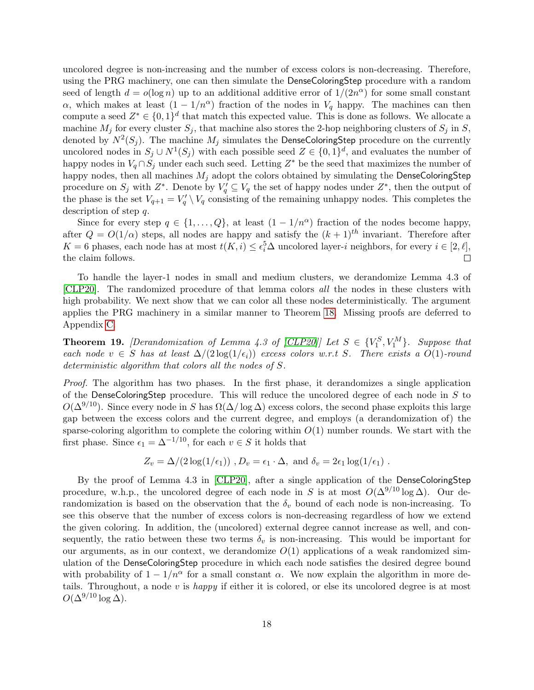uncolored degree is non-increasing and the number of excess colors is non-decreasing. Therefore, using the PRG machinery, one can then simulate the DenseColoringStep procedure with a random seed of length  $d = o(\log n)$  up to an additional additive error of  $1/(2n^{\alpha})$  for some small constant  $\alpha$ , which makes at least  $(1 - 1/n^{\alpha})$  fraction of the nodes in  $V_q$  happy. The machines can then compute a seed  $Z^* \in \{0,1\}^d$  that match this expected value. This is done as follows. We allocate a machine  $M_j$  for every cluster  $S_j$ , that machine also stores the 2-hop neighboring clusters of  $S_j$  in  $S$ , denoted by  $N^2(S_j)$ . The machine  $M_j$  simulates the DenseColoringStep procedure on the currently uncolored nodes in  $S_j \cup N^1(S_j)$  with each possible seed  $Z \in \{0,1\}^d$ , and evaluates the number of happy nodes in  $V_q \cap S_j$  under each such seed. Letting  $Z^*$  be the seed that maximizes the number of happy nodes, then all machines  $M_j$  adopt the colors obtained by simulating the DenseColoringStep procedure on  $S_j$  with  $Z^*$ . Denote by  $V'_q \subseteq V_q$  the set of happy nodes under  $Z^*$ , then the output of the phase is the set  $V_{q+1} = V'_q \setminus V_q$  consisting of the remaining unhappy nodes. This completes the description of step q.

Since for every step  $q \in \{1, ..., Q\}$ , at least  $(1 - 1/n^{\alpha})$  fraction of the nodes become happy, after  $Q = O(1/\alpha)$  steps, all nodes are happy and satisfy the  $(k+1)$ <sup>th</sup> invariant. Therefore after  $K = 6$  phases, each node has at most  $t(K, i) \leq \epsilon_i^5 \Delta$  uncolored layer-*i* neighbors, for every  $i \in [2, \ell],$ the claim follows.  $\Box$ 

To handle the layer-1 nodes in small and medium clusters, we derandomize Lemma 4.3 of [\[CLP20\]](#page-29-6). The randomized procedure of that lemma colors all the nodes in these clusters with high probability. We next show that we can color all these nodes deterministically. The argument applies the PRG machinery in a similar manner to Theorem [18.](#page-16-1) Missing proofs are deferred to Appendix [C.](#page-40-0)

<span id="page-17-0"></span>**Theorem 19.** [Derandomization of Lemma 4.3 of [\[CLP20\]](#page-29-6)] Let  $S \in \{V_1^S, V_1^M\}$ . Suppose that each node  $v \in S$  has at least  $\Delta/(2 \log(1/\epsilon_i))$  excess colors w.r.t S. There exists a  $O(1)$ -round deterministic algorithm that colors all the nodes of S.

Proof. The algorithm has two phases. In the first phase, it derandomizes a single application of the DenseColoringStep procedure. This will reduce the uncolored degree of each node in  $S$  to  $O(\Delta^{9/10})$ . Since every node in S has  $\Omega(\Delta/\log \Delta)$  excess colors, the second phase exploits this large gap between the excess colors and the current degree, and employs (a derandomization of) the sparse-coloring algorithm to complete the coloring within  $O(1)$  number rounds. We start with the first phase. Since  $\epsilon_1 = \Delta^{-1/10}$ , for each  $v \in S$  it holds that

$$
Z_v = \Delta/(2 \log(1/\epsilon_1))
$$
,  $D_v = \epsilon_1 \cdot \Delta$ , and  $\delta_v = 2\epsilon_1 \log(1/\epsilon_1)$ .

By the proof of Lemma 4.3 in [\[CLP20\]](#page-29-6), after a single application of the DenseColoringStep procedure, w.h.p., the uncolored degree of each node in S is at most  $O(\Delta^{9/10} \log \Delta)$ . Our derandomization is based on the observation that the  $\delta_v$  bound of each node is non-increasing. To see this observe that the number of excess colors is non-decreasing regardless of how we extend the given coloring. In addition, the (uncolored) external degree cannot increase as well, and consequently, the ratio between these two terms  $\delta_v$  is non-increasing. This would be important for our arguments, as in our context, we derandomize  $O(1)$  applications of a weak randomized simulation of the DenseColoringStep procedure in which each node satisfies the desired degree bound with probability of  $1 - 1/n^{\alpha}$  for a small constant  $\alpha$ . We now explain the algorithm in more details. Throughout, a node  $v$  is *happy* if either it is colored, or else its uncolored degree is at most  $O(\Delta^{9/10} \log \Delta)$ .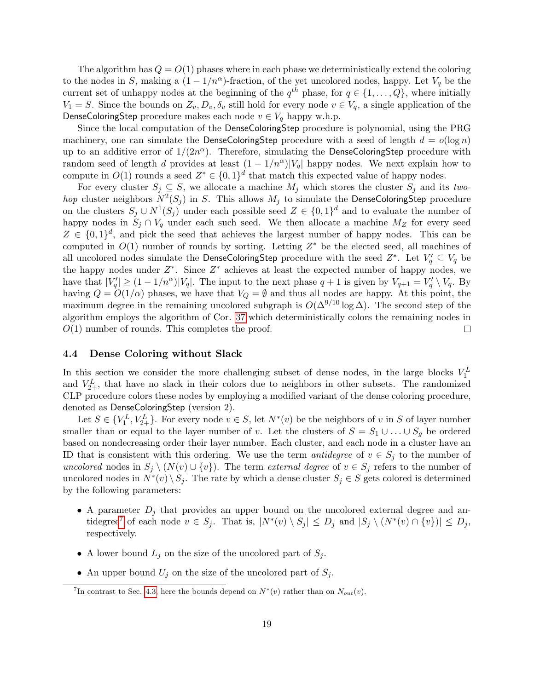The algorithm has  $Q = O(1)$  phases where in each phase we deterministically extend the coloring to the nodes in S, making a  $(1 - 1/n^{\alpha})$ -fraction, of the yet uncolored nodes, happy. Let  $V_q$  be the current set of unhappy nodes at the beginning of the  $q^{th}$  phase, for  $q \in \{1, ..., Q\}$ , where initially  $V_1 = S$ . Since the bounds on  $Z_v, D_v, \delta_v$  still hold for every node  $v \in V_q$ , a single application of the DenseColoringStep procedure makes each node  $v \in V_q$  happy w.h.p.

Since the local computation of the DenseColoringStep procedure is polynomial, using the PRG machinery, one can simulate the DenseColoringStep procedure with a seed of length  $d = o(\log n)$ up to an additive error of  $1/(2n^{\alpha})$ . Therefore, simulating the DenseColoringStep procedure with random seed of length d provides at least  $(1 - 1/n^{\alpha})|V_q|$  happy nodes. We next explain how to compute in  $O(1)$  rounds a seed  $Z^* \in \{0,1\}^d$  that match this expected value of happy nodes.

For every cluster  $S_i \subseteq S$ , we allocate a machine  $M_i$  which stores the cluster  $S_i$  and its two*hop* cluster neighbors  $N^2(S_j)$  in S. This allows  $M_j$  to simulate the DenseColoringStep procedure on the clusters  $S_j \cup N^1(S_j)$  under each possible seed  $Z \in \{0,1\}^d$  and to evaluate the number of happy nodes in  $S_j \cap V_q$  under each such seed. We then allocate a machine  $M_Z$  for every seed  $Z \in \{0,1\}^d$ , and pick the seed that achieves the largest number of happy nodes. This can be computed in  $O(1)$  number of rounds by sorting. Letting  $Z^*$  be the elected seed, all machines of all uncolored nodes simulate the DenseColoringStep procedure with the seed  $Z^*$ . Let  $V'_q \subseteq V_q$  be the happy nodes under  $Z^*$ . Since  $Z^*$  achieves at least the expected number of happy nodes, we have that  $|V'_q| \ge (1 - 1/n^{\alpha})|V_q|$ . The input to the next phase  $q + 1$  is given by  $V_{q+1} = V'_q \setminus V_q$ . By having  $Q = O(1/\alpha)$  phases, we have that  $V_Q = \emptyset$  and thus all nodes are happy. At this point, the maximum degree in the remaining uncolored subgraph is  $O(\Delta^{9/10} \log \Delta)$ . The second step of the algorithm employs the algorithm of Cor. [37](#page-26-0) which deterministically colors the remaining nodes in  $O(1)$  number of rounds. This completes the proof.  $\Box$ 

#### <span id="page-18-0"></span>4.4 Dense Coloring without Slack

In this section we consider the more challenging subset of dense nodes, in the large blocks  $V_1^L$ and  $V_{2+}^L$ , that have no slack in their colors due to neighbors in other subsets. The randomized CLP procedure colors these nodes by employing a modified variant of the dense coloring procedure, denoted as DenseColoringStep (version 2).

Let  $S \in \{V_1^L, V_{2+}^L\}$ . For every node  $v \in S$ , let  $N^*(v)$  be the neighbors of v in S of layer number smaller than or equal to the layer number of v. Let the clusters of  $S = S_1 \cup ... \cup S_q$  be ordered based on nondecreasing order their layer number. Each cluster, and each node in a cluster have an ID that is consistent with this ordering. We use the term *antidegree* of  $v \in S_j$  to the number of uncolored nodes in  $S_j \setminus (N(v) \cup \{v\})$ . The term external degree of  $v \in S_j$  refers to the number of uncolored nodes in  $N^*(v) \setminus S_j$ . The rate by which a dense cluster  $S_j \in S$  gets colored is determined by the following parameters:

- A parameter  $D_i$  that provides an upper bound on the uncolored external degree and an-tidegree<sup>[7](#page-18-1)</sup> of each node  $v \in S_j$ . That is,  $|N^*(v) \setminus S_j| \le D_j$  and  $|S_j \setminus (N^*(v) \cap \{v\})| \le D_j$ , respectively.
- A lower bound  $L_i$  on the size of the uncolored part of  $S_i$ .
- An upper bound  $U_i$  on the size of the uncolored part of  $S_i$ .

<span id="page-18-1"></span><sup>&</sup>lt;sup>7</sup>In contrast to Sec. [4.3,](#page-15-0) here the bounds depend on  $N^*(v)$  rather than on  $N_{out}(v)$ .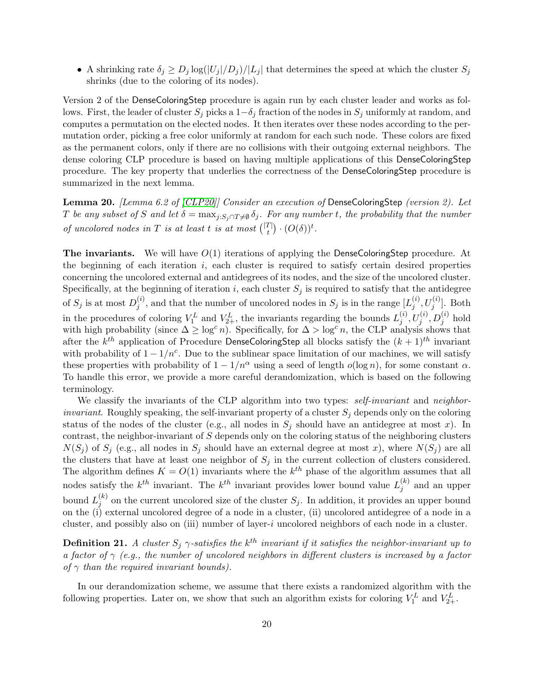• A shrinking rate  $\delta_j \ge D_j \log(|U_j|/D_j)/|L_j|$  that determines the speed at which the cluster  $S_j$ shrinks (due to the coloring of its nodes).

Version 2 of the DenseColoringStep procedure is again run by each cluster leader and works as follows. First, the leader of cluster  $S_j$  picks a  $1-\delta_j$  fraction of the nodes in  $S_j$  uniformly at random, and computes a permutation on the elected nodes. It then iterates over these nodes according to the permutation order, picking a free color uniformly at random for each such node. These colors are fixed as the permanent colors, only if there are no collisions with their outgoing external neighbors. The dense coloring CLP procedure is based on having multiple applications of this DenseColoringStep procedure. The key property that underlies the correctness of the DenseColoringStep procedure is summarized in the next lemma.

<span id="page-19-0"></span>Lemma 20. [Lemma 6.2 of [\[CLP20\]](#page-29-6)] Consider an execution of DenseColoringStep (version 2). Let T be any subset of S and let  $\delta = \max_{j: S_j \cap T \neq \emptyset} \delta_j$ . For any number t, the probability that the number of uncolored nodes in T is at least t is at most  $\binom{|T|}{t}$  $_t^{\Gamma|}$   $\big) \cdot (O(\delta))^t$ .

**The invariants.** We will have  $O(1)$  iterations of applying the DenseColoringStep procedure. At the beginning of each iteration  $i$ , each cluster is required to satisfy certain desired properties concerning the uncolored external and antidegrees of its nodes, and the size of the uncolored cluster. Specifically, at the beginning of iteration i, each cluster  $S_j$  is required to satisfy that the antidegree of  $S_j$  is at most  $D_j^{(i)}$  $j^{(i)}$ , and that the number of uncolored nodes in  $S_j$  is in the range  $[L_j^{(i)}]$  $_j^{(i)}, U_j^{(i)}$ ]. Both in the procedures of coloring  $V_1^L$  and  $V_{2+}^L$ , the invariants regarding the bounds  $L_j^{(i)}$  $j^{(i)}, U_j^{(i)}, D_j^{(i)}$  hold with high probability (since  $\Delta \geq \log^c n$ ). Specifically, for  $\Delta > \log^c n$ , the CLP analysis shows that after the  $k^{th}$  application of Procedure DenseColoringStep all blocks satisfy the  $(k+1)^{th}$  invariant with probability of  $1 - 1/n^c$ . Due to the sublinear space limitation of our machines, we will satisfy these properties with probability of  $1 - 1/n^{\alpha}$  using a seed of length  $o(\log n)$ , for some constant  $\alpha$ . To handle this error, we provide a more careful derandomization, which is based on the following terminology.

We classify the invariants of the CLP algorithm into two types: *self-invariant* and neighbor*invariant.* Roughly speaking, the self-invariant property of a cluster  $S_i$  depends only on the coloring status of the nodes of the cluster (e.g., all nodes in  $S_j$  should have an antidegree at most x). In contrast, the neighbor-invariant of S depends only on the coloring status of the neighboring clusters  $N(S_j)$  of  $S_j$  (e.g., all nodes in  $S_j$  should have an external degree at most x), where  $N(S_j)$  are all the clusters that have at least one neighbor of  $S_j$  in the current collection of clusters considered. The algorithm defines  $K = O(1)$  invariants where the  $k^{th}$  phase of the algorithm assumes that all nodes satisfy the  $k^{th}$  invariant. The  $k^{th}$  invariant provides lower bound value  $L_i^{(k)}$  $j^{(k)}$  and an upper bound  $L_i^{(k)}$  $j^{(k)}$  on the current uncolored size of the cluster  $S_j$ . In addition, it provides an upper bound on the (i) external uncolored degree of a node in a cluster, (ii) uncolored antidegree of a node in a cluster, and possibly also on (iii) number of layer-i uncolored neighbors of each node in a cluster.

**Definition 21.** A cluster  $S_j$   $\gamma$ -satisfies the  $k^{th}$  invariant if it satisfies the neighbor-invariant up to a factor of  $\gamma$  (e.g., the number of uncolored neighbors in different clusters is increased by a factor of  $\gamma$  than the required invariant bounds).

In our derandomization scheme, we assume that there exists a randomized algorithm with the following properties. Later on, we show that such an algorithm exists for coloring  $V_1^L$  and  $V_{2+}^L$ .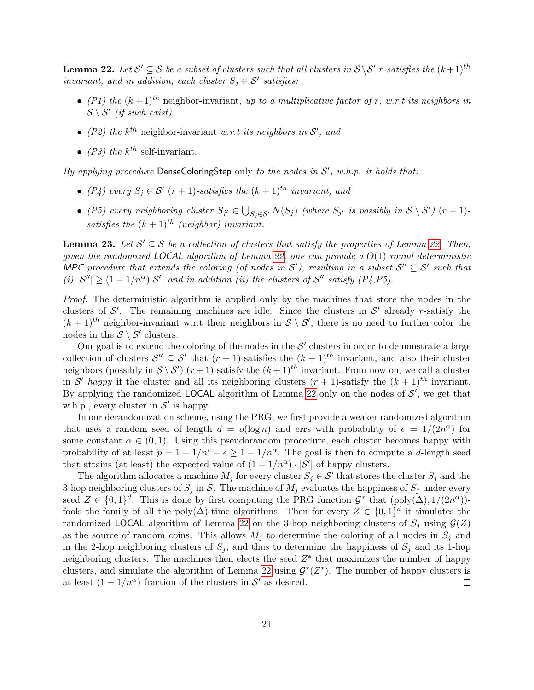<span id="page-20-0"></span>**Lemma 22.** Let  $\mathcal{S}' \subseteq \mathcal{S}$  be a subset of clusters such that all clusters in  $\mathcal{S} \setminus \mathcal{S}'$  r-satisfies the  $(k+1)^{th}$ invariant, and in addition, each cluster  $S_j \in \mathcal{S}'$  satisfies:

- (P1) the  $(k+1)^{th}$  neighbor-invariant, up to a multiplicative factor of r, w.r.t its neighbors in  $S \setminus S'$  (if such exist).
- (P2) the  $k^{th}$  neighbor-invariant w.r.t its neighbors in  $\mathcal{S}'$ , and
- (P3) the  $k^{th}$  self-invariant.

By applying procedure DenseColoringStep only to the nodes in  $S'$ , w.h.p. it holds that:

- (P4) every  $S_j \in \mathcal{S}'$   $(r+1)$ -satisfies the  $(k+1)$ <sup>th</sup> invariant; and
- (P5) every neighboring cluster  $S_{j'} \in \bigcup_{S_j \in \mathcal{S}'} N(S_j)$  (where  $S_{j'}$  is possibly in  $\mathcal{S} \setminus \mathcal{S}'$ )  $(r+1)$ satisfies the  $(k+1)^{th}$  (neighbor) invariant.

<span id="page-20-1"></span>**Lemma 23.** Let  $S' \subseteq S$  be a collection of clusters that satisfy the properties of Lemma [22.](#page-20-0) Then, given the randomized LOCAL algorithm of Lemma [22,](#page-20-0) one can provide a  $O(1)$ -round deterministic MPC procedure that extends the coloring (of nodes in S'), resulting in a subset  $S'' \subseteq S'$  such that (i)  $|S''| \ge (1 - 1/n^{\alpha}) |S'|$  and in addition (ii) the clusters of  $S''$  satisfy (P4,P5).

Proof. The deterministic algorithm is applied only by the machines that store the nodes in the clusters of  $\mathcal{S}'$ . The remaining machines are idle. Since the clusters in  $\mathcal{S}'$  already r-satisfy the  $(k+1)$ <sup>th</sup> neighbor-invariant w.r.t their neighbors in  $S \setminus S'$ , there is no need to further color the nodes in the  $S \setminus S'$  clusters.

Our goal is to extend the coloring of the nodes in the  $\mathcal{S}'$  clusters in order to demonstrate a large collection of clusters  $\mathcal{S}'' \subseteq \mathcal{S}'$  that  $(r + 1)$ -satisfies the  $(k + 1)^{th}$  invariant, and also their cluster neighbors (possibly in  $S \ S'$ )  $(r+1)$ -satisfy the  $(k+1)^{th}$  invariant. From now on, we call a cluster in S' happy if the cluster and all its neighboring clusters  $(r + 1)$ -satisfy the  $(k + 1)$ <sup>th</sup> invariant. By applying the randomized LOCAL algorithm of Lemma [22](#page-20-0) only on the nodes of  $\mathcal{S}'$ , we get that w.h.p., every cluster in  $\mathcal{S}'$  is happy.

In our derandomization scheme, using the PRG, we first provide a weaker randomized algorithm that uses a random seed of length  $d = o(\log n)$  and errs with probability of  $\epsilon = 1/(2n^{\alpha})$  for some constant  $\alpha \in (0,1)$ . Using this pseudorandom procedure, each cluster becomes happy with probability of at least  $p = 1 - 1/n^c - \epsilon \geq 1 - 1/n^{\alpha}$ . The goal is then to compute a d-length seed that attains (at least) the expected value of  $(1 - 1/n^{\alpha}) \cdot |\mathcal{S}'|$  of happy clusters.

The algorithm allocates a machine  $M_j$  for every cluster  $S_j \in \mathcal{S}'$  that stores the cluster  $S_j$  and the 3-hop neighboring clusters of  $S_j$  in S. The machine of  $M_j$  evaluates the happiness of  $S_j$  under every seed  $Z \in \{0,1\}^d$ . This is done by first computing the PRG function  $\mathcal{G}^*$  that  $(poly(\Delta), 1/(2n^{\alpha}))$ fools the family of all the poly $(\Delta)$ -time algorithms. Then for every  $Z \in \{0,1\}^d$  it simulates the randomized LOCAL algorithm of Lemma [22](#page-20-0) on the 3-hop neighboring clusters of  $S_i$  using  $\mathcal{G}(Z)$ as the source of random coins. This allows  $M_j$  to determine the coloring of all nodes in  $S_j$  and in the 2-hop neighboring clusters of  $S_j$ , and thus to determine the happiness of  $S_j$  and its 1-hop neighboring clusters. The machines then elects the seed  $Z^*$  that maximizes the number of happy clusters, and simulate the algorithm of Lemma [22](#page-20-0) using  $\mathcal{G}^*(Z^*)$ . The number of happy clusters is at least  $(1 - 1/n^{\alpha})$  fraction of the clusters in  $\mathcal{S}'$  as desired.  $\Box$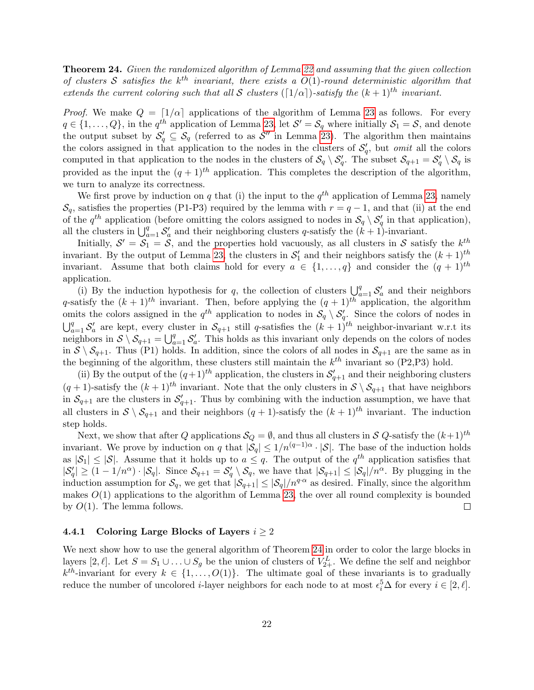<span id="page-21-0"></span>**Theorem 24.** Given the randomized algorithm of Lemma [22](#page-20-0) and assuming that the given collection of clusters S satisfies the  $k^{th}$  invariant, there exists a  $O(1)$ -round deterministic algorithm that extends the current coloring such that all S clusters ( $(1/\alpha)$ )-satisfy the  $(k + 1)$ <sup>th</sup> invariant.

*Proof.* We make  $Q = \lfloor 1/\alpha \rfloor$  applications of the algorithm of Lemma [23](#page-20-1) as follows. For every  $q \in \{1, \ldots, Q\}$ , in the  $q^{th}$  application of Lemma [23,](#page-20-1) let  $\mathcal{S}' = \mathcal{S}_q$  where initially  $\mathcal{S}_1 = \mathcal{S}$ , and denote the output subset by  $\mathcal{S}'_q \subseteq \mathcal{S}_q$  (referred to as  $\mathcal{S}''$  in Lemma [23\)](#page-20-1). The algorithm then maintains the colors assigned in that application to the nodes in the clusters of  $\mathcal{S}'_q$ , but *omit* all the colors computed in that application to the nodes in the clusters of  $S_q \setminus S'_q$ . The subset  $S_{q+1} = S'_q \setminus S_q$  is provided as the input the  $(q + 1)^{th}$  application. This completes the description of the algorithm, we turn to analyze its correctness.

We first prove by induction on q that (i) the input to the  $q^{th}$  application of Lemma [23,](#page-20-1) namely  $\mathcal{S}_q$ , satisfies the properties (P1-P3) required by the lemma with  $r = q - 1$ , and that (ii) at the end of the  $q^{th}$  application (before omitting the colors assigned to nodes in  $\mathcal{S}_q \setminus \mathcal{S}'_q$  in that application), all the clusters in  $\bigcup_{a=1}^{q} S'_a$  and their neighboring clusters q-satisfy the  $(k+1)$ -invariant.

Initially,  $S' = S_1 = S$ , and the properties hold vacuously, as all clusters in S satisfy the  $k^{th}$ invariant. By the output of Lemma [23,](#page-20-1) the clusters in  $S'_1$  and their neighbors satisfy the  $(k+1)$ <sup>th</sup> invariant. Assume that both claims hold for every  $a \in \{1, \ldots, q\}$  and consider the  $(q + 1)^{th}$ application.

(i) By the induction hypothesis for q, the collection of clusters  $\bigcup_{a=1}^{q} S'_{a}$  and their neighbors q-satisfy the  $(k + 1)^{th}$  invariant. Then, before applying the  $(q + 1)^{th}$  application, the algorithm omits the colors assigned in the  $q^{th}$  application to nodes in  $\mathcal{S}_q \setminus \mathcal{S}'_q$ . Since the colors of nodes in  $\bigcup_{a=1}^q S'_a$  are kept, every cluster in  $S_{q+1}$  still q-satisfies the  $(k+1)^{th}$  neighbor-invariant w.r.t its neighbors in  $S \setminus S_{q+1} = \bigcup_{a=1}^q S'_a$ . This holds as this invariant only depends on the colors of nodes in  $S \setminus S_{q+1}$ . Thus (P1) holds. In addition, since the colors of all nodes in  $S_{q+1}$  are the same as in the beginning of the algorithm, these clusters still maintain the  $k^{th}$  invariant so (P2,P3) hold.

(ii) By the output of the  $(q+1)^{th}$  application, the clusters in  $\mathcal{S}'_{q+1}$  and their neighboring clusters  $(q + 1)$ -satisfy the  $(k + 1)$ <sup>th</sup> invariant. Note that the only clusters in  $S \setminus S_{q+1}$  that have neighbors in  $S_{q+1}$  are the clusters in  $S'_{q+1}$ . Thus by combining with the induction assumption, we have that all clusters in  $S \setminus S_{q+1}$  and their neighbors  $(q + 1)$ -satisfy the  $(k + 1)$ <sup>th</sup> invariant. The induction step holds.

Next, we show that after Q applications  $S_Q = \emptyset$ , and thus all clusters in S Q-satisfy the  $(k+1)^{th}$ invariant. We prove by induction on q that  $|\mathcal{S}_q| \leq 1/n^{(q-1)\alpha} \cdot |\mathcal{S}|$ . The base of the induction holds as  $|\mathcal{S}_1| \leq |\mathcal{S}|$ . Assume that it holds up to  $a \leq q$ . The output of the  $q^{th}$  application satisfies that  $|S'_q| \geq (1-1/n^{\alpha}) \cdot |\mathcal{S}_q|$ . Since  $\mathcal{S}_{q+1} = \mathcal{S}'_q \setminus \mathcal{S}_q$ , we have that  $|\mathcal{S}_{q+1}| \leq |\mathcal{S}_q|/n^{\alpha}$ . By plugging in the induction assumption for  $S_q$ , we get that  $|S_{q+1}| \leq |S_q|/n^{q \alpha}$  as desired. Finally, since the algorithm makes  $O(1)$  applications to the algorithm of Lemma [23,](#page-20-1) the over all round complexity is bounded by  $O(1)$ . The lemma follows.  $\Box$ 

#### 4.4.1 Coloring Large Blocks of Layers  $i \geq 2$

We next show how to use the general algorithm of Theorem [24](#page-21-0) in order to color the large blocks in layers  $[2, \ell]$ . Let  $S = S_1 \cup \ldots \cup S_g$  be the union of clusters of  $V_{2+}^L$ . We define the self and neighbor  $k^{th}$ -invariant for every  $k \in \{1, ..., O(1)\}$ . The ultimate goal of these invariants is to gradually reduce the number of uncolored *i*-layer neighbors for each node to at most  $\epsilon_i^5 \Delta$  for every  $i \in [2, \ell]$ .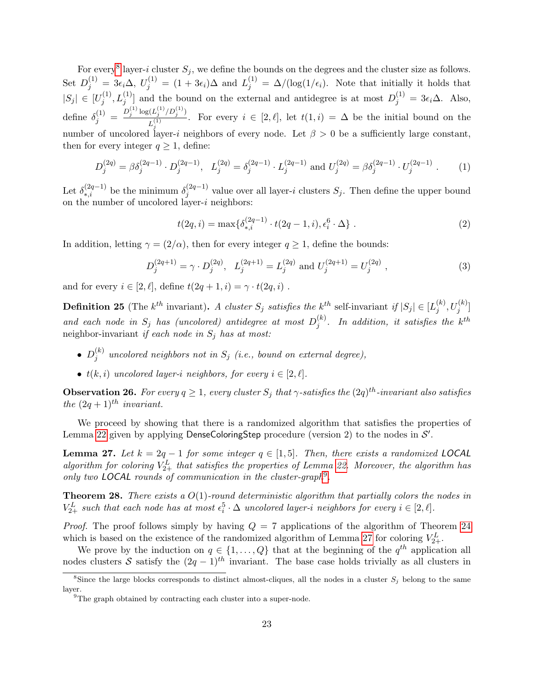For every<sup>[8](#page-22-0)</sup> layer-i cluster  $S_j$ , we define the bounds on the degrees and the cluster size as follows. Set  $D_j^{(1)} = 3\epsilon_i \Delta$ ,  $U_j^{(1)} = (1 + 3\epsilon_i)\Delta$  and  $L_j^{(1)} = \Delta/(\log(1/\epsilon_i))$ . Note that initially it holds that  $|S_j| \in [U_i^{(1)}]$  $[j^{(1)}, L_j^{(1)}]$  and the bound on the external and antidegree is at most  $D_j^{(1)} = 3\epsilon_i\Delta$ . Also, define  $\delta_j^{(1)} = \frac{D_j^{(1)} \log(L_j^{(1)}/D_j^{(1)})}{L_j^{(1)}}$  $L^{(1)}_j$ . For every  $i \in [2, \ell],$  let  $t(1, i) = \Delta$  be the initial bound on the number of uncolored layer-i neighbors of every node. Let  $\beta > 0$  be a sufficiently large constant, then for every integer  $q \geq 1$ , define:

<span id="page-22-4"></span>
$$
D_j^{(2q)} = \beta \delta_j^{(2q-1)} \cdot D_j^{(2q-1)}, \quad L_j^{(2q)} = \delta_j^{(2q-1)} \cdot L_j^{(2q-1)} \text{ and } U_j^{(2q)} = \beta \delta_j^{(2q-1)} \cdot U_j^{(2q-1)}.
$$
 (1)

Let  $\delta_{*,i}^{(2q-1)}$  be the minimum  $\delta_j^{(2q-1)}$  $j_j^{(2q-1)}$  value over all layer-*i* clusters  $S_j$ . Then define the upper bound on the number of uncolored layer-i neighbors:

<span id="page-22-7"></span>
$$
t(2q, i) = \max\{\delta_{*,i}^{(2q-1)} \cdot t(2q-1, i), \epsilon_i^6 \cdot \Delta\}.
$$
 (2)

In addition, letting  $\gamma = (2/\alpha)$ , then for every integer  $q \ge 1$ , define the bounds:

<span id="page-22-5"></span>
$$
D_j^{(2q+1)} = \gamma \cdot D_j^{(2q)}, \quad L_j^{(2q+1)} = L_j^{(2q)} \text{ and } U_j^{(2q+1)} = U_j^{(2q)}, \tag{3}
$$

and for every  $i \in [2, \ell]$ , define  $t(2q + 1, i) = \gamma \cdot t(2q, i)$ .

**Definition 25** (The  $k^{th}$  invariant). A cluster  $S_j$  satisfies the  $k^{th}$  self-invariant if  $|S_j| \in [L_j^{(k)}]$  $\left. \begin{array}{c} (k)\, , \, U_j^{(k)} \end{array} \right]$ and each node in  $S_j$  has (uncolored) antidegree at most  $D_j^{(k)}$  $j^{(k)}$ . In addition, it satisfies the  $k^{th}$ neighbor-invariant if each node in  $S_j$  has at most:

- $\bullet$   $D_i^{(k)}$  $j_j^{(k)}$  uncolored neighbors not in  $S_j$  (i.e., bound on external degree),
- $t(k, i)$  uncolored layer-i neighbors, for every  $i \in [2, \ell]$ .

<span id="page-22-3"></span>**Observation 26.** For every  $q \geq 1$ , every cluster  $S_j$  that  $\gamma$ -satisfies the  $(2q)^{th}$ -invariant also satisfies the  $(2q + 1)^{th}$  invariant.

We proceed by showing that there is a randomized algorithm that satisfies the properties of Lemma [22](#page-20-0) given by applying DenseColoringStep procedure (version 2) to the nodes in  $\mathcal{S}'$ .

<span id="page-22-2"></span>**Lemma 27.** Let  $k = 2q - 1$  for some integer  $q \in [1, 5]$ . Then, there exists a randomized LOCAL algorithm for coloring  $V_{2+}^L$  that satisfies the properties of Lemma [22.](#page-20-0) Moreover, the algorithm has only two LOCAL rounds of communication in the cluster-graph<sup>[9](#page-22-1)</sup>.

<span id="page-22-6"></span>**Theorem 28.** There exists a  $O(1)$ -round deterministic algorithm that partially colors the nodes in  $V_{2+}^L$  such that each node has at most  $\epsilon_i^5 \cdot \Delta$  uncolored layer-i neighbors for every  $i \in [2, \ell]$ .

*Proof.* The proof follows simply by having  $Q = 7$  applications of the algorithm of Theorem [24](#page-21-0) which is based on the existence of the randomized algorithm of Lemma [27](#page-22-2) for coloring  $V_{2+}^L$ .

We prove by the induction on  $q \in \{1, \ldots, Q\}$  that at the beginning of the  $q^{th}$  application all nodes clusters S satisfy the  $(2q - 1)^{th}$  invariant. The base case holds trivially as all clusters in

<span id="page-22-0"></span><sup>&</sup>lt;sup>8</sup>Since the large blocks corresponds to distinct almost-cliques, all the nodes in a cluster  $S_j$  belong to the same layer.

<span id="page-22-1"></span> $9$ The graph obtained by contracting each cluster into a super-node.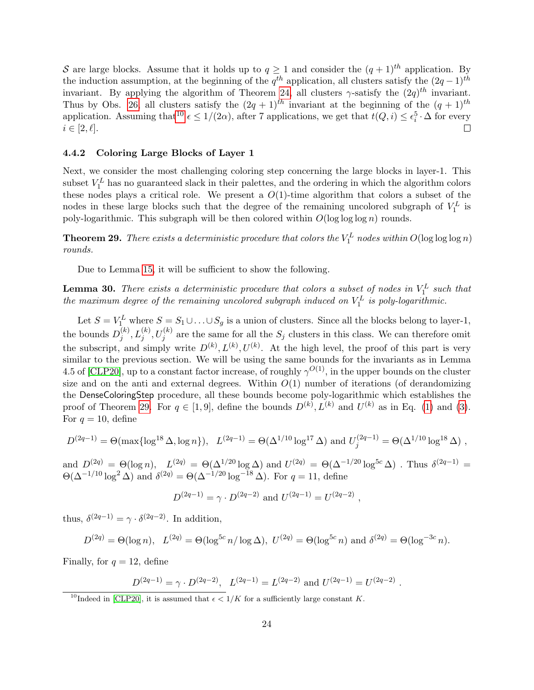S are large blocks. Assume that it holds up to  $q \ge 1$  and consider the  $(q + 1)^{th}$  application. By the induction assumption, at the beginning of the  $q^{th}$  application, all clusters satisfy the  $(2q-1)^{th}$ invariant. By applying the algorithm of Theorem [24,](#page-21-0) all clusters  $\gamma$ -satisfy the  $(2q)^{th}$  invariant. Thus by Obs. [26,](#page-22-3) all clusters satisfy the  $(2q + 1)^{th}$  invariant at the beginning of the  $(q + 1)^{th}$ application. Assuming that<sup>[10](#page-23-0)</sup>  $\epsilon \leq 1/(2\alpha)$ , after 7 applications, we get that  $t(Q, i) \leq \epsilon_i^5 \cdot \Delta$  for every  $i \in [2, \ell].$  $\Box$ 

#### 4.4.2 Coloring Large Blocks of Layer 1

Next, we consider the most challenging coloring step concerning the large blocks in layer-1. This subset  $V_1^L$  has no guaranteed slack in their palettes, and the ordering in which the algorithm colors these nodes plays a critical role. We present a  $O(1)$ -time algorithm that colors a subset of the nodes in these large blocks such that the degree of the remaining uncolored subgraph of  $V_1^L$  is poly-logarithmic. This subgraph will be then colored within  $O(\log \log \log n)$  rounds.

<span id="page-23-1"></span>**Theorem 29.** There exists a deterministic procedure that colors the  $V_1^L$  nodes within  $O(\log \log \log n)$ rounds.

Due to Lemma [15,](#page-14-2) it will be sufficient to show the following.

<span id="page-23-2"></span>**Lemma 30.** There exists a deterministic procedure that colors a subset of nodes in  $V_1^L$  such that the maximum degree of the remaining uncolored subgraph induced on  $V_1^L$  is poly-logarithmic.

Let  $S = V_1^L$  where  $S = S_1 \cup \ldots \cup S_g$  is a union of clusters. Since all the blocks belong to layer-1, the bounds  $D_i^{(k)}$  $j^{(k)}, L_j^{(k)}, U_j^{(k)}$  are the same for all the  $S_j$  clusters in this class. We can therefore omit the subscript, and simply write  $D^{(k)}, L^{(k)}, U^{(k)}$ . At the high level, the proof of this part is very similar to the previous section. We will be using the same bounds for the invariants as in Lemma 4.5 of [\[CLP20\]](#page-29-6), up to a constant factor increase, of roughly  $\gamma^{O(1)}$ , in the upper bounds on the cluster size and on the anti and external degrees. Within  $O(1)$  number of iterations (of derandomizing the DenseColoringStep procedure, all these bounds become poly-logarithmic which establishes the proof of Theorem [29.](#page-23-1) For  $q \in [1,9]$ , define the bounds  $D^{(k)}$ ,  $L^{(k)}$  and  $U^{(k)}$  as in Eq. [\(1\)](#page-22-4) and [\(3\)](#page-22-5). For  $q = 10$ , define

$$
D^{(2q-1)} = \Theta(\max\{\log^{18} \Delta, \log n\}), \quad L^{(2q-1)} = \Theta(\Delta^{1/10} \log^{17} \Delta) \text{ and } U_j^{(2q-1)} = \Theta(\Delta^{1/10} \log^{18} \Delta) ,
$$

and  $D^{(2q)} = \Theta(\log n)$ ,  $L^{(2q)} = \Theta(\Delta^{1/20} \log \Delta)$  and  $U^{(2q)} = \Theta(\Delta^{-1/20} \log^{5c} \Delta)$ . Thus  $\delta^{(2q-1)} =$  $\Theta(\Delta^{-1/10} \log^2 \Delta)$  and  $\delta^{(2q)} = \Theta(\Delta^{-1/20} \log^{-18} \Delta)$ . For  $q = 11$ , define

$$
D^{(2q-1)} = \gamma \cdot D^{(2q-2)} \text{ and } U^{(2q-1)} = U^{(2q-2)} ,
$$

thus,  $\delta^{(2q-1)} = \gamma \cdot \delta^{(2q-2)}$ . In addition,

$$
D^{(2q)} = \Theta(\log n), \quad L^{(2q)} = \Theta(\log^{5c} n / \log \Delta), \quad U^{(2q)} = \Theta(\log^{5c} n) \text{ and } \delta^{(2q)} = \Theta(\log^{-3c} n).
$$

Finally, for  $q = 12$ , define

$$
D^{(2q-1)} = \gamma \cdot D^{(2q-2)}, \quad L^{(2q-1)} = L^{(2q-2)} \text{ and } U^{(2q-1)} = U^{(2q-2)}.
$$

<span id="page-23-0"></span><sup>&</sup>lt;sup>10</sup>Indeed in [\[CLP20\]](#page-29-6), it is assumed that  $\epsilon < 1/K$  for a sufficiently large constant K.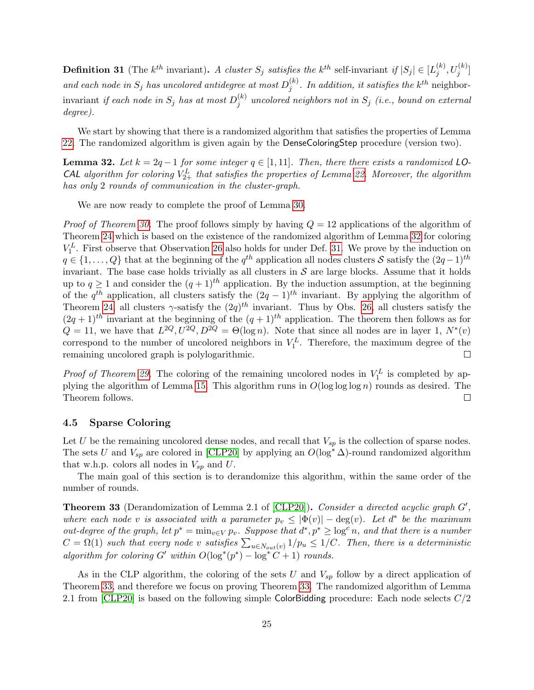<span id="page-24-2"></span>**Definition 31** (The  $k^{th}$  invariant). A cluster  $S_j$  satisfies the  $k^{th}$  self-invariant if  $|S_j| \in [L_j^{(k)}]$  $\left. \begin{array}{c} (k)\, , \, U_j^{(k)} \end{array} \right]$ and each node in  $S_j$  has uncolored antidegree at most  $D_j^{(k)}$  $j^{(k)}$ . In addition, it satisfies the  $k^{th}$  neighborinvariant *if each node in*  $S_j$  *has at most*  $D_j^{(k)}$  $j_j^{(k)}$  uncolored neighbors not in  $S_j$  (i.e., bound on external degree).

We start by showing that there is a randomized algorithm that satisfies the properties of Lemma [22.](#page-20-0) The randomized algorithm is given again by the DenseColoringStep procedure (version two).

<span id="page-24-1"></span>**Lemma 32.** Let  $k = 2q - 1$  for some integer  $q \in [1, 11]$ . Then, there there exists a randomized LO-**CAL** algorithm for coloring  $V_{2+}^L$  that satisfies the properties of Lemma [22.](#page-20-0) Moreover, the algorithm has only 2 rounds of communication in the cluster-graph.

We are now ready to complete the proof of Lemma [30.](#page-23-2)

*Proof of Theorem [30.](#page-23-2)* The proof follows simply by having  $Q = 12$  applications of the algorithm of Theorem [24](#page-21-0) which is based on the existence of the randomized algorithm of Lemma [32](#page-24-1) for coloring  $V_1^L$ . First observe that Observation [26](#page-22-3) also holds for under Def. [31.](#page-24-2) We prove by the induction on  $q \in \{1, \ldots, Q\}$  that at the beginning of the  $q^{th}$  application all nodes clusters S satisfy the  $(2q-1)^{th}$ invariant. The base case holds trivially as all clusters in  $S$  are large blocks. Assume that it holds up to  $q \ge 1$  and consider the  $(q + 1)^{th}$  application. By the induction assumption, at the beginning of the  $q^{th}$  application, all clusters satisfy the  $(2q-1)^{th}$  invariant. By applying the algorithm of Theorem [24,](#page-21-0) all clusters  $\gamma$ -satisfy the  $(2q)^{th}$  invariant. Thus by Obs. [26,](#page-22-3) all clusters satisfy the  $(2q+1)^{th}$  invariant at the beginning of the  $(q+1)^{th}$  application. The theorem then follows as for  $Q = 11$ , we have that  $L^{2Q}$ ,  $U^{2Q}$ ,  $D^{2Q} = \Theta(\log n)$ . Note that since all nodes are in layer 1,  $N^*(v)$ correspond to the number of uncolored neighbors in  $V_1^L$ . Therefore, the maximum degree of the remaining uncolored graph is polylogarithmic.  $\Box$ 

*Proof of Theorem [29.](#page-23-1)* The coloring of the remaining uncolored nodes in  $V_1^L$  is completed by ap-plying the algorithm of Lemma [15.](#page-14-2) This algorithm runs in  $O(\log \log n)$  rounds as desired. The Theorem follows.  $\Box$ 

#### <span id="page-24-0"></span>4.5 Sparse Coloring

Let U be the remaining uncolored dense nodes, and recall that  $V_{sp}$  is the collection of sparse nodes. The sets U and  $V_{sp}$  are colored in [\[CLP20\]](#page-29-6) by applying an  $O(\log^* \Delta)$ -round randomized algorithm that w.h.p. colors all nodes in  $V_{sp}$  and U.

The main goal of this section is to derandomize this algorithm, within the same order of the number of rounds.

<span id="page-24-3"></span>**Theorem 33** (Derandomization of Lemma 2.1 of [\[CLP20\]](#page-29-6)). Consider a directed acyclic graph  $G'$ , where each node v is associated with a parameter  $p_v \leq |\Phi(v)| - \deg(v)$ . Let  $d^*$  be the maximum out-degree of the graph, let  $p^* = \min_{v \in V} p_v$ . Suppose that  $d^*, p^* \geq \log^c n$ , and that there is a number  $C = \Omega(1)$  such that every node v satisfies  $\sum_{u \in N_{out}(v)} 1/p_u \leq 1/C$ . Then, there is a deterministic algorithm for coloring G' within  $O(\log^*(p^*) - \log^* C + 1)$  rounds.

As in the CLP algorithm, the coloring of the sets U and  $V_{sp}$  follow by a direct application of Theorem [33,](#page-24-3) and therefore we focus on proving Theorem [33.](#page-24-3) The randomized algorithm of Lemma 2.1 from [\[CLP20\]](#page-29-6) is based on the following simple ColorBidding procedure: Each node selects C/2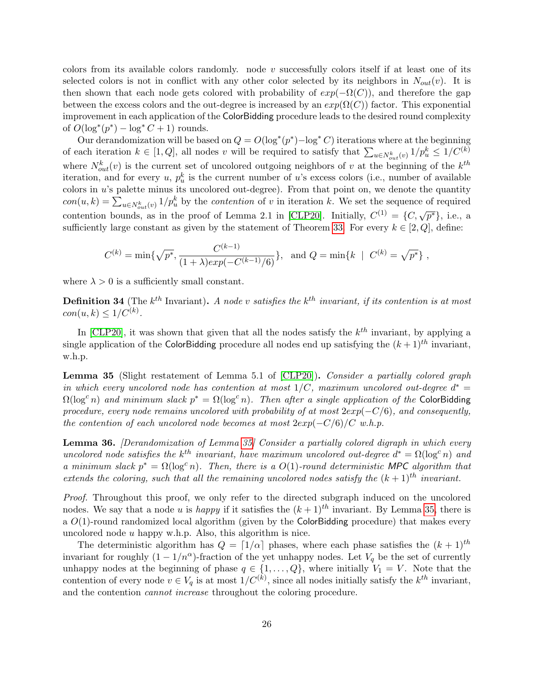colors from its available colors randomly. node  $v$  successfully colors itself if at least one of its selected colors is not in conflict with any other color selected by its neighbors in  $N_{out}(v)$ . It is then shown that each node gets colored with probability of  $exp(-\Omega(C))$ , and therefore the gap between the excess colors and the out-degree is increased by an  $exp(\Omega(C))$  factor. This exponential improvement in each application of the ColorBidding procedure leads to the desired round complexity of  $O(\log^*(p^*) - \log^* C + 1)$  rounds.

Our derandomization will be based on  $Q = O(\log^*(p^*) - \log^* C)$  iterations where at the beginning of each iteration  $k \in [1, Q]$ , all nodes v will be required to satisfy that  $\sum_{u \in N_{out}^k(v)} 1/p_u^k \leq 1/C^{(k)}$ . where  $N_{out}^k(v)$  is the current set of uncolored outgoing neighbors of v at the beginning of the  $k^{th}$ iteration, and for every u,  $p_u^k$  is the current number of u's excess colors (i.e., number of available colors in  $u$ 's palette minus its uncolored out-degree). From that point on, we denote the quantity  $con(u, k) = \sum_{u \in N_{out}^k(v)} 1/p_u^k$  by the *contention* of v in iteration k. We set the sequence of required contention bounds, as in the proof of Lemma 2.1 in [\[CLP20\]](#page-29-6). Initially,  $C^{(1)} = \{C, \sqrt{p^*}\}\$ , i.e., a sufficiently large constant as given by the statement of Theorem [33.](#page-24-3) For every  $k \in [2, Q]$ , define:

$$
C^{(k)} = \min\{\sqrt{p^*}, \frac{C^{(k-1)}}{(1+\lambda)exp(-C^{(k-1)}/6)}\}, \text{ and } Q = \min\{k \mid C^{(k)} = \sqrt{p^*}\},\
$$

where  $\lambda > 0$  is a sufficiently small constant.

**Definition 34** (The  $k^{th}$  Invariant). A node v satisfies the  $k^{th}$  invariant, if its contention is at most  $con(u, k) \leq 1/C^{(k)}$ .

In [\[CLP20\]](#page-29-6), it was shown that given that all the nodes satisfy the  $k^{th}$  invariant, by applying a single application of the ColorBidding procedure all nodes end up satisfying the  $(k+1)^{th}$  invariant, w.h.p.

<span id="page-25-0"></span>Lemma 35 (Slight restatement of Lemma 5.1 of [\[CLP20\]](#page-29-6)). Consider a partially colored graph in which every uncolored node has contention at most  $1/C$ , maximum uncolored out-degree  $d^* =$  $\Omega(\log^c n)$  and minimum slack  $p^* = \Omega(\log^c n)$ . Then after a single application of the ColorBidding procedure, every node remains uncolored with probability of at most  $2exp(-C/6)$ , and consequently, the contention of each uncolored node becomes at most  $2exp(-C/6)/C$  w.h.p.

<span id="page-25-1"></span>Lemma 36. *[Derandomization of Lemma [35\]](#page-25-0) Consider a partially colored digraph in which every* uncolored node satisfies the  $k^{th}$  invariant, have maximum uncolored out-degree  $d^* = \Omega(\log^c n)$  and a minimum slack  $p^* = \Omega(\log^c n)$ . Then, there is a  $O(1)$ -round deterministic MPC algorithm that extends the coloring, such that all the remaining uncolored nodes satisfy the  $(k+1)$ <sup>th</sup> invariant.

Proof. Throughout this proof, we only refer to the directed subgraph induced on the uncolored nodes. We say that a node u is happy if it satisfies the  $(k+1)^{th}$  invariant. By Lemma [35,](#page-25-0) there is a  $O(1)$ -round randomized local algorithm (given by the ColorBidding procedure) that makes every uncolored node u happy w.h.p. Also, this algorithm is nice.

The deterministic algorithm has  $Q = \lfloor 1/\alpha \rfloor$  phases, where each phase satisfies the  $(k + 1)^{th}$ invariant for roughly  $(1 - 1/n^{\alpha})$ -fraction of the yet unhappy nodes. Let  $V_q$  be the set of currently unhappy nodes at the beginning of phase  $q \in \{1, \ldots, Q\}$ , where initially  $V_1 = V$ . Note that the contention of every node  $v \in V_q$  is at most  $1/C^{(k)}$ , since all nodes initially satisfy the  $k^{th}$  invariant, and the contention cannot increase throughout the coloring procedure.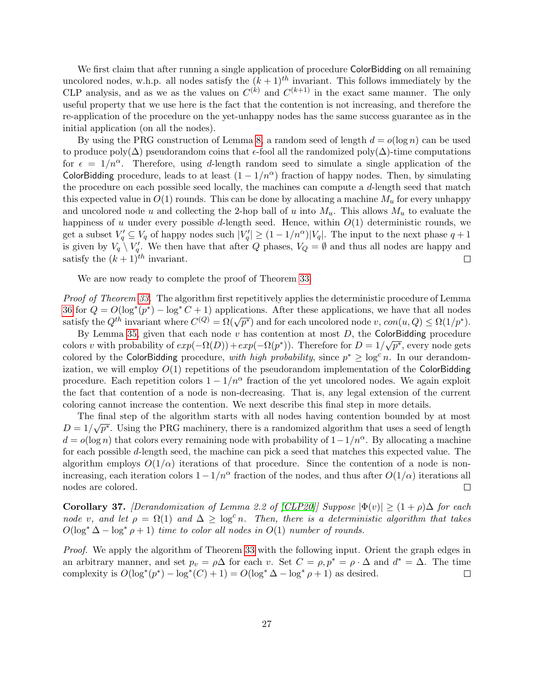We first claim that after running a single application of procedure ColorBidding on all remaining uncolored nodes, w.h.p. all nodes satisfy the  $(k+1)^{th}$  invariant. This follows immediately by the CLP analysis, and as we as the values on  $C^{(k)}$  and  $C^{(k+1)}$  in the exact same manner. The only useful property that we use here is the fact that the contention is not increasing, and therefore the re-application of the procedure on the yet-unhappy nodes has the same success guarantee as in the initial application (on all the nodes).

By using the PRG construction of Lemma [8,](#page-9-1) a random seed of length  $d = o(\log n)$  can be used to produce poly $(\Delta)$  pseudorandom coins that  $\epsilon$ -fool all the randomized poly $(\Delta)$ -time computations for  $\epsilon = 1/n^{\alpha}$ . Therefore, using d-length random seed to simulate a single application of the ColorBidding procedure, leads to at least  $(1 - 1/n^{\alpha})$  fraction of happy nodes. Then, by simulating the procedure on each possible seed locally, the machines can compute a  $d$ -length seed that match this expected value in  $O(1)$  rounds. This can be done by allocating a machine  $M_u$  for every unhappy and uncolored node u and collecting the 2-hop ball of u into  $M_u$ . This allows  $M_u$  to evaluate the happiness of u under every possible d-length seed. Hence, within  $O(1)$  deterministic rounds, we get a subset  $V'_q \subseteq V_q$  of happy nodes such  $|V'_q| \ge (1 - 1/n^{\alpha})|V_q|$ . The input to the next phase  $q + 1$ is given by  $V_q \setminus V'_q$ . We then have that after Q phases,  $V_Q = \emptyset$  and thus all nodes are happy and satisfy the  $(k+1)$ <sup>th</sup> invariant.  $\Box$ 

We are now ready to complete the proof of Theorem [33.](#page-24-3)

Proof of Theorem [33.](#page-24-3) The algorithm first repetitively applies the deterministic procedure of Lemma [36](#page-25-1) for  $Q = O(\log^*(p^*) - \log^* C + 1)$  applications. After these applications, we have that all nodes so for  $Q = O(\log(p)) - \log(C+1)$  applications. After these applications, we have that all hours<br>satisfy the  $Q^{th}$  invariant where  $C^{(Q)} = \Omega(\sqrt{p^*})$  and for each uncolored node v,  $con(u, Q) \le \Omega(1/p^*)$ .

By Lemma [35,](#page-25-0) given that each node v has contention at most D, the ColorBidding procedure colors v with probability of  $exp(-\Omega(D)) + exp(-\Omega(p^*))$ . Therefore for  $D = 1/\sqrt{p^*}$ , every node gets colored by the ColorBidding procedure, with high probability, since  $p^* \geq \log^c n$ . In our derandomization, we will employ  $O(1)$  repetitions of the pseudorandom implementation of the ColorBidding procedure. Each repetition colors  $1 - 1/n^{\alpha}$  fraction of the yet uncolored nodes. We again exploit the fact that contention of a node is non-decreasing. That is, any legal extension of the current coloring cannot increase the contention. We next describe this final step in more details.

The final step of the algorithm starts with all nodes having contention bounded by at most  $D = 1/\sqrt{p^*}$ . Using the PRG machinery, there is a randomized algorithm that uses a seed of length  $d = o(\log n)$  that colors every remaining node with probability of  $1 - 1/n^{\alpha}$ . By allocating a machine for each possible d-length seed, the machine can pick a seed that matches this expected value. The algorithm employs  $O(1/\alpha)$  iterations of that procedure. Since the contention of a node is nonincreasing, each iteration colors  $1 - 1/n^{\alpha}$  fraction of the nodes, and thus after  $O(1/\alpha)$  iterations all nodes are colored.  $\Box$ 

<span id="page-26-0"></span>Corollary 37. [Derandomization of Lemma 2.2 of [\[CLP20\]](#page-29-6)] Suppose  $|\Phi(v)| \geq (1+\rho)\Delta$  for each node v, and let  $\rho = \Omega(1)$  and  $\Delta \geq \log^c n$ . Then, there is a deterministic algorithm that takes  $O(\log^* \Delta - \log^* \rho + 1)$  time to color all nodes in  $O(1)$  number of rounds.

Proof. We apply the algorithm of Theorem [33](#page-24-3) with the following input. Orient the graph edges in an arbitrary manner, and set  $p_v = \rho \Delta$  for each v. Set  $C = \rho, p^* = \rho \cdot \Delta$  and  $d^* = \Delta$ . The time complexity is  $O(\log^*(p^*) - \log^*(C) + 1) = O(\log^* \Delta - \log^* p + 1)$  as desired.  $\Box$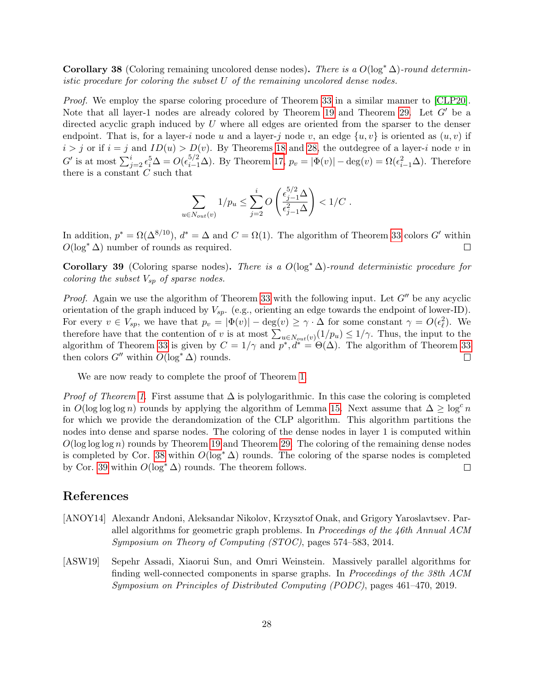<span id="page-27-2"></span>**Corollary 38** (Coloring remaining uncolored dense nodes). There is a  $O(\log^* \Delta)$ -round deterministic procedure for coloring the subset U of the remaining uncolored dense nodes.

Proof. We employ the sparse coloring procedure of Theorem [33](#page-24-3) in a similar manner to [\[CLP20\]](#page-29-6). Note that all layer-1 nodes are already colored by Theorem [19](#page-17-0) and Theorem [29.](#page-23-1) Let  $G'$  be a directed acyclic graph induced by  $U$  where all edges are oriented from the sparser to the denser endpoint. That is, for a layer-i node u and a layer-j node v, an edge  $\{u, v\}$  is oriented as  $(u, v)$  if  $i > j$  or if  $i = j$  and  $ID(u) > D(v)$ . By Theorems [18](#page-16-1) and [28,](#page-22-6) the outdegree of a layer-i node v in  $G'$  is at most  $\sum_{j=2}^{i} \epsilon_i^5 \Delta = O(\epsilon_{i-1}^{5/2} \Delta)$ . By Theorem [17,](#page-15-2)  $p_v = |\Phi(v)| - \deg(v) = \Omega(\epsilon_{i-1}^2 \Delta)$ . Therefore there is a constant  $C$  such that

$$
\sum_{u \in N_{out}(v)} 1/p_u \le \sum_{j=2}^i O\left(\frac{\epsilon_{j-1}^{5/2} \Delta}{\epsilon_{j-1}^2 \Delta}\right) < 1/C.
$$

In addition,  $p^* = \Omega(\Delta^{8/10})$ ,  $d^* = \Delta$  and  $C = \Omega(1)$ . The algorithm of Theorem [33](#page-24-3) colors G' within  $O(\log^* \Delta)$  number of rounds as required.  $\Box$ 

<span id="page-27-3"></span>**Corollary 39** (Coloring sparse nodes). There is a  $O(log^* \Delta)$ -round deterministic procedure for coloring the subset  $V_{sp}$  of sparse nodes.

*Proof.* Again we use the algorithm of Theorem [33](#page-24-3) with the following input. Let  $G''$  be any acyclic orientation of the graph induced by  $V_{sp}$ . (e.g., orienting an edge towards the endpoint of lower-ID). For every  $v \in V_{sp}$ , we have that  $p_v = |\Phi(v)| - \deg(v) \ge \gamma \cdot \Delta$  for some constant  $\gamma = O(\epsilon_{\ell}^2)$ . We therefore have that the contention of v is at most  $\sum_{u \in N_{out}(v)} (1/p_u) \leq 1/\gamma$ . Thus, the input to the algorithm of Theorem [33](#page-24-3) is given by  $C = 1/\gamma$  and  $p^*, d^* = \Theta(\Delta)$ . The algorithm of Theorem 33 then colors  $G''$  within  $O(\log^* \Delta)$  rounds.  $\Box$ 

We are now ready to complete the proof of Theorem [1.](#page-4-0)

*Proof of Theorem [1.](#page-4-0)* First assume that  $\Delta$  is polylogarithmic. In this case the coloring is completed in O(log log n) rounds by applying the algorithm of Lemma [15.](#page-14-2) Next assume that  $\Delta \geq \log^c n$ for which we provide the derandomization of the CLP algorithm. This algorithm partitions the nodes into dense and sparse nodes. The coloring of the dense nodes in layer 1 is computed within  $O(\log \log n)$  rounds by Theorem [19](#page-17-0) and Theorem [29.](#page-23-1) The coloring of the remaining dense nodes is completed by Cor. [38](#page-27-2) within  $O(\log^* \Delta)$  rounds. The coloring of the sparse nodes is completed by Cor. [39](#page-27-3) within  $O(\log^* \Delta)$  rounds. The theorem follows.  $\Box$ 

### References

- <span id="page-27-0"></span>[ANOY14] Alexandr Andoni, Aleksandar Nikolov, Krzysztof Onak, and Grigory Yaroslavtsev. Parallel algorithms for geometric graph problems. In Proceedings of the 46th Annual ACM Symposium on Theory of Computing (STOC), pages 574–583, 2014.
- <span id="page-27-1"></span>[ASW19] Sepehr Assadi, Xiaorui Sun, and Omri Weinstein. Massively parallel algorithms for finding well-connected components in sparse graphs. In *Proceedings of the 38th ACM* Symposium on Principles of Distributed Computing (PODC), pages 461–470, 2019.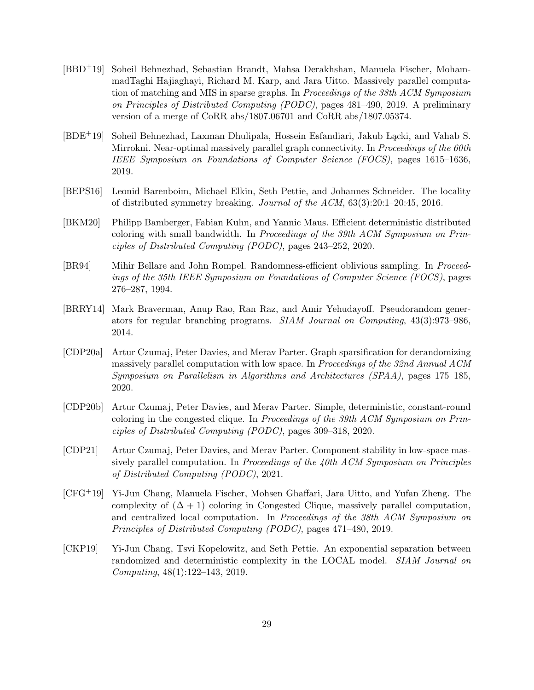- <span id="page-28-1"></span>[BBD+19] Soheil Behnezhad, Sebastian Brandt, Mahsa Derakhshan, Manuela Fischer, MohammadTaghi Hajiaghayi, Richard M. Karp, and Jara Uitto. Massively parallel computation of matching and MIS in sparse graphs. In *Proceedings of the 38th ACM Symposium* on Principles of Distributed Computing (PODC), pages 481–490, 2019. A preliminary version of a merge of CoRR abs/1807.06701 and CoRR abs/1807.05374.
- <span id="page-28-8"></span>[BDE<sup>+</sup>19] Soheil Behnezhad, Laxman Dhulipala, Hossein Esfandiari, Jakub Lacki, and Vahab S. Mirrokni. Near-optimal massively parallel graph connectivity. In *Proceedings of the 60th* IEEE Symposium on Foundations of Computer Science (FOCS), pages 1615–1636, 2019.
- <span id="page-28-5"></span>[BEPS16] Leonid Barenboim, Michael Elkin, Seth Pettie, and Johannes Schneider. The locality of distributed symmetry breaking. Journal of the ACM, 63(3):20:1–20:45, 2016.
- <span id="page-28-0"></span>[BKM20] Philipp Bamberger, Fabian Kuhn, and Yannic Maus. Efficient deterministic distributed coloring with small bandwidth. In Proceedings of the 39th  $ACM$  Symposium on Principles of Distributed Computing (PODC), pages 243–252, 2020.
- <span id="page-28-10"></span>[BR94] Mihir Bellare and John Rompel. Randomness-efficient oblivious sampling. In Proceedings of the 35th IEEE Symposium on Foundations of Computer Science (FOCS), pages 276–287, 1994.
- <span id="page-28-9"></span>[BRRY14] Mark Braverman, Anup Rao, Ran Raz, and Amir Yehudayoff. Pseudorandom generators for regular branching programs. SIAM Journal on Computing, 43(3):973–986, 2014.
- <span id="page-28-3"></span>[CDP20a] Artur Czumaj, Peter Davies, and Merav Parter. Graph sparsification for derandomizing massively parallel computation with low space. In Proceedings of the 32nd Annual ACM Symposium on Parallelism in Algorithms and Architectures (SPAA), pages 175–185, 2020.
- <span id="page-28-4"></span>[CDP20b] Artur Czumaj, Peter Davies, and Merav Parter. Simple, deterministic, constant-round coloring in the congested clique. In Proceedings of the 39th ACM Symposium on Principles of Distributed Computing (PODC), pages 309–318, 2020.
- <span id="page-28-7"></span>[CDP21] Artur Czumaj, Peter Davies, and Merav Parter. Component stability in low-space massively parallel computation. In Proceedings of the  $\mu$ 0th ACM Symposium on Principles of Distributed Computing (PODC), 2021.
- <span id="page-28-2"></span>[CFG+19] Yi-Jun Chang, Manuela Fischer, Mohsen Ghaffari, Jara Uitto, and Yufan Zheng. The complexity of  $(\Delta + 1)$  coloring in Congested Clique, massively parallel computation, and centralized local computation. In Proceedings of the 38th ACM Symposium on Principles of Distributed Computing (PODC), pages 471–480, 2019.
- <span id="page-28-6"></span>[CKP19] Yi-Jun Chang, Tsvi Kopelowitz, and Seth Pettie. An exponential separation between randomized and deterministic complexity in the LOCAL model. SIAM Journal on Computing, 48(1):122–143, 2019.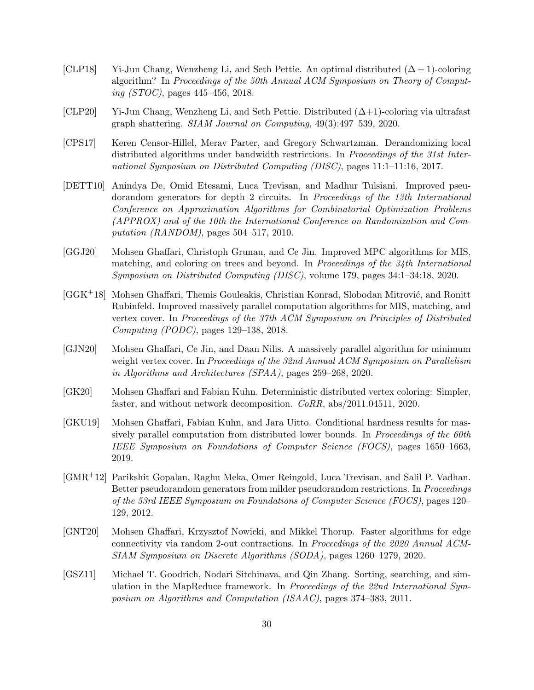- <span id="page-29-5"></span>[CLP18] Yi-Jun Chang, Wenzheng Li, and Seth Pettie. An optimal distributed  $(\Delta + 1)$ -coloring algorithm? In Proceedings of the 50th Annual ACM Symposium on Theory of Comput*ing (STOC)*, pages  $445-456$ , 2018.
- <span id="page-29-6"></span>[CLP20] Yi-Jun Chang, Wenzheng Li, and Seth Pettie. Distributed (∆+1)-coloring via ultrafast graph shattering. SIAM Journal on Computing, 49(3):497–539, 2020.
- <span id="page-29-9"></span>[CPS17] Keren Censor-Hillel, Merav Parter, and Gregory Schwartzman. Derandomizing local distributed algorithms under bandwidth restrictions. In Proceedings of the 31st International Symposium on Distributed Computing (DISC), pages 11:1–11:16, 2017.
- <span id="page-29-11"></span>[DETT10] Anindya De, Omid Etesami, Luca Trevisan, and Madhur Tulsiani. Improved pseudorandom generators for depth 2 circuits. In *Proceedings of the 13th International* Conference on Approximation Algorithms for Combinatorial Optimization Problems (APPROX) and of the 10th the International Conference on Randomization and Computation (RANDOM), pages  $504-517$ , 2010.
- <span id="page-29-1"></span>[GGJ20] Mohsen Ghaffari, Christoph Grunau, and Ce Jin. Improved MPC algorithms for MIS, matching, and coloring on trees and beyond. In *Proceedings of the 34th International* Symposium on Distributed Computing (DISC), volume 179, pages 34:1–34:18, 2020.
- <span id="page-29-0"></span>[GGK<sup>+</sup>18] Mohsen Ghaffari, Themis Gouleakis, Christian Konrad, Slobodan Mitrović, and Ronitt Rubinfeld. Improved massively parallel computation algorithms for MIS, matching, and vertex cover. In Proceedings of the 37th ACM Symposium on Principles of Distributed Computing (PODC), pages 129–138, 2018.
- <span id="page-29-2"></span>[GJN20] Mohsen Ghaffari, Ce Jin, and Daan Nilis. A massively parallel algorithm for minimum weight vertex cover. In Proceedings of the 32nd Annual ACM Symposium on Parallelism in Algorithms and Architectures (SPAA), pages 259–268, 2020.
- <span id="page-29-7"></span>[GK20] Mohsen Ghaffari and Fabian Kuhn. Deterministic distributed vertex coloring: Simpler, faster, and without network decomposition.  $CoRR$ , abs/2011.04511, 2020.
- <span id="page-29-3"></span>[GKU19] Mohsen Ghaffari, Fabian Kuhn, and Jara Uitto. Conditional hardness results for massively parallel computation from distributed lower bounds. In *Proceedings of the 60th* IEEE Symposium on Foundations of Computer Science (FOCS), pages 1650–1663, 2019.
- <span id="page-29-10"></span>[GMR+12] Parikshit Gopalan, Raghu Meka, Omer Reingold, Luca Trevisan, and Salil P. Vadhan. Better pseudorandom generators from milder pseudorandom restrictions. In Proceedings of the 53rd IEEE Symposium on Foundations of Computer Science (FOCS), pages 120– 129, 2012.
- <span id="page-29-8"></span>[GNT20] Mohsen Ghaffari, Krzysztof Nowicki, and Mikkel Thorup. Faster algorithms for edge connectivity via random 2-out contractions. In Proceedings of the 2020 Annual ACM-SIAM Symposium on Discrete Algorithms (SODA), pages 1260–1279, 2020.
- <span id="page-29-4"></span>[GSZ11] Michael T. Goodrich, Nodari Sitchinava, and Qin Zhang. Sorting, searching, and simulation in the MapReduce framework. In Proceedings of the 22nd International Symposium on Algorithms and Computation (ISAAC), pages 374–383, 2011.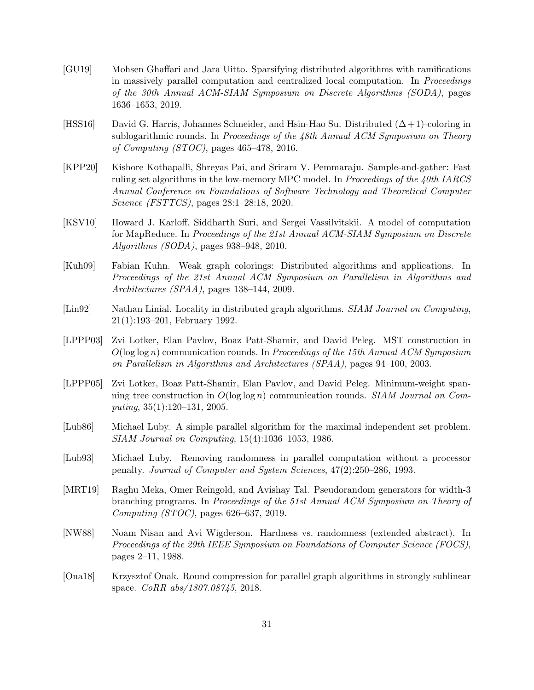- <span id="page-30-1"></span>[GU19] Mohsen Ghaffari and Jara Uitto. Sparsifying distributed algorithms with ramifications in massively parallel computation and centralized local computation. In Proceedings of the 30th Annual ACM-SIAM Symposium on Discrete Algorithms (SODA), pages 1636–1653, 2019.
- <span id="page-30-5"></span>[HSS16] David G. Harris, Johannes Schneider, and Hsin-Hao Su. Distributed  $(\Delta+1)$ -coloring in sublogarithmic rounds. In Proceedings of the 48th Annual ACM Symposium on Theory of Computing (STOC), pages 465–478, 2016.
- <span id="page-30-2"></span>[KPP20] Kishore Kothapalli, Shreyas Pai, and Sriram V. Pemmaraju. Sample-and-gather: Fast ruling set algorithms in the low-memory MPC model. In *Proceedings of the 40th IARCS* Annual Conference on Foundations of Software Technology and Theoretical Computer Science (FSTTCS), pages 28:1–28:18, 2020.
- <span id="page-30-0"></span>[KSV10] Howard J. Karloff, Siddharth Suri, and Sergei Vassilvitskii. A model of computation for MapReduce. In Proceedings of the 21st Annual ACM-SIAM Symposium on Discrete Algorithms (SODA), pages 938–948, 2010.
- <span id="page-30-12"></span>[Kuh09] Fabian Kuhn. Weak graph colorings: Distributed algorithms and applications. In Proceedings of the 21st Annual ACM Symposium on Parallelism in Algorithms and Architectures (SPAA), pages 138–144, 2009.
- <span id="page-30-3"></span>[Lin92] Nathan Linial. Locality in distributed graph algorithms. SIAM Journal on Computing, 21(1):193–201, February 1992.
- <span id="page-30-7"></span>[LPPP03] Zvi Lotker, Elan Pavlov, Boaz Patt-Shamir, and David Peleg. MST construction in  $O(\log \log n)$  communication rounds. In *Proceedings of the 15th Annual ACM Symposium* on Parallelism in Algorithms and Architectures (SPAA), pages 94–100, 2003.
- <span id="page-30-6"></span>[LPPP05] Zvi Lotker, Boaz Patt-Shamir, Elan Pavlov, and David Peleg. Minimum-weight spanning tree construction in  $O(\log \log n)$  communication rounds. SIAM Journal on Computing, 35(1):120–131, 2005.
- <span id="page-30-4"></span>[Lub86] Michael Luby. A simple parallel algorithm for the maximal independent set problem. SIAM Journal on Computing, 15(4):1036–1053, 1986.
- <span id="page-30-9"></span>[Lub93] Michael Luby. Removing randomness in parallel computation without a processor penalty. Journal of Computer and System Sciences, 47(2):250–286, 1993.
- <span id="page-30-11"></span>[MRT19] Raghu Meka, Omer Reingold, and Avishay Tal. Pseudorandom generators for width-3 branching programs. In Proceedings of the 51st Annual ACM Symposium on Theory of Computing (STOC), pages 626–637, 2019.
- <span id="page-30-10"></span>[NW88] Noam Nisan and Avi Wigderson. Hardness vs. randomness (extended abstract). In Proceedings of the 29th IEEE Symposium on Foundations of Computer Science (FOCS), pages 2–11, 1988.
- <span id="page-30-8"></span>[Ona18] Krzysztof Onak. Round compression for parallel graph algorithms in strongly sublinear space. CoRR abs/1807.08745, 2018.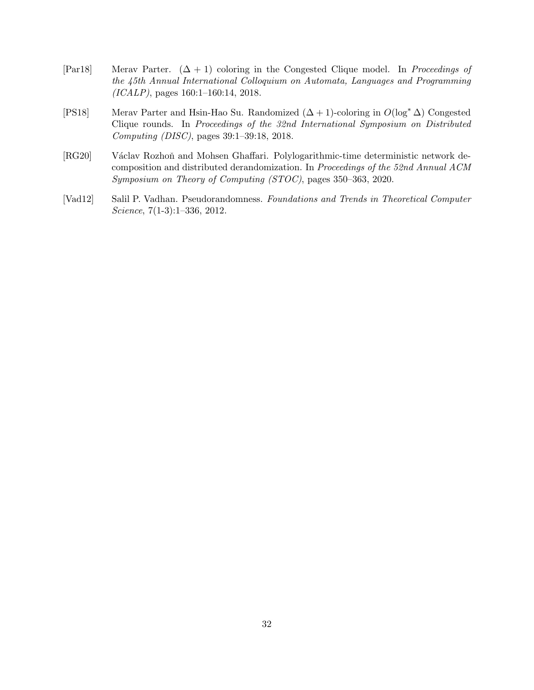- <span id="page-31-1"></span>[Par18] Merav Parter.  $(\Delta + 1)$  coloring in the Congested Clique model. In Proceedings of the 45th Annual International Colloquium on Automata, Languages and Programming (ICALP), pages 160:1–160:14, 2018.
- <span id="page-31-2"></span>[PS18] Merav Parter and Hsin-Hao Su. Randomized (∆ + 1)-coloring in O(log<sup>∗</sup> ∆) Congested Clique rounds. In Proceedings of the 32nd International Symposium on Distributed Computing (DISC), pages 39:1–39:18, 2018.
- <span id="page-31-0"></span>[RG20] Václav Rozhoň and Mohsen Ghaffari. Polylogarithmic-time deterministic network decomposition and distributed derandomization. In Proceedings of the 52nd Annual ACM Symposium on Theory of Computing (STOC), pages 350–363, 2020.
- <span id="page-31-3"></span>[Vad12] Salil P. Vadhan. Pseudorandomness. Foundations and Trends in Theoretical Computer Science, 7(1-3):1–336, 2012.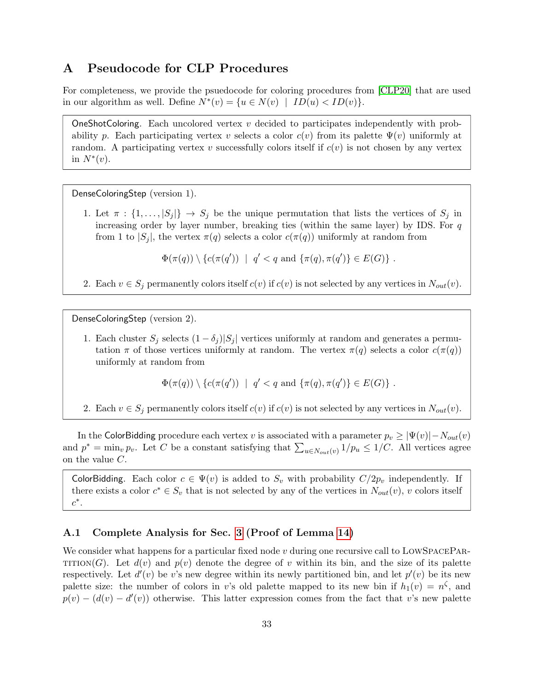## <span id="page-32-0"></span>A Pseudocode for CLP Procedures

For completeness, we provide the psuedocode for coloring procedures from [\[CLP20\]](#page-29-6) that are used in our algorithm as well. Define  $N^*(v) = \{u \in N(v) \mid ID(u) < ID(v)\}.$ 

OneShotColoring. Each uncolored vertex  $v$  decided to participates independently with probability p. Each participating vertex v selects a color  $c(v)$  from its palette  $\Psi(v)$  uniformly at random. A participating vertex v successfully colors itself if  $c(v)$  is not chosen by any vertex in  $N^*(v)$ .

DenseColoringStep (version 1).

1. Let  $\pi : \{1, \ldots, |S_j|\} \to S_j$  be the unique permutation that lists the vertices of  $S_j$  in increasing order by layer number, breaking ties (within the same layer) by IDS. For q from 1 to  $|S_i|$ , the vertex  $\pi(q)$  selects a color  $c(\pi(q))$  uniformly at random from

 $\Phi(\pi(q)) \setminus \{c(\pi(q')) \mid q' < q \text{ and } \{\pi(q), \pi(q')\} \in E(G)\}\.$ 

2. Each  $v \in S_j$  permanently colors itself  $c(v)$  if  $c(v)$  is not selected by any vertices in  $N_{out}(v)$ .

DenseColoringStep (version 2).

1. Each cluster  $S_j$  selects  $(1 - \delta_j)|S_j|$  vertices uniformly at random and generates a permutation  $\pi$  of those vertices uniformly at random. The vertex  $\pi(q)$  selects a color  $c(\pi(q))$ uniformly at random from

 $\Phi(\pi(q)) \setminus \{c(\pi(q')) \mid q' < q \text{ and } \{\pi(q), \pi(q')\} \in E(G)\}\.$ 

2. Each  $v \in S_j$  permanently colors itself  $c(v)$  if  $c(v)$  is not selected by any vertices in  $N_{out}(v)$ .

In the ColorBidding procedure each vertex v is associated with a parameter  $p_v \geq |\Psi(v)| - N_{out}(v)$ and  $p^* = \min_v p_v$ . Let C be a constant satisfying that  $\sum_{u \in N_{out}(v)} 1/p_u \leq 1/C$ . All vertices agree on the value C.

ColorBidding. Each color  $c \in \Psi(v)$  is added to  $S_v$  with probability  $C/2p_v$  independently. If there exists a color  $c^* \in S_v$  that is not selected by any of the vertices in  $N_{out}(v)$ , v colors itself  $c^*$ .

#### <span id="page-32-1"></span>A.1 Complete Analysis for Sec. [3](#page-12-0) (Proof of Lemma [14\)](#page-12-1)

We consider what happens for a particular fixed node  $v$  during one recursive call to  $LowSPACEPAR-$ TITION(G). Let  $d(v)$  and  $p(v)$  denote the degree of v within its bin, and the size of its palette respectively. Let  $d'(v)$  be v's new degree within its newly partitioned bin, and let  $p'(v)$  be its new palette size: the number of colors in v's old palette mapped to its new bin if  $h_1(v) = n^{\zeta}$ , and  $p(v) - (d(v) - d'(v))$  otherwise. This latter expression comes from the fact that v's new palette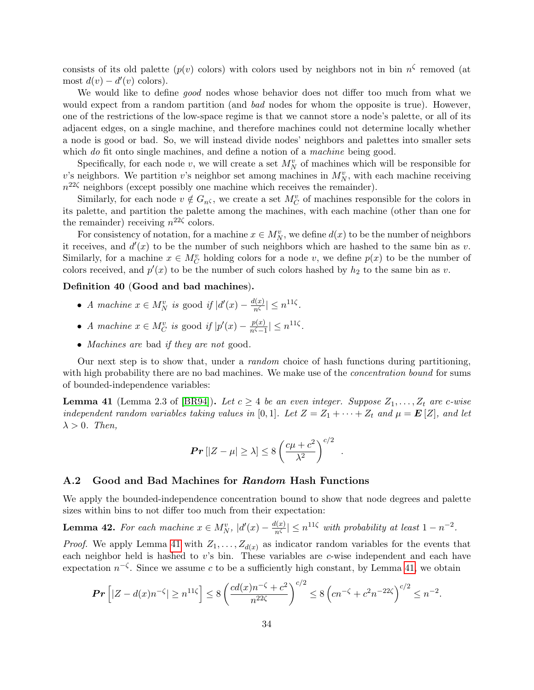consists of its old palette ( $p(v)$  colors) with colors used by neighbors not in bin  $n^{\zeta}$  removed (at most  $d(v) - d'(v)$  colors).

We would like to define *good* nodes whose behavior does not differ too much from what we would expect from a random partition (and *bad* nodes for whom the opposite is true). However, one of the restrictions of the low-space regime is that we cannot store a node's palette, or all of its adjacent edges, on a single machine, and therefore machines could not determine locally whether a node is good or bad. So, we will instead divide nodes' neighbors and palettes into smaller sets which do fit onto single machines, and define a notion of a *machine* being good.

Specifically, for each node v, we will create a set  $M_N^v$  of machines which will be responsible for v's neighbors. We partition v's neighbor set among machines in  $M_N^v$ , with each machine receiving  $n^{22\zeta}$  neighbors (except possibly one machine which receives the remainder).

Similarly, for each node  $v \notin G_{n^{\zeta}}$ , we create a set  $M_C^v$  of machines responsible for the colors in its palette, and partition the palette among the machines, with each machine (other than one for the remainder) receiving  $n^{22\zeta}$  colors.

For consistency of notation, for a machine  $x \in M_N^v$ , we define  $d(x)$  to be the number of neighbors it receives, and  $d'(x)$  to be the number of such neighbors which are hashed to the same bin as v. Similarly, for a machine  $x \in M_C^v$  holding colors for a node v, we define  $p(x)$  to be the number of colors received, and  $p'(x)$  to be the number of such colors hashed by  $h_2$  to the same bin as v.

### <span id="page-33-2"></span>Definition 40 (Good and bad machines).

- A machine  $x \in M_N^v$  is good if  $|d'(x) \frac{d(x)}{n^{\zeta}}\rangle$  $\frac{l(x)}{n^{\zeta}} \leq n^{11\zeta}.$
- A machine  $x \in M_C^v$  is good if  $|p'(x) \frac{p(x)}{n^{\zeta}-1}$  $\frac{p(x)}{n^{\zeta}-1}$  |  $\leq n^{11\zeta}$ .
- Machines are bad if they are not good.

Our next step is to show that, under a random choice of hash functions during partitioning, with high probability there are no bad machines. We make use of the *concentration bound* for sums of bounded-independence variables:

<span id="page-33-0"></span>**Lemma 41** (Lemma 2.3 of [\[BR94\]](#page-28-10)). Let  $c \geq 4$  be an even integer. Suppose  $Z_1, \ldots, Z_t$  are c-wise independent random variables taking values in [0,1]. Let  $Z = Z_1 + \cdots + Z_t$  and  $\mu = \mathbf{E}[Z]$ , and let  $\lambda > 0$ . Then,

$$
\Pr\left[|Z-\mu|\geq\lambda\right]\leq 8\left(\frac{c\mu+c^2}{\lambda^2}\right)^{c/2}.
$$

#### A.2 Good and Bad Machines for Random Hash Functions

We apply the bounded-independence concentration bound to show that node degrees and palette sizes within bins to not differ too much from their expectation:

<span id="page-33-1"></span>**Lemma 42.** For each machine  $x \in M_N^v$ ,  $|d'(x) - \frac{d(x)}{n^{\zeta}}\rangle$  $\frac{l(x)}{n^{\zeta}} \leq n^{11\zeta}$  with probability at least  $1 - n^{-2}$ .

*Proof.* We apply Lemma [41](#page-33-0) with  $Z_1, \ldots, Z_{d(x)}$  as indicator random variables for the events that each neighbor held is hashed to v's bin. These variables are c-wise independent and each have expectation  $n^{-\zeta}$ . Since we assume c to be a sufficiently high constant, by Lemma [41,](#page-33-0) we obtain

$$
\Pr\left[|Z-d(x)n^{-\zeta}| \ge n^{11\zeta}\right] \le 8\left(\frac{cd(x)n^{-\zeta}+c^2}{n^{22\zeta}}\right)^{c/2} \le 8\left(cn^{-\zeta}+c^2n^{-22\zeta}\right)^{c/2} \le n^{-2}.
$$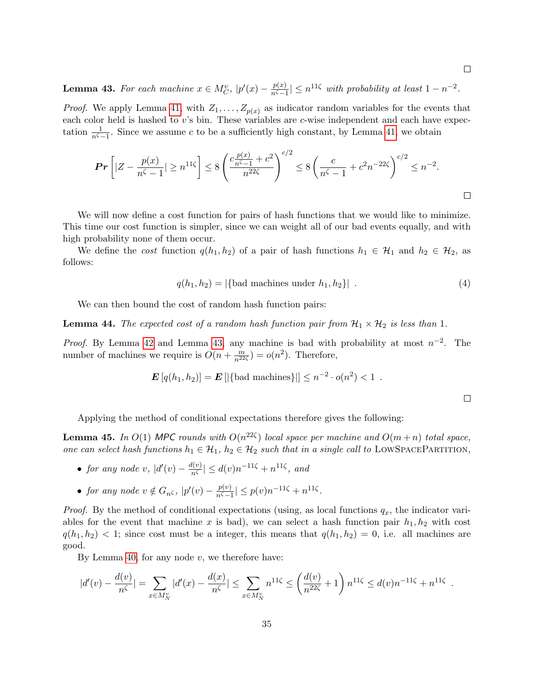<span id="page-34-0"></span>**Lemma 43.** For each machine  $x \in M_C^v$ ,  $|p'(x) - \frac{p(x)}{n^{\zeta} - 1}|$  $\frac{p(x)}{p(x-1)} \leq n^{11\zeta}$  with probability at least  $1 - n^{-2}$ .

*Proof.* We apply Lemma [41,](#page-33-0) with  $Z_1, \ldots, Z_{p(x)}$  as indicator random variables for the events that each color held is hashed to v's bin. These variables are c-wise independent and each have expectation  $\frac{1}{n^{\zeta}-1}$ . Since we assume c to be a sufficiently high constant, by Lemma [41,](#page-33-0) we obtain

$$
\Pr\left[|Z - \frac{p(x)}{n^{\zeta} - 1}| \ge n^{11\zeta}\right] \le 8\left(\frac{c\frac{p(x)}{n^{\zeta} - 1} + c^2}{n^{22\zeta}}\right)^{c/2} \le 8\left(\frac{c}{n^{\zeta} - 1} + c^2 n^{-22\zeta}\right)^{c/2} \le n^{-2}.
$$

We will now define a cost function for pairs of hash functions that we would like to minimize. This time our cost function is simpler, since we can weight all of our bad events equally, and with high probability none of them occur.

We define the *cost* function  $q(h_1, h_2)$  of a pair of hash functions  $h_1 \in \mathcal{H}_1$  and  $h_2 \in \mathcal{H}_2$ , as follows:

$$
q(h_1, h_2) = |\{\text{bad machines under } h_1, h_2\}| \tag{4}
$$

We can then bound the cost of random hash function pairs:

**Lemma 44.** The expected cost of a random hash function pair from  $\mathcal{H}_1 \times \mathcal{H}_2$  is less than 1.

*Proof.* By Lemma [42](#page-33-1) and Lemma [43,](#page-34-0) any machine is bad with probability at most  $n^{-2}$ . The number of machines we require is  $O(n + \frac{m}{n^{22\zeta}}) = o(n^2)$ . Therefore,

$$
\boldsymbol{E}[q(h_1, h_2)] = \boldsymbol{E}[|\{\text{bad machines}\}]| \leq n^{-2} \cdot o(n^2) < 1.
$$

 $\Box$ 

Applying the method of conditional expectations therefore gives the following:

<span id="page-34-1"></span>**Lemma 45.** In  $O(1)$  MPC rounds with  $O(n^{22\zeta})$  local space per machine and  $O(m+n)$  total space, one can select hash functions  $h_1 \in H_1$ ,  $h_2 \in H_2$  such that in a single call to LOWSPACEPARTITION,

- for any node v,  $\left| d'(v) \frac{d(v)}{v} \right|$  $\frac{d(v)}{n^{\zeta}} \leq d(v)n^{-11\zeta} + n^{11\zeta}, \text{ and}$
- for any node  $v \notin G_{n\zeta}$ ,  $|p'(v) \frac{p(v)}{n\zeta \zeta}$  $\frac{p(v)}{n^{\zeta}-1}$ |  $\leq p(v)n^{-11\zeta} + n^{11\zeta}$ .

*Proof.* By the method of conditional expectations (using, as local functions  $q_x$ , the indicator variables for the event that machine x is bad), we can select a hash function pair  $h_1, h_2$  with cost  $q(h_1, h_2)$  < 1; since cost must be a integer, this means that  $q(h_1, h_2) = 0$ , i.e. all machines are good.

By Lemma [40,](#page-33-2) for any node  $v$ , we therefore have:

$$
|d'(v) - \frac{d(v)}{n^{\zeta}}| = \sum_{x \in M_N^v} |d'(x) - \frac{d(x)}{n^{\zeta}}| \le \sum_{x \in M_N^v} n^{11\zeta} \le \left(\frac{d(v)}{n^{22\zeta}} + 1\right) n^{11\zeta} \le d(v)n^{-11\zeta} + n^{11\zeta}.
$$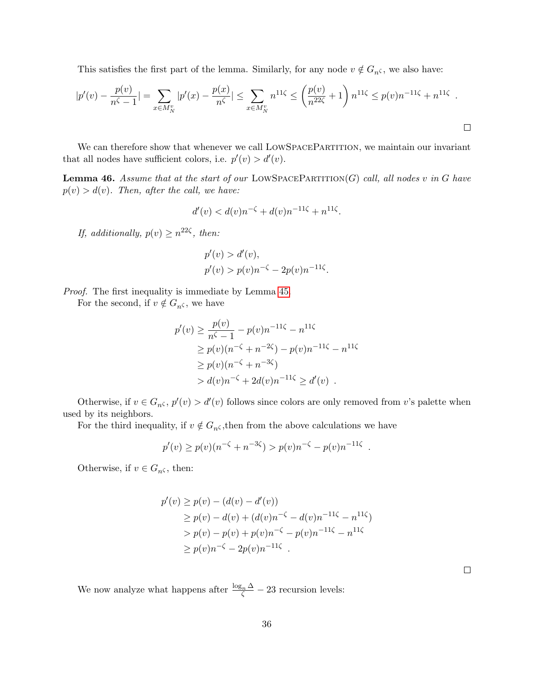This satisfies the first part of the lemma. Similarly, for any node  $v \notin G_{n^{\zeta}}$ , we also have:

$$
|p'(v) - \frac{p(v)}{n^{\zeta} - 1}| = \sum_{x \in M_N^v} |p'(x) - \frac{p(x)}{n^{\zeta}}| \le \sum_{x \in M_N^v} n^{11\zeta} \le \left(\frac{p(v)}{n^{22\zeta}} + 1\right) n^{11\zeta} \le p(v)n^{-11\zeta} + n^{11\zeta}.
$$

We can therefore show that whenever we call LOWSPACEPARTITION, we maintain our invariant that all nodes have sufficient colors, i.e.  $p'(v) > d'(v)$ .

<span id="page-35-0"></span>**Lemma 46.** Assume that at the start of our LOWSPACEPARTITION(G) call, all nodes v in G have  $p(v) > d(v)$ . Then, after the call, we have:

$$
d'(v) < d(v)n^{-\zeta} + d(v)n^{-11\zeta} + n^{11\zeta}.
$$

If, additionally,  $p(v) \geq n^{22\zeta}$ , then:

$$
p'(v) > d'(v),
$$
  
 
$$
p'(v) > p(v)n^{-\zeta} - 2p(v)n^{-11\zeta}.
$$

Proof. The first inequality is immediate by Lemma [45.](#page-34-1)

For the second, if  $v \notin G_{n^{\zeta}}$ , we have

$$
p'(v) \ge \frac{p(v)}{n^{\zeta} - 1} - p(v)n^{-11\zeta} - n^{11\zeta}
$$
  
\n
$$
\ge p(v)(n^{-\zeta} + n^{-2\zeta}) - p(v)n^{-11\zeta} - n^{11\zeta}
$$
  
\n
$$
\ge p(v)(n^{-\zeta} + n^{-3\zeta})
$$
  
\n
$$
> d(v)n^{-\zeta} + 2d(v)n^{-11\zeta} \ge d'(v).
$$

Otherwise, if  $v \in G_{n}$ ,  $p'(v) > d'(v)$  follows since colors are only removed from v's palette when used by its neighbors.

For the third inequality, if  $v \notin G_{n\zeta}$ , then from the above calculations we have

$$
p'(v) \ge p(v)(n^{-\zeta} + n^{-3\zeta}) > p(v)n^{-\zeta} - p(v)n^{-11\zeta} .
$$

Otherwise, if  $v \in G_{n\zeta}$ , then:

$$
p'(v) \ge p(v) - (d(v) - d'(v))
$$
  
\n
$$
\ge p(v) - d(v) + (d(v)n^{-\zeta} - d(v)n^{-11\zeta} - n^{11\zeta})
$$
  
\n
$$
> p(v) - p(v) + p(v)n^{-\zeta} - p(v)n^{-11\zeta} - n^{11\zeta}
$$
  
\n
$$
\ge p(v)n^{-\zeta} - 2p(v)n^{-11\zeta}.
$$

We now analyze what happens after  $\frac{\log_n \Delta}{\zeta} - 23$  recursion levels:

 $\Box$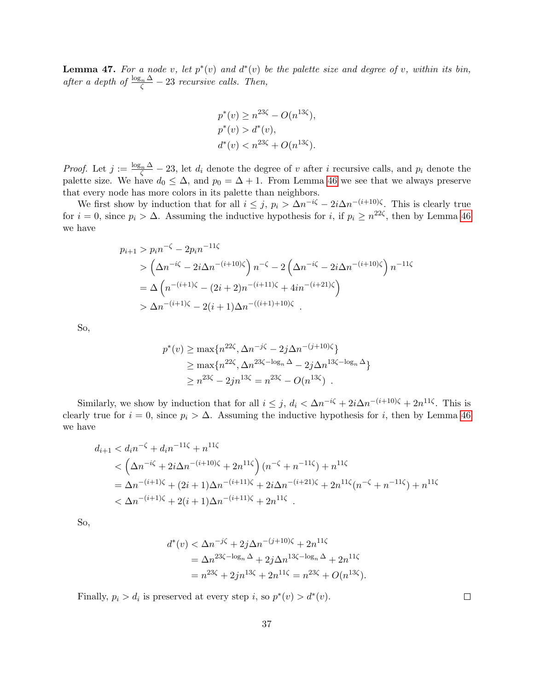**Lemma 47.** For a node v, let  $p^*(v)$  and  $d^*(v)$  be the palette size and degree of v, within its bin, after a depth of  $\frac{\log_n \Delta}{\zeta} - 23$  recursive calls. Then,

$$
p^*(v) \ge n^{23\zeta} - O(n^{13\zeta}),
$$
  
\n
$$
p^*(v) > d^*(v),
$$
  
\n
$$
d^*(v) < n^{23\zeta} + O(n^{13\zeta}).
$$

*Proof.* Let  $j := \frac{\log_n \Delta}{\zeta} - 23$ , let  $d_i$  denote the degree of v after i recursive calls, and  $p_i$  denote the palette size. We have  $d_0 \leq \Delta$ , and  $p_0 = \Delta + 1$ . From Lemma [46](#page-35-0) we see that we always preserve that every node has more colors in its palette than neighbors.

We first show by induction that for all  $i \leq j$ ,  $p_i > \Delta n^{-i\zeta} - 2i\Delta n^{-(i+10)\zeta}$ . This is clearly true for  $i = 0$ , since  $p_i > \Delta$ . Assuming the inductive hypothesis for i, if  $p_i \geq n^{22\zeta}$ , then by Lemma [46](#page-35-0) we have

$$
p_{i+1} > p_i n^{-\zeta} - 2p_i n^{-11\zeta}
$$
  
>  $\left(\Delta n^{-i\zeta} - 2i\Delta n^{-(i+10)\zeta}\right) n^{-\zeta} - 2\left(\Delta n^{-i\zeta} - 2i\Delta n^{-(i+10)\zeta}\right) n^{-11\zeta}$   
=  $\Delta \left(n^{-(i+1)\zeta} - (2i+2)n^{-(i+11)\zeta} + 4in^{-(i+21)\zeta}\right)$   
>  $\Delta n^{-(i+1)\zeta} - 2(i+1)\Delta n^{-(i+1)+10)\zeta}$ .

So,

$$
p^*(v) \ge \max\{n^{22\zeta}, \Delta n^{-j\zeta} - 2j\Delta n^{-(j+10)\zeta}\}\
$$
  
 
$$
\ge \max\{n^{22\zeta}, \Delta n^{23\zeta - \log_n \Delta} - 2j\Delta n^{13\zeta - \log_n \Delta}\}\
$$
  
 
$$
\ge n^{23\zeta} - 2jn^{13\zeta} = n^{23\zeta} - O(n^{13\zeta}).
$$

Similarly, we show by induction that for all  $i \leq j$ ,  $d_i < \Delta n^{-i\zeta} + 2i\Delta n^{-(i+10)\zeta} + 2n^{11\zeta}$ . This is clearly true for  $i = 0$ , since  $p_i > \Delta$ . Assuming the inductive hypothesis for i, then by Lemma [46](#page-35-0) we have

$$
d_{i+1} < d_i n^{-\zeta} + d_i n^{-11\zeta} + n^{11\zeta}
$$
  

$$
< \left(\Delta n^{-i\zeta} + 2i\Delta n^{-(i+10)\zeta} + 2n^{11\zeta}\right) (n^{-\zeta} + n^{-11\zeta}) + n^{11\zeta}
$$
  

$$
= \Delta n^{-(i+1)\zeta} + (2i+1)\Delta n^{-(i+11)\zeta} + 2i\Delta n^{-(i+21)\zeta} + 2n^{11\zeta} (n^{-\zeta} + n^{-11\zeta}) + n^{11\zeta}
$$
  

$$
< \Delta n^{-(i+1)\zeta} + 2(i+1)\Delta n^{-(i+11)\zeta} + 2n^{11\zeta} .
$$

So,

$$
d^*(v) < \Delta n^{-j\zeta} + 2j\Delta n^{-(j+10)\zeta} + 2n^{11\zeta}
$$
\n
$$
= \Delta n^{23\zeta - \log_n \Delta} + 2j\Delta n^{13\zeta - \log_n \Delta} + 2n^{11\zeta}
$$
\n
$$
= n^{23\zeta} + 2jn^{13\zeta} + 2n^{11\zeta} = n^{23\zeta} + O(n^{13\zeta}).
$$

Finally,  $p_i > d_i$  is preserved at every step i, so  $p^*(v) > d^*(v)$ .

 $\Box$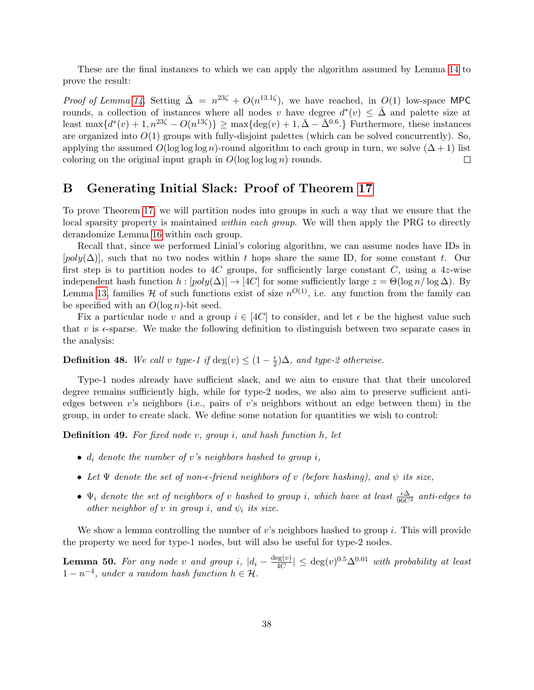These are the final instances to which we can apply the algorithm assumed by Lemma [14](#page-12-1) to prove the result:

*Proof of Lemma [14.](#page-12-1)* Setting  $\bar{\Delta} = n^{23\zeta} + O(n^{13.1\zeta})$ , we have reached, in  $O(1)$  low-space MPC rounds, a collection of instances where all nodes v have degree  $d^*(v) \leq \overline{\Delta}$  and palette size at least  $\max\{d^*(v)+1, n^{23\zeta}-O(n^{13\zeta})\}\geq \max\{\deg(v)+1, \bar{\Delta}-\bar{\Delta}^{0.6}.\}\$  Furthermore, these instances are organized into  $O(1)$  groups with fully-disjoint palettes (which can be solved concurrently). So, applying the assumed  $O(\log \log \log n)$ -round algorithm to each group in turn, we solve  $(\Delta + 1)$  list coloring on the original input graph in  $O(\log \log n)$  rounds.  $\Box$ 

### <span id="page-37-0"></span>B Generating Initial Slack: Proof of Theorem [17](#page-15-2)

To prove Theorem [17,](#page-15-2) we will partition nodes into groups in such a way that we ensure that the local sparsity property is maintained *within each group*. We will then apply the PRG to directly derandomize Lemma [16](#page-15-1) within each group.

Recall that, since we performed Linial's coloring algorithm, we can assume nodes have IDs in  $[poly(\Delta)],$  such that no two nodes within t hops share the same ID, for some constant t. Our first step is to partition nodes to 4C groups, for sufficiently large constant C, using a  $4z$ -wise independent hash function  $h : [poly(\Delta)] \to [4C]$  for some sufficiently large  $z = \Theta(\log n / \log \Delta)$ . By Lemma [13,](#page-12-2) families H of such functions exist of size  $n^{O(1)}$ , i.e. any function from the family can be specified with an  $O(\log n)$ -bit seed.

Fix a particular node v and a group  $i \in [4C]$  to consider, and let  $\epsilon$  be the highest value such that v is  $\epsilon$ -sparse. We make the following definition to distinguish between two separate cases in the analysis:

#### **Definition 48.** We call v type-1 if  $\deg(v) \leq (1 - \frac{\epsilon}{2})$  $\frac{\epsilon}{2}$ ) $\Delta$ , and type-2 otherwise.

Type-1 nodes already have sufficient slack, and we aim to ensure that that their uncolored degree remains sufficiently high, while for type-2 nodes, we also aim to preserve sufficient antiedges between v's neighbors (i.e., pairs of v's neighbors without an edge between them) in the group, in order to create slack. We define some notation for quantities we wish to control:

**Definition 49.** For fixed node v, group i, and hash function  $h$ , let

- $d_i$  denote the number of v's neighbors hashed to group i,
- Let  $\Psi$  denote the set of non- $\epsilon$ -friend neighbors of v (before hashing), and  $\psi$  its size,
- $\Psi_i$  denote the set of neighbors of v hashed to group i, which have at least  $\frac{\epsilon \Delta}{96 C^2}$  anti-edges to other neighbor of v in group i, and  $\psi_i$  its size.

We show a lemma controlling the number of  $v$ 's neighbors hashed to group i. This will provide the property we need for type-1 nodes, but will also be useful for type-2 nodes.

**Lemma 50.** For any node v and group i,  $|d_i - \frac{\deg(v)}{4C}|$  $\frac{\deg(v)}{4C}$  |  $\leq$  deg $(v)^{0.5} \Delta^{0.01}$  with probability at least  $1-n^{-4}$ , under a random hash function  $h \in \mathcal{H}$ .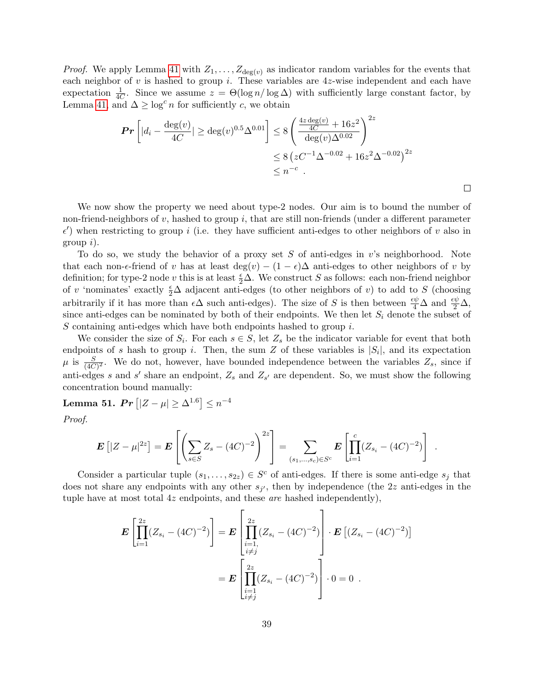*Proof.* We apply Lemma [41](#page-33-0) with  $Z_1, \ldots, Z_{\text{deg}(v)}$  as indicator random variables for the events that each neighbor of  $v$  is hashed to group  $i$ . These variables are 4z-wise independent and each have expectation  $\frac{1}{4C}$ . Since we assume  $z = \Theta(\log n / \log \Delta)$  with sufficiently large constant factor, by Lemma [41,](#page-33-0) and  $\Delta \geq \log^c n$  for sufficiently c, we obtain

$$
\begin{aligned} \Pr\left[|d_i - \frac{\deg(v)}{4C}| \ge \deg(v)^{0.5} \Delta^{0.01}\right] &\le 8 \left(\frac{\frac{4z \deg(v)}{4C} + 16z^2}{\deg(v)\Delta^{0.02}}\right)^{2z} \\ &\le 8 \left(zC^{-1} \Delta^{-0.02} + 16z^2 \Delta^{-0.02}\right)^{2z} \\ &\le n^{-c} \end{aligned}
$$

 $\Box$ 

We now show the property we need about type-2 nodes. Our aim is to bound the number of non-friend-neighbors of  $v$ , hashed to group  $i$ , that are still non-friends (under a different parameter  $\epsilon'$ ) when restricting to group i (i.e. they have sufficient anti-edges to other neighbors of v also in  $group i).$ 

To do so, we study the behavior of a proxy set S of anti-edges in  $v$ 's neighborhood. Note that each non- $\epsilon$ -friend of v has at least deg(v) –  $(1 - \epsilon)\Delta$  anti-edges to other neighbors of v by definition; for type-2 node v this is at least  $\frac{e}{2}\Delta$ . We construct S as follows: each non-friend neighbor of v 'nominates' exactly  $\frac{\epsilon}{2}\Delta$  adjacent anti-edges (to other neighbors of v) to add to S (choosing arbitrarily if it has more than  $\epsilon\Delta$  such anti-edges). The size of S is then between  $\frac{\epsilon\psi}{4}\Delta$  and  $\frac{\epsilon\psi}{2}\Delta$ , since anti-edges can be nominated by both of their endpoints. We then let  $S_i$  denote the subset of  $S$  containing anti-edges which have both endpoints hashed to group  $i$ .

We consider the size of  $S_i$ . For each  $s \in S$ , let  $Z_s$  be the indicator variable for event that both endpoints of s hash to group i. Then, the sum Z of these variables is  $|S_i|$ , and its expectation  $\mu$  is  $\frac{S}{(4C)^2}$ . We do not, however, have bounded independence between the variables  $Z_s$ , since if anti-edges s and s' share an endpoint,  $Z_s$  and  $Z_{s'}$  are dependent. So, we must show the following concentration bound manually:

Lemma 51.  $\bm{Pr}\left[|Z-\mu|\geq \Delta^{1.6}\right]\leq n^{-4}$ 

Proof.

$$
\boldsymbol{E}\left[|Z-\mu|^{2z}\right] = \boldsymbol{E}\left[\left(\sum_{s\in S} Z_s - (4C)^{-2}\right)^{2z}\right] = \sum_{(s_1,...,s_c)\in S^c} \boldsymbol{E}\left[\prod_{i=1}^c (Z_{s_i} - (4C)^{-2})\right].
$$

Consider a particular tuple  $(s_1, \ldots, s_{2z}) \in S^c$  of anti-edges. If there is some anti-edge  $s_j$  that does not share any endpoints with any other  $s_{j'}$ , then by independence (the 2z anti-edges in the tuple have at most total 4z endpoints, and these are hashed independently),

$$
\mathbf{E}\left[\prod_{i=1}^{2z}(Z_{s_i}-(4C)^{-2})\right] = \mathbf{E}\left[\prod_{\substack{i=1,\\i\neq j}}^{2z}(Z_{s_i}-(4C)^{-2})\right] \cdot \mathbf{E}\left[(Z_{s_i}-(4C)^{-2})\right]
$$

$$
= \mathbf{E}\left[\prod_{\substack{i=1\\i\neq j}}^{2z}(Z_{s_i}-(4C)^{-2})\right] \cdot 0 = 0.
$$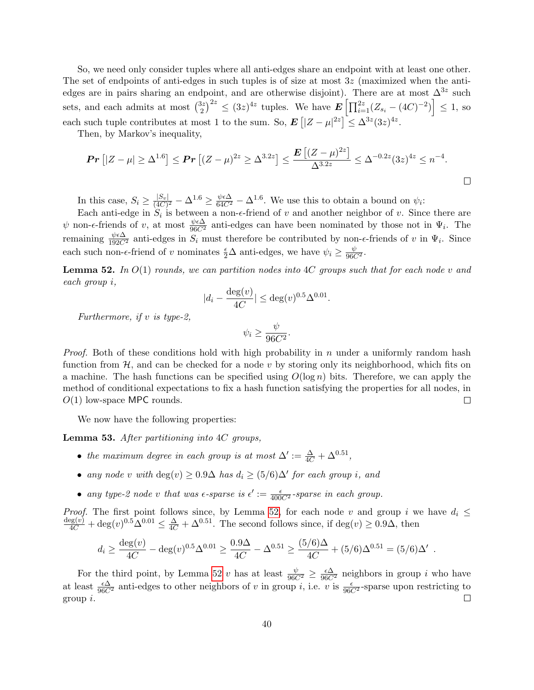So, we need only consider tuples where all anti-edges share an endpoint with at least one other. The set of endpoints of anti-edges in such tuples is of size at most  $3z$  (maximized when the antiedges are in pairs sharing an endpoint, and are otherwise disjoint). There are at most  $\Delta^{3z}$  such sets, and each admits at most  $\binom{3z}{2}$  $\left[2\sum_{i=2}^{3z} \right]^{2z} \leq (3z)^{4z}$  tuples. We have  $\mathbf{E}\left[\prod_{i=1}^{2z} (Z_{s_i} - (4C)^{-2})\right] \leq 1$ , so each such tuple contributes at most 1 to the sum. So,  $\mathbf{E}\left[|Z-\mu|^{2z}\right] \leq \Delta^{3z} (3z)^{4z}$ .

Then, by Markov's inequality,

$$
Pr\left[|Z-\mu|\ge\Delta^{1.6}\right]\le Pr\left[(Z-\mu)^{2z}\ge\Delta^{3.2z}\right]\le\frac{E\left[(Z-\mu)^{2z}\right]}{\Delta^{3.2z}}\le\Delta^{-0.2z}(3z)^{4z}\le n^{-4}.
$$

In this case,  $S_i \geq \frac{|S_v|}{(4C)}$  $\frac{|S_v|}{(4C)^2} - \Delta^{1.6} \ge \frac{\psi \epsilon \Delta}{64C^2} - \Delta^{1.6}$ . We use this to obtain a bound on  $\psi_i$ :

Each anti-edge in  $S_i$  is between a non- $\epsilon$ -friend of v and another neighbor of v. Since there are  $\psi$  non- $\epsilon$ -friends of v, at most  $\frac{\psi \epsilon \Delta}{96C^2}$  anti-edges can have been nominated by those not in  $\Psi_i$ . The remaining  $\frac{\psi \epsilon \Delta}{192C^2}$  anti-edges in  $S_i$  must therefore be contributed by non- $\epsilon$ -friends of v in  $\Psi_i$ . Since each such non- $\epsilon$ -friend of v nominates  $\frac{\epsilon}{2}\Delta$  anti-edges, we have  $\psi_i \geq \frac{\psi}{96C^2}$ .

<span id="page-39-0"></span>**Lemma 52.** In  $O(1)$  rounds, we can partition nodes into 4C groups such that for each node v and each group i,

$$
|d_i - \frac{\deg(v)}{4C}| \le \deg(v)^{0.5} \Delta^{0.01}.
$$

Furthermore, if v is type-2.

$$
\psi_i \ge \frac{\psi}{96C^2}.
$$

*Proof.* Both of these conditions hold with high probability in n under a uniformly random hash function from  $H$ , and can be checked for a node v by storing only its neighborhood, which fits on a machine. The hash functions can be specified using  $O(\log n)$  bits. Therefore, we can apply the method of conditional expectations to fix a hash function satisfying the properties for all nodes, in  $O(1)$  low-space MPC rounds.  $\Box$ 

We now have the following properties:

Lemma 53. After partitioning into 4C groups,

- the maximum degree in each group is at most  $\Delta' := \frac{\Delta}{4C} + \Delta^{0.51}$ ,
- any node v with  $deg(v) \geq 0.9\Delta$  has  $d_i \geq (5/6)\Delta'$  for each group i, and
- any type-2 node v that was  $\epsilon$ -sparse is  $\epsilon' := \frac{\epsilon}{400C^2}$ -sparse in each group.

*Proof.* The first point follows since, by Lemma [52,](#page-39-0) for each node v and group i we have  $d_i \leq$  $\frac{\deg(v)}{4C} + \deg(v)^{0.5} \Delta^{0.01} \leq \frac{\Delta}{4C} + \Delta^{0.51}$ . The second follows since, if  $\deg(v) \geq 0.9\Delta$ , then

$$
d_i \ge \frac{\deg(v)}{4C} - \deg(v)^{0.5} \Delta^{0.01} \ge \frac{0.9 \Delta}{4C} - \Delta^{0.51} \ge \frac{(5/6)\Delta}{4C} + (5/6)\Delta^{0.51} = (5/6)\Delta'
$$

.

For the third point, by Lemma [52](#page-39-0) v has at least  $\frac{\psi}{96C^2} \ge \frac{\epsilon \Delta}{96C^2}$  neighbors in group i who have at least  $\frac{\epsilon\Delta}{96C^2}$  anti-edges to other neighbors of v in group i, i.e. v is  $\frac{\epsilon}{96C^2}$ -sparse upon restricting to group i.  $\Box$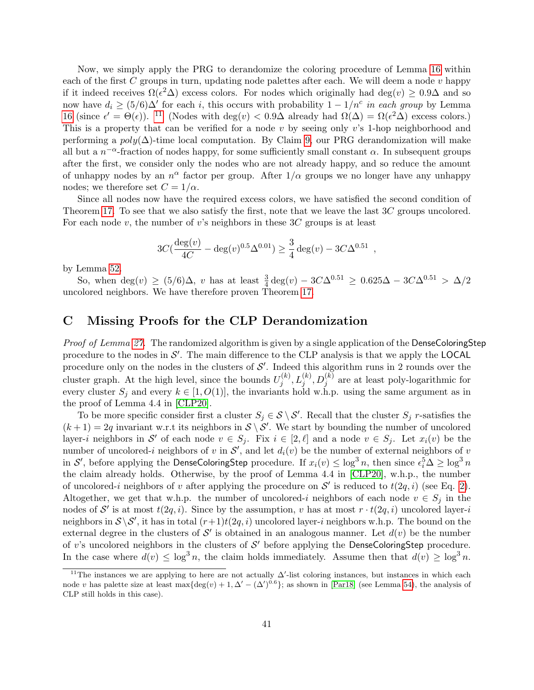Now, we simply apply the PRG to derandomize the coloring procedure of Lemma [16](#page-15-1) within each of the first  $C$  groups in turn, updating node palettes after each. We will deem a node  $v$  happy if it indeed receives  $\Omega(\epsilon^2 \Delta)$  excess colors. For nodes which originally had deg $(v) \geq 0.9\Delta$  and so now have  $d_i \ge (5/6)\Delta'$  for each i, this occurs with probability  $1 - 1/n^c$  in each group by Lemma [16](#page-15-1) (since  $\epsilon' = \Theta(\epsilon)$ ). <sup>[11](#page-40-1)</sup> (Nodes with deg(v) < 0.9 $\Delta$  already had  $\Omega(\Delta) = \Omega(\epsilon^2 \Delta)$  excess colors.) This is a property that can be verified for a node v by seeing only v's 1-hop neighborhood and performing a  $poly(\Delta)$ -time local computation. By Claim [9,](#page-9-2) our PRG derandomization will make all but a  $n^{-\alpha}$ -fraction of nodes happy, for some sufficiently small constant  $\alpha$ . In subsequent groups after the first, we consider only the nodes who are not already happy, and so reduce the amount of unhappy nodes by an  $n^{\alpha}$  factor per group. After  $1/\alpha$  groups we no longer have any unhappy nodes; we therefore set  $C = 1/\alpha$ .

Since all nodes now have the required excess colors, we have satisfied the second condition of Theorem [17.](#page-15-2) To see that we also satisfy the first, note that we leave the last 3C groups uncolored. For each node v, the number of v's neighbors in these  $3C$  groups is at least

$$
3C\left(\frac{\deg(v)}{4C} - \deg(v)^{0.5}\Delta^{0.01}\right) \ge \frac{3}{4}\deg(v) - 3C\Delta^{0.51} ,
$$

by Lemma [52.](#page-39-0)

So, when  $\deg(v) \ge (5/6)\Delta$ , v has at least  $\frac{3}{4}\deg(v) - 3C\Delta^{0.51} \ge 0.625\Delta - 3C\Delta^{0.51} > \Delta/2$ uncolored neighbors. We have therefore proven Theorem [17.](#page-15-2)

## <span id="page-40-0"></span>C Missing Proofs for the CLP Derandomization

Proof of Lemma [27.](#page-22-2) The randomized algorithm is given by a single application of the DenseColoringStep procedure to the nodes in  $\mathcal{S}'$ . The main difference to the CLP analysis is that we apply the LOCAL procedure only on the nodes in the clusters of  $\mathcal{S}'$ . Indeed this algorithm runs in 2 rounds over the cluster graph. At the high level, since the bounds  $U_i^{(k)}$  $J_j^{(k)}, L_j^{(k)}, D_j^{(k)}$  are at least poly-logarithmic for every cluster  $S_j$  and every  $k \in [1, O(1)]$ , the invariants hold w.h.p. using the same argument as in the proof of Lemma 4.4 in [\[CLP20\]](#page-29-6).

To be more specific consider first a cluster  $S_j \in \mathcal{S} \setminus \mathcal{S}'$ . Recall that the cluster  $S_j$  r-satisfies the  $(k+1) = 2q$  invariant w.r.t its neighbors in  $S \setminus S'$ . We start by bounding the number of uncolored layer-i neighbors in S' of each node  $v \in S_j$ . Fix  $i \in [2, \ell]$  and a node  $v \in S_j$ . Let  $x_i(v)$  be the number of uncolored-i neighbors of v in  $\mathcal{S}'$ , and let  $d_i(v)$  be the number of external neighbors of v in  $\mathcal{S}',$  before applying the DenseColoringStep procedure. If  $x_i(v) \leq \log^3 n$ , then since  $\epsilon_i^5 \Delta \geq \log^3 n$ the claim already holds. Otherwise, by the proof of Lemma 4.4 in [\[CLP20\]](#page-29-6), w.h.p., the number of uncolored-i neighbors of v after applying the procedure on  $\mathcal{S}'$  is reduced to  $t(2q, i)$  (see Eq. [2\)](#page-22-7). Altogether, we get that w.h.p. the number of uncolored-i neighbors of each node  $v \in S_i$  in the nodes of S' is at most  $t(2q, i)$ . Since by the assumption, v has at most  $r \cdot t(2q, i)$  uncolored layer-i neighbors in  $S \ S'$ , it has in total  $(r+1)t(2q, i)$  uncolored layer-i neighbors w.h.p. The bound on the external degree in the clusters of  $\mathcal{S}'$  is obtained in an analogous manner. Let  $d(v)$  be the number of v's uncolored neighbors in the clusters of  $S'$  before applying the DenseColoringStep procedure. In the case where  $d(v) \leq \log^3 n$ , the claim holds immediately. Assume then that  $d(v) \geq \log^3 n$ .

<span id="page-40-1"></span><sup>&</sup>lt;sup>11</sup>The instances we are applying to here are not actually  $\Delta'$ -list coloring instances, but instances in which each node v has palette size at least max $\{\deg(v) + 1, \Delta' - (\Delta')^{0.6}\}$ ; as shown in [\[Par18\]](#page-31-1) (see Lemma [54\)](#page-41-0), the analysis of CLP still holds in this case).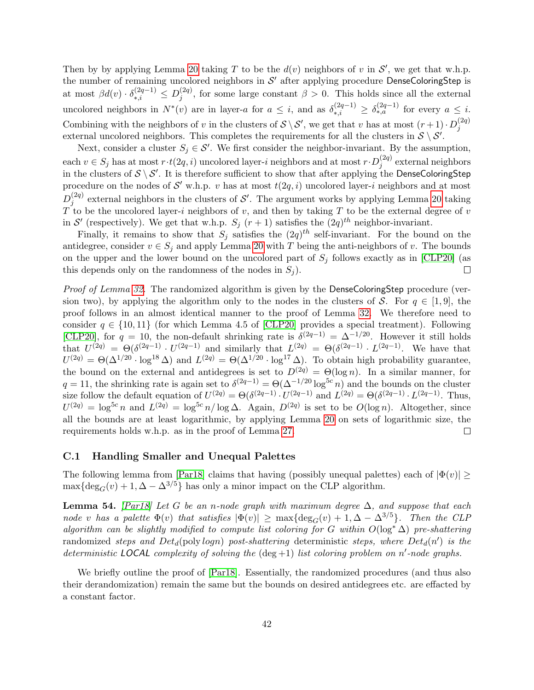Then by by applying Lemma [20](#page-19-0) taking T to be the  $d(v)$  neighbors of v in  $\mathcal{S}'$ , we get that w.h.p. the number of remaining uncolored neighbors in  $\mathcal{S}'$  after applying procedure DenseColoringStep is at most  $\beta d(v) \cdot \delta_{*,i}^{(2q-1)} \leq D_j^{(2q)}$  $j^{(2q)}$ , for some large constant  $\beta > 0$ . This holds since all the external uncolored neighbors in  $N^*(v)$  are in layer-a for  $a \leq i$ , and as  $\delta_{*,i}^{(2q-1)} \geq \delta_{*,a}^{(2q-1)}$  for every  $a \leq i$ . Combining with the neighbors of v in the clusters of  $S \ S \ S'$ , we get that v has at most  $(r+1) \cdot D_i^{(2q)}$ j external uncolored neighbors. This completes the requirements for all the clusters in  $S \setminus S'$ .

Next, consider a cluster  $S_j \in \mathcal{S}'$ . We first consider the neighbor-invariant. By the assumption, each  $v \in S_j$  has at most  $r \cdot t(2q, i)$  uncolored layer-i neighbors and at most  $r \cdot D_i^{(2q)}$  $j^{(2q)}$  external neighbors in the clusters of  $S \setminus S'$ . It is therefore sufficient to show that after applying the DenseColoringStep procedure on the nodes of S' w.h.p. v has at most  $t(2q, i)$  uncolored layer-i neighbors and at most  $D_i^{(2q)}$  $j^{(2q)}$  external neighbors in the clusters of  $\mathcal{S}'$ . The argument works by applying Lemma [20](#page-19-0) taking  $T$  to be the uncolored layer-i neighbors of v, and then by taking T to be the external degree of v in S' (respectively). We get that w.h.p.  $S_j$   $(r+1)$  satisfies the  $(2q)^{th}$  neighbor-invariant.

Finally, it remains to show that  $S_j$  satisfies the  $(2q)^{th}$  self-invariant. For the bound on the antidegree, consider  $v \in S_j$  and apply Lemma [20](#page-19-0) with T being the anti-neighbors of v. The bounds on the upper and the lower bound on the uncolored part of  $S_j$  follows exactly as in [\[CLP20\]](#page-29-6) (as this depends only on the randomness of the nodes in  $S_i$ ).  $\Box$ 

Proof of Lemma [32.](#page-24-1) The randomized algorithm is given by the DenseColoringStep procedure (version two), by applying the algorithm only to the nodes in the clusters of S. For  $q \in [1, 9]$ , the proof follows in an almost identical manner to the proof of Lemma [32.](#page-24-1) We therefore need to consider  $q \in \{10, 11\}$  (for which Lemma 4.5 of [\[CLP20\]](#page-29-6) provides a special treatment). Following [\[CLP20\]](#page-29-6), for  $q = 10$ , the non-default shrinking rate is  $\delta^{(2q-1)} = \Delta^{-1/20}$ . However it still holds that  $U^{(2q)} = \Theta(\delta^{(2q-1)} \cdot U^{(2q-1)})$  and similarly that  $L^{(2q)} = \Theta(\delta^{(2q-1)} \cdot L^{(2q-1)})$ . We have that  $U^{(2q)} = \Theta(\Delta^{1/20} \cdot \log^{18} \Delta)$  and  $L^{(2q)} = \Theta(\Delta^{1/20} \cdot \log^{17} \Delta)$ . To obtain high probability guarantee, the bound on the external and antidegrees is set to  $D^{(2q)} = \Theta(\log n)$ . In a similar manner, for  $q = 11$ , the shrinking rate is again set to  $\delta^{(2q-1)} = \Theta(\Delta^{-1/20} \log^{5c} n)$  and the bounds on the cluster size follow the default equation of  $U^{(2q)} = \Theta(\delta^{(2q-1)} \cdot U^{(2q-1)})$  and  $L^{(2q)} = \Theta(\delta^{(2q-1)} \cdot L^{(2q-1)})$ . Thus,  $U^{(2q)} = \log^{5c} n$  and  $L^{(2q)} = \log^{5c} n / \log \Delta$ . Again,  $D^{(2q)}$  is set to be  $O(\log n)$ . Altogether, since all the bounds are at least logarithmic, by applying Lemma [20](#page-19-0) on sets of logarithmic size, the requirements holds w.h.p. as in the proof of Lemma [27.](#page-22-2)  $\Box$ 

#### <span id="page-41-1"></span>C.1 Handling Smaller and Unequal Palettes

The following lemma from [\[Par18\]](#page-31-1) claims that having (possibly unequal palettes) each of  $|\Phi(v)| \ge$ max $\{\text{deg}_{G}(v) + 1, \Delta - \Delta^{3/5}\}\$  has only a minor impact on the CLP algorithm.

<span id="page-41-0"></span>**Lemma 54.** [\[Par18\]](#page-31-1) Let G be an n-node graph with maximum degree  $\Delta$ , and suppose that each node v has a palette  $\Phi(v)$  that satisfies  $|\Phi(v)| \ge \max\{\deg_G(v) + 1, \Delta - \Delta^{3/5}\}\$ . Then the CLP algorithm can be slightly modified to compute list coloring for G within  $O(\log^* \Delta)$  pre-shattering randomized steps and  $Det_d$ (poly logn) post-shattering deterministic steps, where  $Det_d(n')$  is the deterministic LOCAL complexity of solving the  $(\text{deg}+1)$  list coloring problem on n'-node graphs.

We briefly outline the proof of  $[Par18]$ . Essentially, the randomized procedures (and thus also their derandomization) remain the same but the bounds on desired antidegrees etc. are effacted by a constant factor.